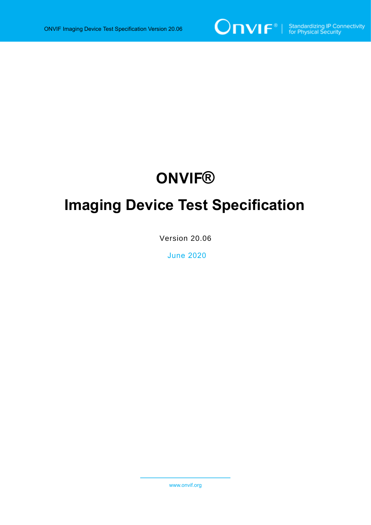

## **ONVIF®**

# **Imaging Device Test Specification**

Version 20.06

June 2020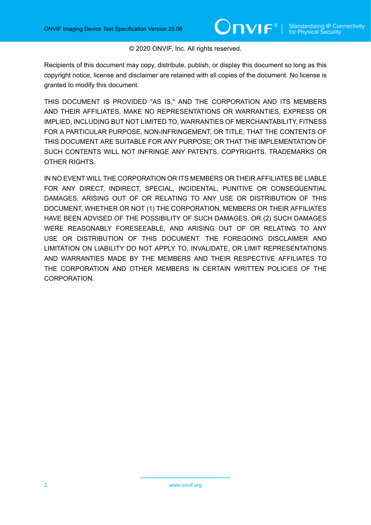#### © 2020 ONVIF, Inc. All rights reserved.

Recipients of this document may copy, distribute, publish, or display this document so long as this copyright notice, license and disclaimer are retained with all copies of the document. No license is granted to modify this document.

THIS DOCUMENT IS PROVIDED "AS IS," AND THE CORPORATION AND ITS MEMBERS AND THEIR AFFILIATES, MAKE NO REPRESENTATIONS OR WARRANTIES, EXPRESS OR IMPLIED, INCLUDING BUT NOT LIMITED TO, WARRANTIES OF MERCHANTABILITY, FITNESS FOR A PARTICULAR PURPOSE, NON-INFRINGEMENT, OR TITLE; THAT THE CONTENTS OF THIS DOCUMENT ARE SUITABLE FOR ANY PURPOSE; OR THAT THE IMPLEMENTATION OF SUCH CONTENTS WILL NOT INFRINGE ANY PATENTS, COPYRIGHTS, TRADEMARKS OR OTHER RIGHTS.

IN NO EVENT WILL THE CORPORATION OR ITS MEMBERS OR THEIR AFFILIATES BE LIABLE FOR ANY DIRECT, INDIRECT, SPECIAL, INCIDENTAL, PUNITIVE OR CONSEQUENTIAL DAMAGES, ARISING OUT OF OR RELATING TO ANY USE OR DISTRIBUTION OF THIS DOCUMENT, WHETHER OR NOT (1) THE CORPORATION, MEMBERS OR THEIR AFFILIATES HAVE BEEN ADVISED OF THE POSSIBILITY OF SUCH DAMAGES, OR (2) SUCH DAMAGES WERE REASONABLY FORESEEABLE, AND ARISING OUT OF OR RELATING TO ANY USE OR DISTRIBUTION OF THIS DOCUMENT. THE FOREGOING DISCLAIMER AND LIMITATION ON LIABILITY DO NOT APPLY TO, INVALIDATE, OR LIMIT REPRESENTATIONS AND WARRANTIES MADE BY THE MEMBERS AND THEIR RESPECTIVE AFFILIATES TO THE CORPORATION AND OTHER MEMBERS IN CERTAIN WRITTEN POLICIES OF THE CORPORATION.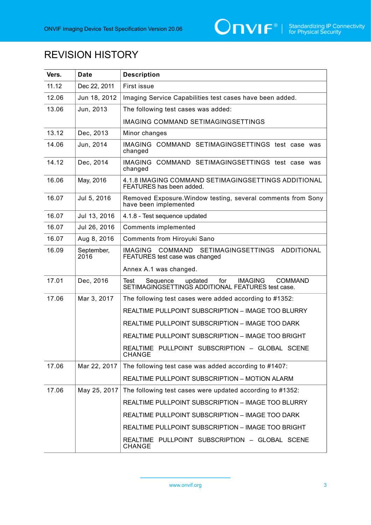

### REVISION HISTORY

| Vers. | Date               | <b>Description</b>                                                                                                          |
|-------|--------------------|-----------------------------------------------------------------------------------------------------------------------------|
| 11.12 | Dec 22, 2011       | First issue                                                                                                                 |
| 12.06 | Jun 18, 2012       | Imaging Service Capabilities test cases have been added.                                                                    |
| 13.06 | Jun, 2013          | The following test cases was added:                                                                                         |
|       |                    | IMAGING COMMAND SETIMAGINGSETTINGS                                                                                          |
| 13.12 | Dec, 2013          | Minor changes                                                                                                               |
| 14.06 | Jun, 2014          | IMAGING COMMAND SETIMAGINGSETTINGS test case was<br>changed                                                                 |
| 14.12 | Dec, 2014          | IMAGING COMMAND SETIMAGINGSETTINGS test case was<br>changed                                                                 |
| 16.06 | May, 2016          | 4.1.8 IMAGING COMMAND SETIMAGINGSETTINGS ADDITIONAL<br>FEATURES has been added.                                             |
| 16.07 | Jul 5, 2016        | Removed Exposure. Window testing, several comments from Sony<br>have been implemented                                       |
| 16.07 | Jul 13, 2016       | 4.1.8 - Test sequence updated                                                                                               |
| 16.07 | Jul 26, 2016       | <b>Comments implemented</b>                                                                                                 |
| 16.07 | Aug 8, 2016        | <b>Comments from Hiroyuki Sano</b>                                                                                          |
| 16.09 | September,<br>2016 | SETIMAGINGSETTINGS ADDITIONAL<br><b>COMMAND</b><br><b>IMAGING</b><br>FEATURES test case was changed                         |
|       |                    | Annex A.1 was changed.                                                                                                      |
| 17.01 | Dec, 2016          | updated<br>for<br><b>IMAGING</b><br><b>COMMAND</b><br>Test<br>Sequence<br>SETIMAGINGSETTINGS ADDITIONAL FEATURES test case. |
| 17.06 | Mar 3, 2017        | The following test cases were added according to #1352:                                                                     |
|       |                    | REALTIME PULLPOINT SUBSCRIPTION - IMAGE TOO BLURRY                                                                          |
|       |                    | REALTIME PULLPOINT SUBSCRIPTION - IMAGE TOO DARK                                                                            |
|       |                    | REALTIME PULLPOINT SUBSCRIPTION - IMAGE TOO BRIGHT                                                                          |
|       |                    | REALTIME PULLPOINT SUBSCRIPTION - GLOBAL SCENE<br><b>CHANGE</b>                                                             |
| 17.06 | Mar 22, 2017       | The following test case was added according to #1407:                                                                       |
|       |                    | REALTIME PULLPOINT SUBSCRIPTION - MOTION ALARM                                                                              |
| 17.06 | May 25, 2017       | The following test cases were updated according to #1352:                                                                   |
|       |                    | REALTIME PULLPOINT SUBSCRIPTION - IMAGE TOO BLURRY                                                                          |
|       |                    | REALTIME PULLPOINT SUBSCRIPTION - IMAGE TOO DARK                                                                            |
|       |                    | REALTIME PULLPOINT SUBSCRIPTION - IMAGE TOO BRIGHT                                                                          |
|       |                    | REALTIME PULLPOINT SUBSCRIPTION - GLOBAL SCENE<br><b>CHANGE</b>                                                             |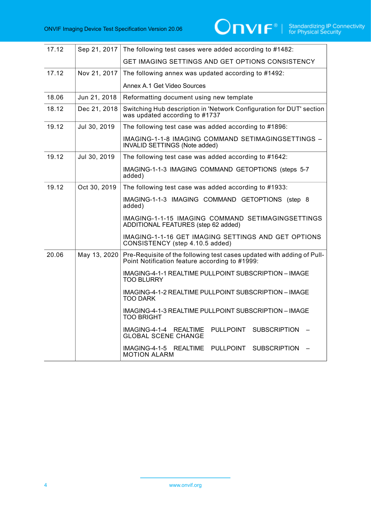| 17.12 | Sep 21, 2017 | The following test cases were added according to #1482:                                                                  |
|-------|--------------|--------------------------------------------------------------------------------------------------------------------------|
|       |              | <b>GET IMAGING SETTINGS AND GET OPTIONS CONSISTENCY</b>                                                                  |
| 17.12 | Nov 21, 2017 | The following annex was updated according to #1492:                                                                      |
|       |              | Annex A.1 Get Video Sources                                                                                              |
| 18.06 | Jun 21, 2018 | Reformatting document using new template                                                                                 |
| 18.12 | Dec 21, 2018 | Switching Hub description in 'Network Configuration for DUT' section<br>was updated according to #1737                   |
| 19.12 | Jul 30, 2019 | The following test case was added according to #1896:                                                                    |
|       |              | IMAGING-1-1-8 IMAGING COMMAND SETIMAGINGSETTINGS -<br>INVALID SETTINGS (Note added)                                      |
| 19.12 | Jul 30, 2019 | The following test case was added according to #1642:                                                                    |
|       |              | IMAGING-1-1-3 IMAGING COMMAND GETOPTIONS (steps 5-7<br>added)                                                            |
| 19.12 | Oct 30, 2019 | The following test case was added according to #1933:                                                                    |
|       |              | IMAGING-1-1-3 IMAGING COMMAND GETOPTIONS (step 8<br>added)                                                               |
|       |              | IMAGING-1-1-15 IMAGING COMMAND SETIMAGINGSETTINGS<br>ADDITIONAL FEATURES (step 62 added)                                 |
|       |              | IMAGING-1-1-16 GET IMAGING SETTINGS AND GET OPTIONS<br>CONSISTENCY (step 4.10.5 added)                                   |
| 20.06 | May 13, 2020 | Pre-Requisite of the following test cases updated with adding of Pull-<br>Point Notification feature according to #1999: |
|       |              | IMAGING-4-1-1 REALTIME PULLPOINT SUBSCRIPTION - IMAGE<br><b>TOO BLURRY</b>                                               |
|       |              | IMAGING-4-1-2 REALTIME PULLPOINT SUBSCRIPTION - IMAGE<br><b>TOO DARK</b>                                                 |
|       |              | IMAGING-4-1-3 REALTIME PULLPOINT SUBSCRIPTION – IMAGE<br><b>TOO BRIGHT</b>                                               |
|       |              | IMAGING-4-1-4 REALTIME<br>PULLPOINT<br><b>SUBSCRIPTION</b><br><b>GLOBAL SCENE CHANGE</b>                                 |
|       |              | IMAGING-4-1-5 REALTIME<br>PULLPOINT<br><b>SUBSCRIPTION</b><br><b>MOTION ALARM</b>                                        |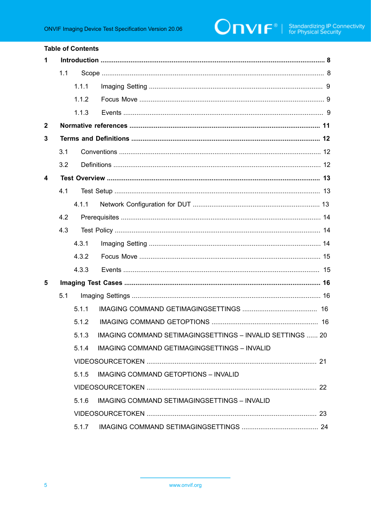|                         |     | <b>Table of Contents</b> |                                                                  |  |
|-------------------------|-----|--------------------------|------------------------------------------------------------------|--|
| 1                       |     |                          |                                                                  |  |
|                         | 1.1 |                          |                                                                  |  |
|                         |     | 1.1.1                    |                                                                  |  |
|                         |     | 1.1.2                    |                                                                  |  |
|                         |     | 1.1.3                    |                                                                  |  |
| $\mathbf{2}$            |     |                          |                                                                  |  |
| 3                       |     |                          |                                                                  |  |
|                         | 3.1 |                          |                                                                  |  |
|                         | 3.2 |                          |                                                                  |  |
| $\overline{\mathbf{4}}$ |     |                          |                                                                  |  |
|                         | 4.1 |                          |                                                                  |  |
|                         |     | 4.1.1                    |                                                                  |  |
|                         | 4.2 |                          |                                                                  |  |
|                         | 4.3 |                          |                                                                  |  |
|                         |     | 4.3.1                    |                                                                  |  |
|                         |     | 4.3.2                    |                                                                  |  |
|                         |     | 4.3.3                    |                                                                  |  |
| 5                       |     |                          |                                                                  |  |
|                         | 5.1 |                          |                                                                  |  |
|                         |     | 5.1.1                    |                                                                  |  |
|                         |     | 5.1.2                    |                                                                  |  |
|                         |     | 5.1.3                    | <b>IMAGING COMMAND SETIMAGINGSETTINGS - INVALID SETTINGS  20</b> |  |
|                         |     | 5.1.4                    | IMAGING COMMAND GETIMAGINGSETTINGS - INVALID                     |  |
|                         |     |                          |                                                                  |  |
|                         |     | 5.1.5                    | <b>IMAGING COMMAND GETOPTIONS - INVALID</b>                      |  |
|                         |     |                          |                                                                  |  |
|                         |     | 5.1.6                    | IMAGING COMMAND SETIMAGINGSETTINGS - INVALID                     |  |
|                         |     |                          |                                                                  |  |
|                         |     |                          |                                                                  |  |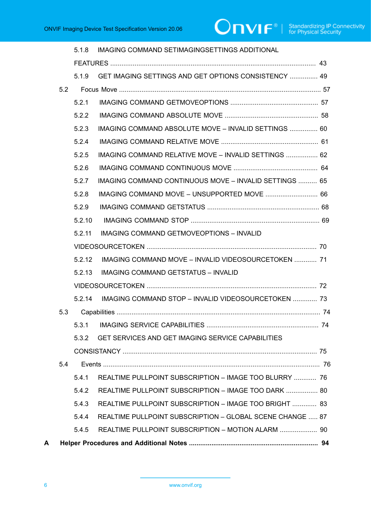|   |     | 5.1.8  | IMAGING COMMAND SETIMAGINGSETTINGS ADDITIONAL                 |    |
|---|-----|--------|---------------------------------------------------------------|----|
|   |     |        |                                                               |    |
|   |     | 5.1.9  | GET IMAGING SETTINGS AND GET OPTIONS CONSISTENCY  49          |    |
|   | 5.2 |        |                                                               |    |
|   |     | 5.2.1  |                                                               |    |
|   |     | 5.2.2  |                                                               |    |
|   |     | 5.2.3  | IMAGING COMMAND ABSOLUTE MOVE - INVALID SETTINGS  60          |    |
|   |     | 5.2.4  |                                                               |    |
|   |     | 5.2.5  | IMAGING COMMAND RELATIVE MOVE - INVALID SETTINGS  62          |    |
|   |     | 5.2.6  |                                                               |    |
|   |     | 5.2.7  | <b>IMAGING COMMAND CONTINUOUS MOVE - INVALID SETTINGS  65</b> |    |
|   |     | 5.2.8  | IMAGING COMMAND MOVE - UNSUPPORTED MOVE  66                   |    |
|   |     | 5.2.9  |                                                               |    |
|   |     | 5.2.10 |                                                               |    |
|   |     | 5.2.11 | <b>IMAGING COMMAND GETMOVEOPTIONS - INVALID</b>               |    |
|   |     |        |                                                               |    |
|   |     | 5.2.12 | IMAGING COMMAND MOVE - INVALID VIDEOSOURCETOKEN  71           |    |
|   |     | 5.2.13 | <b>IMAGING COMMAND GETSTATUS - INVALID</b>                    |    |
|   |     |        |                                                               |    |
|   |     | 5.2.14 | IMAGING COMMAND STOP - INVALID VIDEOSOURCETOKEN  73           |    |
|   | 5.3 |        |                                                               |    |
|   |     |        |                                                               | 74 |
|   |     | 5.3.2  | GET SERVICES AND GET IMAGING SERVICE CAPABILITIES             |    |
|   |     |        |                                                               |    |
|   | 5.4 |        |                                                               |    |
|   |     | 5.4.1  | REALTIME PULLPOINT SUBSCRIPTION - IMAGE TOO BLURRY  76        |    |
|   |     | 5.4.2  | REALTIME PULLPOINT SUBSCRIPTION - IMAGE TOO DARK  80          |    |
|   |     | 5.4.3  | REALTIME PULLPOINT SUBSCRIPTION - IMAGE TOO BRIGHT  83        |    |
|   |     | 5.4.4  | REALTIME PULLPOINT SUBSCRIPTION - GLOBAL SCENE CHANGE  87     |    |
|   |     | 5.4.5  | REALTIME PULLPOINT SUBSCRIPTION - MOTION ALARM  90            |    |
| A |     |        |                                                               |    |
|   |     |        |                                                               |    |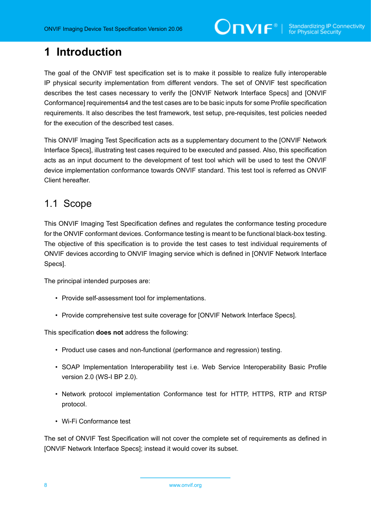### <span id="page-7-0"></span>**1 Introduction**

The goal of the ONVIF test specification set is to make it possible to realize fully interoperable IP physical security implementation from different vendors. The set of ONVIF test specification describes the test cases necessary to verify the [ONVIF Network Interface Specs] and [ONVIF Conformance] requirements4 and the test cases are to be basic inputs for some Profile specification requirements. It also describes the test framework, test setup, pre-requisites, test policies needed for the execution of the described test cases.

This ONVIF Imaging Test Specification acts as a supplementary document to the [ONVIF Network Interface Specs], illustrating test cases required to be executed and passed. Also, this specification acts as an input document to the development of test tool which will be used to test the ONVIF device implementation conformance towards ONVIF standard. This test tool is referred as ONVIF Client hereafter.

### <span id="page-7-1"></span>1.1 Scope

This ONVIF Imaging Test Specification defines and regulates the conformance testing procedure for the ONVIF conformant devices. Conformance testing is meant to be functional black-box testing. The objective of this specification is to provide the test cases to test individual requirements of ONVIF devices according to ONVIF Imaging service which is defined in [ONVIF Network Interface Specs].

The principal intended purposes are:

- Provide self-assessment tool for implementations.
- Provide comprehensive test suite coverage for [ONVIF Network Interface Specs].

This specification **does not** address the following:

- Product use cases and non-functional (performance and regression) testing.
- SOAP Implementation Interoperability test i.e. Web Service Interoperability Basic Profile version 2.0 (WS-I BP 2.0).
- Network protocol implementation Conformance test for HTTP, HTTPS, RTP and RTSP protocol.
- Wi-Fi Conformance test

The set of ONVIF Test Specification will not cover the complete set of requirements as defined in [ONVIF Network Interface Specs]; instead it would cover its subset.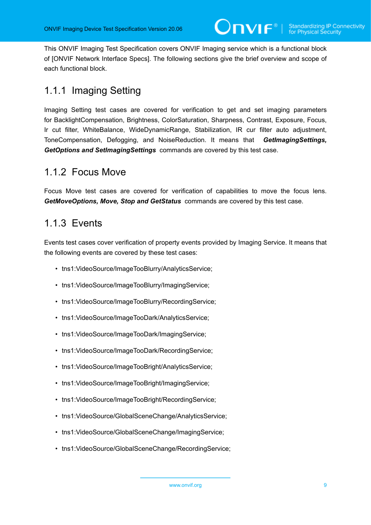This ONVIF Imaging Test Specification covers ONVIF Imaging service which is a functional block of [ONVIF Network Interface Specs]. The following sections give the brief overview and scope of each functional block.

### <span id="page-8-0"></span>1.1.1 Imaging Setting

Imaging Setting test cases are covered for verification to get and set imaging parameters for BacklightCompensation, Brightness, ColorSaturation, Sharpness, Contrast, Exposure, Focus, Ir cut filter, WhiteBalance, WideDynamicRange, Stabilization, IR cur filter auto adjustment, ToneCompensation, Defogging, and NoiseReduction. It means that *GetImagingSettings, GetOptions and SetImagingSettings* commands are covered by this test case.

### <span id="page-8-1"></span>1.1.2 Focus Move

Focus Move test cases are covered for verification of capabilities to move the focus lens. *GetMoveOptions, Move, Stop and GetStatus* commands are covered by this test case.

### <span id="page-8-2"></span>1.1.3 Events

Events test cases cover verification of property events provided by Imaging Service. It means that the following events are covered by these test cases:

- tns1:VideoSource/ImageTooBlurry/AnalyticsService;
- tns1:VideoSource/ImageTooBlurry/ImagingService;
- tns1:VideoSource/ImageTooBlurry/RecordingService;
- tns1:VideoSource/ImageTooDark/AnalyticsService;
- tns1:VideoSource/ImageTooDark/ImagingService;
- tns1:VideoSource/ImageTooDark/RecordingService;
- tns1:VideoSource/ImageTooBright/AnalyticsService;
- tns1:VideoSource/ImageTooBright/ImagingService;
- tns1:VideoSource/ImageTooBright/RecordingService;
- tns1:VideoSource/GlobalSceneChange/AnalyticsService;
- tns1:VideoSource/GlobalSceneChange/ImagingService;
- tns1:VideoSource/GlobalSceneChange/RecordingService;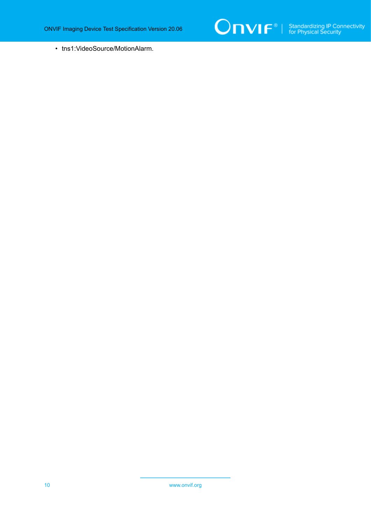

• tns1:VideoSource/MotionAlarm.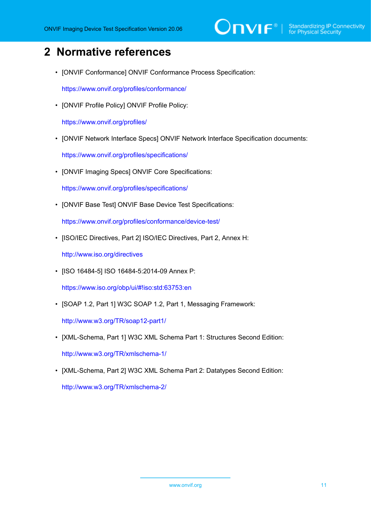## $\sum_{\text{IVIF}^{\circ} | \text{Standardizing IP Connectivity}}$

### <span id="page-10-0"></span>**2 Normative references**

• [ONVIF Conformance] ONVIF Conformance Process Specification:

<https://www.onvif.org/profiles/conformance/>

• [ONVIF Profile Policy] ONVIF Profile Policy:

<https://www.onvif.org/profiles/>

• [ONVIF Network Interface Specs] ONVIF Network Interface Specification documents:

<https://www.onvif.org/profiles/specifications/>

• [ONVIF Imaging Specs] ONVIF Core Specifications:

<https://www.onvif.org/profiles/specifications/>

• [ONVIF Base Test] ONVIF Base Device Test Specifications:

<https://www.onvif.org/profiles/conformance/device-test/>

• [ISO/IEC Directives, Part 2] ISO/IEC Directives, Part 2, Annex H:

<http://www.iso.org/directives>

• [ISO 16484-5] ISO 16484-5:2014-09 Annex P:

<https://www.iso.org/obp/ui/#!iso:std:63753:en>

• [SOAP 1.2, Part 1] W3C SOAP 1.2, Part 1, Messaging Framework:

<http://www.w3.org/TR/soap12-part1/>

- [XML-Schema, Part 1] W3C XML Schema Part 1: Structures Second Edition: <http://www.w3.org/TR/xmlschema-1/>
- [XML-Schema, Part 2] W3C XML Schema Part 2: Datatypes Second Edition:

<http://www.w3.org/TR/xmlschema-2/>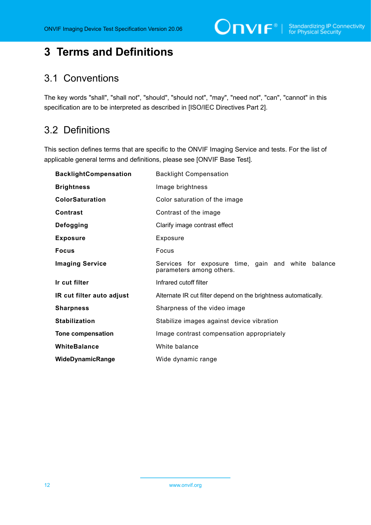### <span id="page-11-0"></span>**3 Terms and Definitions**

### <span id="page-11-1"></span>3.1 Conventions

The key words "shall", "shall not", "should", "should not", "may", "need not", "can", "cannot" in this specification are to be interpreted as described in [ISO/IEC Directives Part 2].

### <span id="page-11-2"></span>3.2 Definitions

This section defines terms that are specific to the ONVIF Imaging Service and tests. For the list of applicable general terms and definitions, please see [ONVIF Base Test].

| <b>BacklightCompensation</b> | <b>Backlight Compensation</b>                                                  |
|------------------------------|--------------------------------------------------------------------------------|
| <b>Brightness</b>            | Image brightness                                                               |
| <b>ColorSaturation</b>       | Color saturation of the image                                                  |
| <b>Contrast</b>              | Contrast of the image                                                          |
| Defogging                    | Clarify image contrast effect                                                  |
| <b>Exposure</b>              | Exposure                                                                       |
| <b>Focus</b>                 | Focus                                                                          |
| <b>Imaging Service</b>       | Services for exposure time, gain and white balance<br>parameters among others. |
| Ir cut filter                | Infrared cutoff filter                                                         |
| IR cut filter auto adjust    | Alternate IR cut filter depend on the brightness automatically.                |
| <b>Sharpness</b>             | Sharpness of the video image                                                   |
| <b>Stabilization</b>         | Stabilize images against device vibration                                      |
| <b>Tone compensation</b>     | Image contrast compensation appropriately                                      |
| WhiteBalance                 | White balance                                                                  |
| WideDynamicRange             | Wide dynamic range                                                             |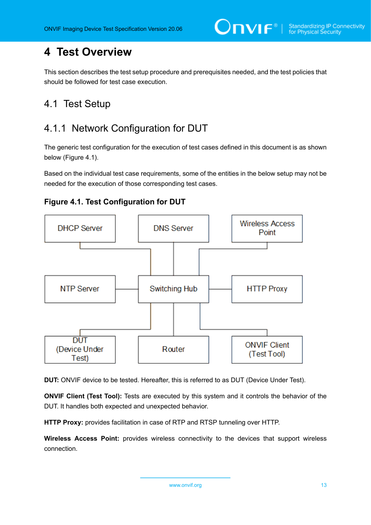### <span id="page-12-0"></span>**4 Test Overview**

This section describes the test setup procedure and prerequisites needed, and the test policies that should be followed for test case execution.

### <span id="page-12-1"></span>4.1 Test Setup

### <span id="page-12-2"></span>4.1.1 Network Configuration for DUT

The generic test configuration for the execution of test cases defined in this document is as shown below (Figure 4.1).

Based on the individual test case requirements, some of the entities in the below setup may not be needed for the execution of those corresponding test cases.





**DUT:** ONVIF device to be tested. Hereafter, this is referred to as DUT (Device Under Test).

**ONVIF Client (Test Tool):** Tests are executed by this system and it controls the behavior of the DUT. It handles both expected and unexpected behavior.

**HTTP Proxy:** provides facilitation in case of RTP and RTSP tunneling over HTTP.

**Wireless Access Point:** provides wireless connectivity to the devices that support wireless connection.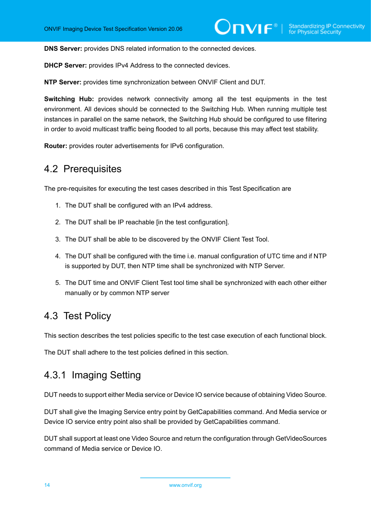**DNS Server:** provides DNS related information to the connected devices.

**DHCP Server:** provides IPv4 Address to the connected devices.

**NTP Server:** provides time synchronization between ONVIF Client and DUT.

**Switching Hub:** provides network connectivity among all the test equipments in the test environment. All devices should be connected to the Switching Hub. When running multiple test instances in parallel on the same network, the Switching Hub should be configured to use filtering in order to avoid multicast traffic being flooded to all ports, because this may affect test stability.

<span id="page-13-0"></span>**Router:** provides router advertisements for IPv6 configuration.

### 4.2 Prerequisites

The pre-requisites for executing the test cases described in this Test Specification are

- 1. The DUT shall be configured with an IPv4 address.
- 2. The DUT shall be IP reachable [in the test configuration].
- 3. The DUT shall be able to be discovered by the ONVIF Client Test Tool.
- 4. The DUT shall be configured with the time i.e. manual configuration of UTC time and if NTP is supported by DUT, then NTP time shall be synchronized with NTP Server.
- 5. The DUT time and ONVIF Client Test tool time shall be synchronized with each other either manually or by common NTP server

### <span id="page-13-1"></span>4.3 Test Policy

This section describes the test policies specific to the test case execution of each functional block.

<span id="page-13-2"></span>The DUT shall adhere to the test policies defined in this section.

### 4.3.1 Imaging Setting

DUT needs to support either Media service or Device IO service because of obtaining Video Source.

DUT shall give the Imaging Service entry point by GetCapabilities command. And Media service or Device IO service entry point also shall be provided by GetCapabilities command.

DUT shall support at least one Video Source and return the configuration through GetVideoSources command of Media service or Device IO.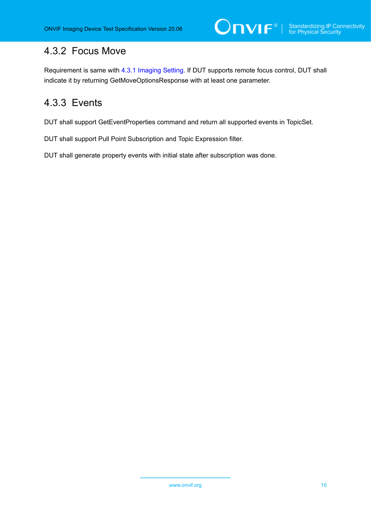### <span id="page-14-0"></span>4.3.2 Focus Move

Requirement is same with [4.3.1 Imaging Setting](#page-13-2). If DUT supports remote focus control, DUT shall indicate it by returning GetMoveOptionsResponse with at least one parameter.

ι

### <span id="page-14-1"></span>4.3.3 Events

DUT shall support GetEventProperties command and return all supported events in TopicSet.

DUT shall support Pull Point Subscription and Topic Expression filter.

DUT shall generate property events with initial state after subscription was done.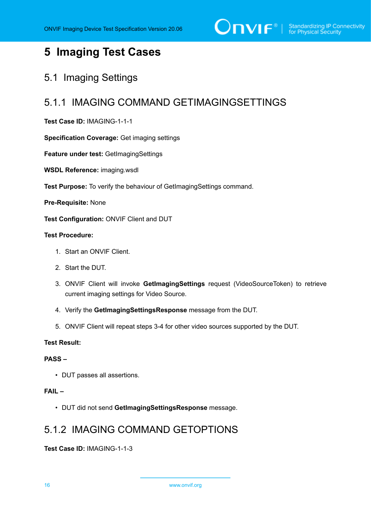### <span id="page-15-0"></span>**5 Imaging Test Cases**

### <span id="page-15-1"></span>5.1 Imaging Settings

### <span id="page-15-2"></span>5.1.1 IMAGING COMMAND GETIMAGINGSETTINGS

#### **Test Case ID:** IMAGING-1-1-1

**Specification Coverage:** Get imaging settings

**Feature under test:** GetImagingSettings

**WSDL Reference:** imaging.wsdl

**Test Purpose:** To verify the behaviour of GetImagingSettings command.

**Pre-Requisite:** None

**Test Configuration:** ONVIF Client and DUT

### **Test Procedure:**

- 1. Start an ONVIF Client.
- 2. Start the DUT.
- 3. ONVIF Client will invoke **GetImagingSettings** request (VideoSourceToken) to retrieve current imaging settings for Video Source.
- 4. Verify the **GetImagingSettingsResponse** message from the DUT.
- 5. ONVIF Client will repeat steps 3-4 for other video sources supported by the DUT.

#### **Test Result:**

#### **PASS –**

• DUT passes all assertions.

#### **FAIL –**

• DUT did not send **GetImagingSettingsResponse** message.

### <span id="page-15-3"></span>5.1.2 IMAGING COMMAND GETOPTIONS

**Test Case ID:** IMAGING-1-1-3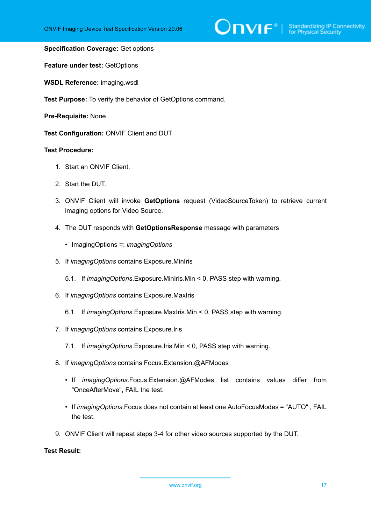#### **Specification Coverage:** Get options

**Feature under test:** GetOptions

**WSDL Reference:** imaging.wsdl

**Test Purpose:** To verify the behavior of GetOptions command.

**Pre-Requisite:** None

**Test Configuration:** ONVIF Client and DUT

#### **Test Procedure:**

- 1. Start an ONVIF Client.
- 2. Start the DUT.
- 3. ONVIF Client will invoke **GetOptions** request (VideoSourceToken) to retrieve current imaging options for Video Source.
- 4. The DUT responds with **GetOptionsResponse** message with parameters
	- ImagingOptions =: *imagingOptions*
- 5. If *imagingOptions* contains Exposure.MinIris
	- 5.1. If *imagingOptions*.Exposure.MinIris.Min < 0, PASS step with warning.
- 6. If *imagingOptions* contains Exposure.MaxIris
	- 6.1. If *imagingOptions*.Exposure.MaxIris.Min < 0, PASS step with warning.
- 7. If *imagingOptions* contains Exposure.Iris
	- 7.1. If *imagingOptions*.Exposure.Iris.Min < 0, PASS step with warning.
- 8. If *imagingOptions* contains Focus.Extension.@AFModes
	- If *imagingOptions*.Focus.Extension.@AFModes list contains values differ from "OnceAfterMove", FAIL the test.
	- If *imagingOptions*.Focus does not contain at least one AutoFocusModes = "AUTO" , FAIL the test.
- 9. ONVIF Client will repeat steps 3-4 for other video sources supported by the DUT.

#### **Test Result:**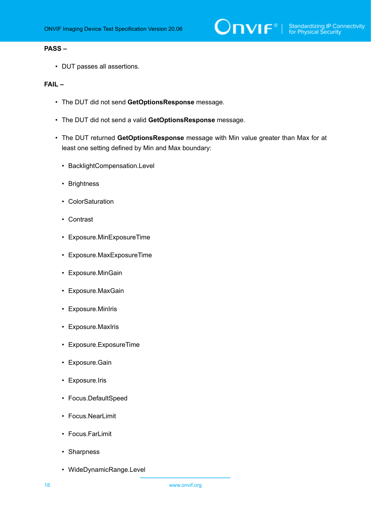#### **PASS –**

• DUT passes all assertions.

#### **FAIL –**

- The DUT did not send **GetOptionsResponse** message.
- The DUT did not send a valid **GetOptionsResponse** message.
- The DUT returned **GetOptionsResponse** message with Min value greater than Max for at least one setting defined by Min and Max boundary:
	- BacklightCompensation.Level
	- Brightness
	- ColorSaturation
	- Contrast
	- Exposure.MinExposureTime
	- Exposure.MaxExposureTime
	- Exposure.MinGain
	- Exposure.MaxGain
	- Exposure.MinIris
	- Exposure.MaxIris
	- Exposure.ExposureTime
	- Exposure.Gain
	- Exposure.Iris
	- Focus.DefaultSpeed
	- Focus.NearLimit
	- Focus.FarLimit
	- Sharpness
	- WideDynamicRange.Level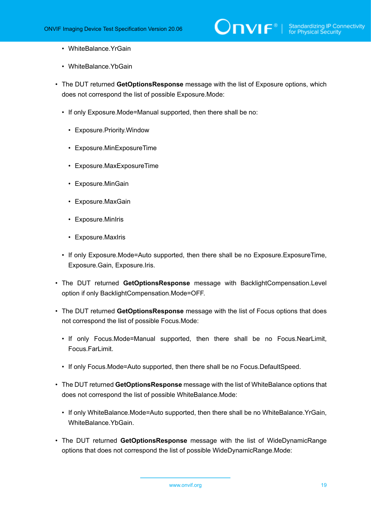- WhiteBalance.YrGain
- WhiteBalance YbGain
- The DUT returned **GetOptionsResponse** message with the list of Exposure options, which does not correspond the list of possible Exposure.Mode:
	- If only Exposure.Mode=Manual supported, then there shall be no:
		- Exposure.Priority.Window
		- Exposure.MinExposureTime
		- Exposure.MaxExposureTime
		- Exposure.MinGain
		- Exposure.MaxGain
		- Exposure.MinIris
		- Exposure.MaxIris
	- If only Exposure.Mode=Auto supported, then there shall be no Exposure.ExposureTime, Exposure.Gain, Exposure.Iris.
- The DUT returned **GetOptionsResponse** message with BacklightCompensation.Level option if only BacklightCompensation.Mode=OFF.
- The DUT returned **GetOptionsResponse** message with the list of Focus options that does not correspond the list of possible Focus.Mode:
	- If only Focus.Mode=Manual supported, then there shall be no Focus.NearLimit, Focus.FarLimit.
	- If only Focus.Mode=Auto supported, then there shall be no Focus.DefaultSpeed.
- The DUT returned **GetOptionsResponse** message with the list of WhiteBalance options that does not correspond the list of possible WhiteBalance.Mode:
	- If only WhiteBalance.Mode=Auto supported, then there shall be no WhiteBalance.YrGain, WhiteBalance.YbGain.
- The DUT returned **GetOptionsResponse** message with the list of WideDynamicRange options that does not correspond the list of possible WideDynamicRange.Mode: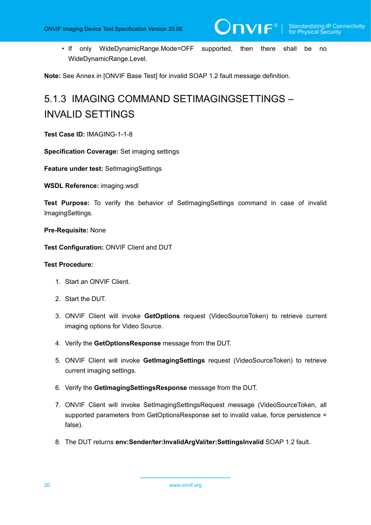• If only WideDynamicRange.Mode=OFF supported, then there shall be no WideDynamicRange.Level.

<span id="page-19-0"></span>**Note:** See Annex in [ONVIF Base Test] for invalid SOAP 1.2 fault message definition.

## 5.1.3 IMAGING COMMAND SETIMAGINGSETTINGS – INVALID SETTINGS

**Test Case ID:** IMAGING-1-1-8

**Specification Coverage:** Set imaging settings

**Feature under test:** SetImagingSettings

**WSDL Reference:** imaging.wsdl

**Test Purpose:** To verify the behavior of SetImagingSettings command in case of invalid ImagingSettings.

#### **Pre-Requisite:** None

**Test Configuration:** ONVIF Client and DUT

#### **Test Procedure:**

- 1. Start an ONVIF Client.
- 2. Start the DUT.
- <span id="page-19-2"></span>3. ONVIF Client will invoke **GetOptions** request (VideoSourceToken) to retrieve current imaging options for Video Source.
- 4. Verify the **GetOptionsResponse** message from the DUT.
- 5. ONVIF Client will invoke **GetImagingSettings** request (VideoSourceToken) to retrieve current imaging settings.
- <span id="page-19-1"></span>6. Verify the **GetImagingSettingsResponse** message from the DUT.
- <span id="page-19-3"></span>7. ONVIF Client will invoke SetImagingSettingsRequest message (VideoSourceToken, all supported parameters from GetOptionsResponse set to invalid value, force persistence = false).
- 8. The DUT returns **env:Sender/ter:InvalidArgVal/ter:SettingsInvalid** SOAP 1.2 fault.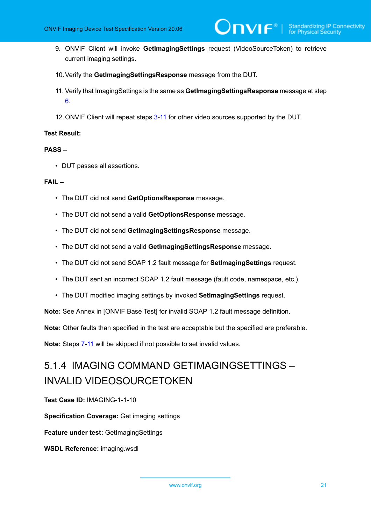- 9. ONVIF Client will invoke **GetImagingSettings** request (VideoSourceToken) to retrieve current imaging settings.
- 10.Verify the **GetImagingSettingsResponse** message from the DUT.
- <span id="page-20-1"></span>11. Verify that ImagingSettings is the same as **GetImagingSettingsResponse** message at step [6](#page-19-1).
- 12.ONVIF Client will repeat steps [3](#page-19-2)-[11](#page-20-1) for other video sources supported by the DUT.

#### **Test Result:**

#### **PASS –**

• DUT passes all assertions.

#### **FAIL –**

- The DUT did not send **GetOptionsResponse** message.
- The DUT did not send a valid **GetOptionsResponse** message.
- The DUT did not send **GetImagingSettingsResponse** message.
- The DUT did not send a valid **GetImagingSettingsResponse** message.
- The DUT did not send SOAP 1.2 fault message for **SetImagingSettings** request.
- The DUT sent an incorrect SOAP 1.2 fault message (fault code, namespace, etc.).
- The DUT modified imaging settings by invoked **SetImagingSettings** request.

**Note:** See Annex in [ONVIF Base Test] for invalid SOAP 1.2 fault message definition.

**Note:** Other faults than specified in the test are acceptable but the specified are preferable.

<span id="page-20-0"></span>**Note:** Steps [7](#page-19-3)-[11](#page-20-1) will be skipped if not possible to set invalid values.

### 5.1.4 IMAGING COMMAND GETIMAGINGSETTINGS – INVALID VIDEOSOURCETOKEN

**Test Case ID:** IMAGING-1-1-10

**Specification Coverage:** Get imaging settings

**Feature under test:** GetImagingSettings

**WSDL Reference:** imaging.wsdl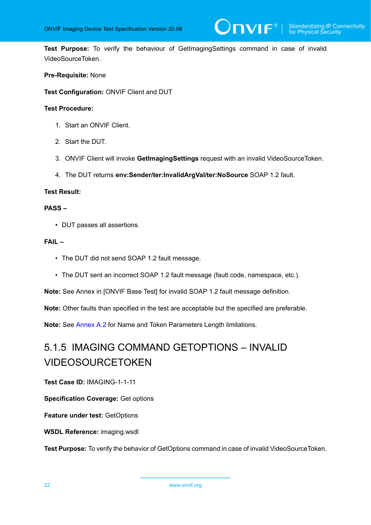**Test Purpose:** To verify the behaviour of GetImagingSettings command in case of invalid VideoSourceToken.

#### **Pre-Requisite:** None

**Test Configuration:** ONVIF Client and DUT

#### **Test Procedure:**

- 1. Start an ONVIF Client.
- 2. Start the DUT.
- 3. ONVIF Client will invoke **GetImagingSettings** request with an invalid VideoSourceToken.
- 4. The DUT returns **env:Sender/ter:InvalidArgVal/ter:NoSource** SOAP 1.2 fault.

#### **Test Result:**

#### **PASS –**

• DUT passes all assertions.

#### **FAIL –**

- The DUT did not send SOAP 1.2 fault message.
- The DUT sent an incorrect SOAP 1.2 fault message (fault code, namespace, etc.).

**Note:** See Annex in [ONVIF Base Test] for invalid SOAP 1.2 fault message definition.

**Note:** Other faults than specified in the test are acceptable but the specified are preferable.

<span id="page-21-0"></span>**Note:** See [Annex A.2](#page-94-0) for Name and Token Parameters Length limitations.

### 5.1.5 IMAGING COMMAND GETOPTIONS – INVALID VIDEOSOURCETOKEN

**Test Case ID:** IMAGING-1-1-11

**Specification Coverage:** Get options

**Feature under test:** GetOptions

**WSDL Reference:** imaging.wsdl

**Test Purpose:** To verify the behavior of GetOptions command in case of invalid VideoSourceToken.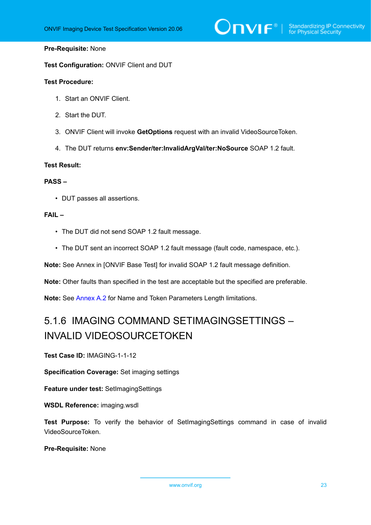## $\bigcirc$   $\bigcap$   $\bigvee$   $\bigcirc$   $\bigcirc$   $\bigcirc$   $\bigcirc$  Standardizing IP Connectivity

#### **Pre-Requisite:** None

**Test Configuration:** ONVIF Client and DUT

#### **Test Procedure:**

- 1. Start an ONVIF Client.
- 2. Start the DUT.
- 3. ONVIF Client will invoke **GetOptions** request with an invalid VideoSourceToken.
- 4. The DUT returns **env:Sender/ter:InvalidArgVal/ter:NoSource** SOAP 1.2 fault.

#### **Test Result:**

#### **PASS –**

• DUT passes all assertions.

#### **FAIL –**

- The DUT did not send SOAP 1.2 fault message.
- The DUT sent an incorrect SOAP 1.2 fault message (fault code, namespace, etc.).

**Note:** See Annex in [ONVIF Base Test] for invalid SOAP 1.2 fault message definition.

**Note:** Other faults than specified in the test are acceptable but the specified are preferable.

<span id="page-22-0"></span>**Note:** See [Annex A.2](#page-94-0) for Name and Token Parameters Length limitations.

## 5.1.6 IMAGING COMMAND SETIMAGINGSETTINGS – INVALID VIDEOSOURCETOKEN

**Test Case ID:** IMAGING-1-1-12

**Specification Coverage:** Set imaging settings

**Feature under test:** SetImagingSettings

**WSDL Reference:** imaging.wsdl

**Test Purpose:** To verify the behavior of SetImagingSettings command in case of invalid VideoSourceToken.

**Pre-Requisite:** None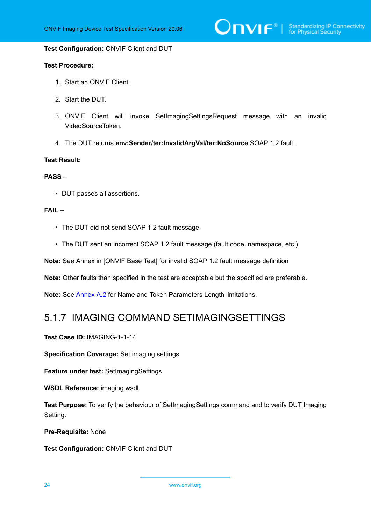#### **Test Configuration:** ONVIF Client and DUT

#### **Test Procedure:**

- 1. Start an ONVIF Client.
- 2. Start the DUT.
- 3. ONVIF Client will invoke SetImagingSettingsRequest message with an invalid VideoSourceToken.
- 4. The DUT returns **env:Sender/ter:InvalidArgVal/ter:NoSource** SOAP 1.2 fault.

#### **Test Result:**

#### **PASS –**

• DUT passes all assertions.

#### **FAIL –**

- The DUT did not send SOAP 1.2 fault message.
- The DUT sent an incorrect SOAP 1.2 fault message (fault code, namespace, etc.).

**Note:** See Annex in [ONVIF Base Test] for invalid SOAP 1.2 fault message definition

**Note:** Other faults than specified in the test are acceptable but the specified are preferable.

<span id="page-23-0"></span>**Note:** See [Annex A.2](#page-94-0) for Name and Token Parameters Length limitations.

### 5.1.7 IMAGING COMMAND SETIMAGINGSETTINGS

**Test Case ID:** IMAGING-1-1-14

**Specification Coverage:** Set imaging settings

**Feature under test:** SetImagingSettings

**WSDL Reference:** imaging.wsdl

**Test Purpose:** To verify the behaviour of SetImagingSettings command and to verify DUT Imaging Setting.

**Pre-Requisite:** None

**Test Configuration:** ONVIF Client and DUT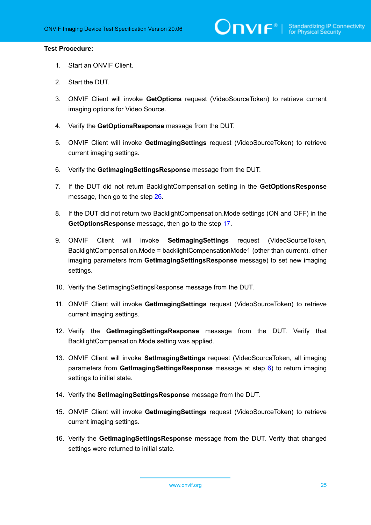#### **Test Procedure:**

- 1. Start an ONVIF Client.
- 2. Start the DUT.
- 3. ONVIF Client will invoke **GetOptions** request (VideoSourceToken) to retrieve current imaging options for Video Source.
- 4. Verify the **GetOptionsResponse** message from the DUT.
- 5. ONVIF Client will invoke **GetImagingSettings** request (VideoSourceToken) to retrieve current imaging settings.
- <span id="page-24-0"></span>6. Verify the **GetImagingSettingsResponse** message from the DUT.
- 7. If the DUT did not return BacklightCompensation setting in the **GetOptionsResponse** message, then go to the step [26.](#page-25-0)
- 8. If the DUT did not return two BacklightCompensation.Mode settings (ON and OFF) in the **GetOptionsResponse** message, then go to the step [17.](#page-25-1)
- 9. ONVIF Client will invoke **SetImagingSettings** request (VideoSourceToken, BacklightCompensation.Mode = backlightCompensationMode1 (other than current), other imaging parameters from **GetImagingSettingsResponse** message) to set new imaging settings.
- 10. Verify the SetImagingSettingsResponse message from the DUT.
- 11. ONVIF Client will invoke **GetImagingSettings** request (VideoSourceToken) to retrieve current imaging settings.
- 12. Verify the **GetImagingSettingsResponse** message from the DUT. Verify that BacklightCompensation.Mode setting was applied.
- 13. ONVIF Client will invoke **SetImagingSettings** request (VideoSourceToken, all imaging parameters from **GetImagingSettingsResponse** message at step [6](#page-24-0)) to return imaging settings to initial state.
- 14. Verify the **SetImagingSettingsResponse** message from the DUT.
- 15. ONVIF Client will invoke **GetImagingSettings** request (VideoSourceToken) to retrieve current imaging settings.
- 16. Verify the **GetImagingSettingsResponse** message from the DUT. Verify that changed settings were returned to initial state.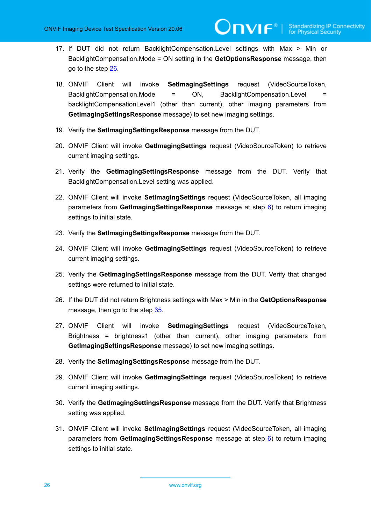- <span id="page-25-1"></span>17. If DUT did not return BacklightCompensation.Level settings with Max > Min or BacklightCompensation.Mode = ON setting in the **GetOptionsResponse** message, then go to the step [26.](#page-25-0)
- 18. ONVIF Client will invoke **SetImagingSettings** request (VideoSourceToken, BacklightCompensation.Mode = ON, BacklightCompensation.Level backlightCompensationLevel1 (other than current), other imaging parameters from **GetImagingSettingsResponse** message) to set new imaging settings.
- 19. Verify the **SetImagingSettingsResponse** message from the DUT.
- 20. ONVIF Client will invoke **GetImagingSettings** request (VideoSourceToken) to retrieve current imaging settings.
- 21. Verify the **GetImagingSettingsResponse** message from the DUT. Verify that BacklightCompensation.Level setting was applied.
- 22. ONVIF Client will invoke **SetImagingSettings** request (VideoSourceToken, all imaging parameters from **GetImagingSettingsResponse** message at step [6](#page-24-0)) to return imaging settings to initial state.
- 23. Verify the **SetImagingSettingsResponse** message from the DUT.
- 24. ONVIF Client will invoke **GetImagingSettings** request (VideoSourceToken) to retrieve current imaging settings.
- 25. Verify the **GetImagingSettingsResponse** message from the DUT. Verify that changed settings were returned to initial state.
- <span id="page-25-0"></span>26. If the DUT did not return Brightness settings with Max > Min in the **GetOptionsResponse** message, then go to the step [35.](#page-26-0)
- 27. ONVIF Client will invoke **SetImagingSettings** request (VideoSourceToken, Brightness = brightness1 (other than current), other imaging parameters from **GetImagingSettingsResponse** message) to set new imaging settings.
- 28. Verify the **SetImagingSettingsResponse** message from the DUT.
- 29. ONVIF Client will invoke **GetImagingSettings** request (VideoSourceToken) to retrieve current imaging settings.
- 30. Verify the **GetImagingSettingsResponse** message from the DUT. Verify that Brightness setting was applied.
- 31. ONVIF Client will invoke **SetImagingSettings** request (VideoSourceToken, all imaging parameters from **GetImagingSettingsResponse** message at step [6](#page-24-0)) to return imaging settings to initial state.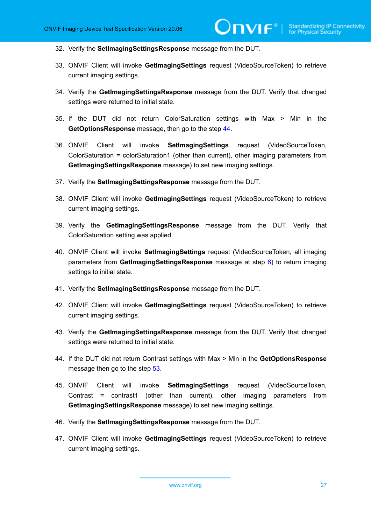- 32. Verify the **SetImagingSettingsResponse** message from the DUT.
- 33. ONVIF Client will invoke **GetImagingSettings** request (VideoSourceToken) to retrieve current imaging settings.
- 34. Verify the **GetImagingSettingsResponse** message from the DUT. Verify that changed settings were returned to initial state.
- <span id="page-26-0"></span>35. If the DUT did not return ColorSaturation settings with Max > Min in the **GetOptionsResponse** message, then go to the step [44.](#page-26-1)
- 36. ONVIF Client will invoke **SetImagingSettings** request (VideoSourceToken, ColorSaturation = colorSaturation1 (other than current), other imaging parameters from **GetImagingSettingsResponse** message) to set new imaging settings.
- 37. Verify the **SetImagingSettingsResponse** message from the DUT.
- 38. ONVIF Client will invoke **GetImagingSettings** request (VideoSourceToken) to retrieve current imaging settings.
- 39. Verify the **GetImagingSettingsResponse** message from the DUT. Verify that ColorSaturation setting was applied.
- 40. ONVIF Client will invoke **SetImagingSettings** request (VideoSourceToken, all imaging parameters from **GetImagingSettingsResponse** message at step [6](#page-24-0)) to return imaging settings to initial state.
- 41. Verify the **SetImagingSettingsResponse** message from the DUT.
- 42. ONVIF Client will invoke **GetImagingSettings** request (VideoSourceToken) to retrieve current imaging settings.
- 43. Verify the **GetImagingSettingsResponse** message from the DUT. Verify that changed settings were returned to initial state.
- <span id="page-26-1"></span>44. If the DUT did not return Contrast settings with Max > Min in the **GetOptionsResponse** message then go to the step [53.](#page-27-0)
- 45. ONVIF Client will invoke **SetImagingSettings** request (VideoSourceToken, Contrast = contrast1 (other than current), other imaging parameters from **GetImagingSettingsResponse** message) to set new imaging settings.
- 46. Verify the **SetImagingSettingsResponse** message from the DUT.
- 47. ONVIF Client will invoke **GetImagingSettings** request (VideoSourceToken) to retrieve current imaging settings.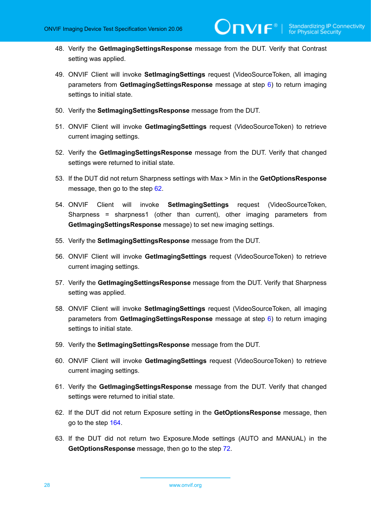- 48. Verify the **GetImagingSettingsResponse** message from the DUT. Verify that Contrast setting was applied.
- 49. ONVIF Client will invoke **SetImagingSettings** request (VideoSourceToken, all imaging parameters from **GetImagingSettingsResponse** message at step [6](#page-24-0)) to return imaging settings to initial state.
- 50. Verify the **SetImagingSettingsResponse** message from the DUT.
- 51. ONVIF Client will invoke **GetImagingSettings** request (VideoSourceToken) to retrieve current imaging settings.
- 52. Verify the **GetImagingSettingsResponse** message from the DUT. Verify that changed settings were returned to initial state.
- <span id="page-27-0"></span>53. If the DUT did not return Sharpness settings with Max > Min in the **GetOptionsResponse** message, then go to the step [62.](#page-27-1)
- 54. ONVIF Client will invoke **SetImagingSettings** request (VideoSourceToken, Sharpness = sharpness1 (other than current), other imaging parameters from **GetImagingSettingsResponse** message) to set new imaging settings.
- 55. Verify the **SetImagingSettingsResponse** message from the DUT.
- 56. ONVIF Client will invoke **GetImagingSettings** request (VideoSourceToken) to retrieve current imaging settings.
- 57. Verify the **GetImagingSettingsResponse** message from the DUT. Verify that Sharpness setting was applied.
- 58. ONVIF Client will invoke **SetImagingSettings** request (VideoSourceToken, all imaging parameters from **GetImagingSettingsResponse** message at step [6](#page-24-0)) to return imaging settings to initial state.
- 59. Verify the **SetImagingSettingsResponse** message from the DUT.
- 60. ONVIF Client will invoke **GetImagingSettings** request (VideoSourceToken) to retrieve current imaging settings.
- 61. Verify the **GetImagingSettingsResponse** message from the DUT. Verify that changed settings were returned to initial state.
- <span id="page-27-1"></span>62. If the DUT did not return Exposure setting in the **GetOptionsResponse** message, then go to the step [164.](#page-34-0)
- 63. If the DUT did not return two Exposure.Mode settings (AUTO and MANUAL) in the **GetOptionsResponse** message, then go to the step [72.](#page-28-0)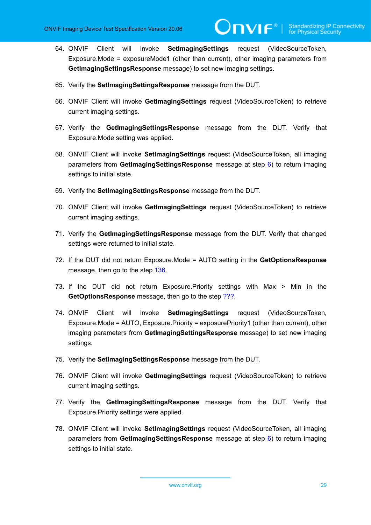- 64. ONVIF Client will invoke **SetImagingSettings** request (VideoSourceToken, Exposure.Mode = exposureMode1 (other than current), other imaging parameters from **GetImagingSettingsResponse** message) to set new imaging settings.
- 65. Verify the **SetImagingSettingsResponse** message from the DUT.
- 66. ONVIF Client will invoke **GetImagingSettings** request (VideoSourceToken) to retrieve current imaging settings.
- 67. Verify the **GetImagingSettingsResponse** message from the DUT. Verify that Exposure.Mode setting was applied.
- 68. ONVIF Client will invoke **SetImagingSettings** request (VideoSourceToken, all imaging parameters from **GetImagingSettingsResponse** message at step [6](#page-24-0)) to return imaging settings to initial state.
- 69. Verify the **SetImagingSettingsResponse** message from the DUT.
- 70. ONVIF Client will invoke **GetImagingSettings** request (VideoSourceToken) to retrieve current imaging settings.
- 71. Verify the **GetImagingSettingsResponse** message from the DUT. Verify that changed settings were returned to initial state.
- <span id="page-28-0"></span>72. If the DUT did not return Exposure.Mode = AUTO setting in the **GetOptionsResponse** message, then go to the step [136](#page-32-0).
- 73. If the DUT did not return Exposure.Priority settings with Max > Min in the **GetOptionsResponse** message, then go to the step [???.](#page-29-0)
- 74. ONVIF Client will invoke **SetImagingSettings** request (VideoSourceToken, Exposure.Mode = AUTO, Exposure.Priority = exposurePriority1 (other than current), other imaging parameters from **GetImagingSettingsResponse** message) to set new imaging settings.
- 75. Verify the **SetImagingSettingsResponse** message from the DUT.
- 76. ONVIF Client will invoke **GetImagingSettings** request (VideoSourceToken) to retrieve current imaging settings.
- 77. Verify the **GetImagingSettingsResponse** message from the DUT. Verify that Exposure.Priority settings were applied.
- 78. ONVIF Client will invoke **SetImagingSettings** request (VideoSourceToken, all imaging parameters from **GetImagingSettingsResponse** message at step [6](#page-24-0)) to return imaging settings to initial state.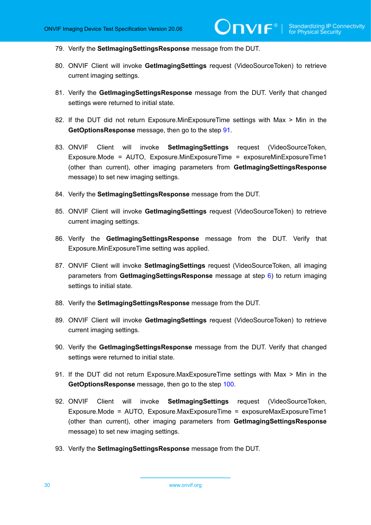- 79. Verify the **SetImagingSettingsResponse** message from the DUT.
- 80. ONVIF Client will invoke **GetImagingSettings** request (VideoSourceToken) to retrieve current imaging settings.
- 81. Verify the **GetImagingSettingsResponse** message from the DUT. Verify that changed settings were returned to initial state.
- <span id="page-29-0"></span>82. If the DUT did not return Exposure.MinExposureTime settings with Max > Min in the **GetOptionsResponse** message, then go to the step [91.](#page-29-1)
- 83. ONVIF Client will invoke **SetImagingSettings** request (VideoSourceToken, Exposure.Mode = AUTO, Exposure.MinExposureTime = exposureMinExposureTime1 (other than current), other imaging parameters from **GetImagingSettingsResponse** message) to set new imaging settings.
- 84. Verify the **SetImagingSettingsResponse** message from the DUT.
- 85. ONVIF Client will invoke **GetImagingSettings** request (VideoSourceToken) to retrieve current imaging settings.
- 86. Verify the **GetImagingSettingsResponse** message from the DUT. Verify that Exposure.MinExposureTime setting was applied.
- 87. ONVIF Client will invoke **SetImagingSettings** request (VideoSourceToken, all imaging parameters from **GetImagingSettingsResponse** message at step [6](#page-24-0)) to return imaging settings to initial state.
- 88. Verify the **SetImagingSettingsResponse** message from the DUT.
- 89. ONVIF Client will invoke **GetImagingSettings** request (VideoSourceToken) to retrieve current imaging settings.
- 90. Verify the **GetImagingSettingsResponse** message from the DUT. Verify that changed settings were returned to initial state.
- <span id="page-29-1"></span>91. If the DUT did not return Exposure.MaxExposureTime settings with Max > Min in the **GetOptionsResponse** message, then go to the step [100.](#page-30-0)
- 92. ONVIF Client will invoke **SetImagingSettings** request (VideoSourceToken, Exposure.Mode = AUTO, Exposure.MaxExposureTime = exposureMaxExposureTime1 (other than current), other imaging parameters from **GetImagingSettingsResponse** message) to set new imaging settings.
- 93. Verify the **SetImagingSettingsResponse** message from the DUT.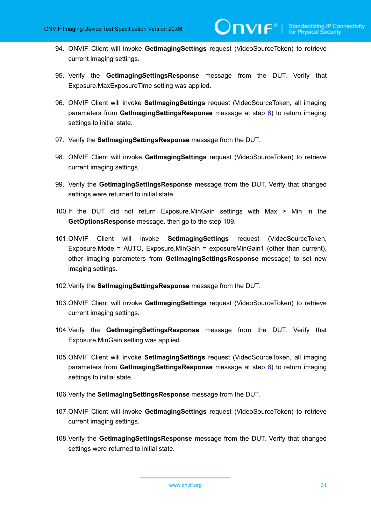- 94. ONVIF Client will invoke **GetImagingSettings** request (VideoSourceToken) to retrieve current imaging settings.
- 95. Verify the **GetImagingSettingsResponse** message from the DUT. Verify that Exposure.MaxExposureTime setting was applied.
- 96. ONVIF Client will invoke **SetImagingSettings** request (VideoSourceToken, all imaging parameters from **GetImagingSettingsResponse** message at step [6](#page-24-0)) to return imaging settings to initial state.
- 97. Verify the **SetImagingSettingsResponse** message from the DUT.
- 98. ONVIF Client will invoke **GetImagingSettings** request (VideoSourceToken) to retrieve current imaging settings.
- 99. Verify the **GetImagingSettingsResponse** message from the DUT. Verify that changed settings were returned to initial state.
- <span id="page-30-0"></span>100.If the DUT did not return Exposure.MinGain settings with Max > Min in the **GetOptionsResponse** message, then go to the step [109.](#page-31-0)
- 101.ONVIF Client will invoke **SetImagingSettings** request (VideoSourceToken, Exposure.Mode = AUTO, Exposure.MinGain = exposureMinGain1 (other than current), other imaging parameters from **GetImagingSettingsResponse** message) to set new imaging settings.
- 102.Verify the **SetImagingSettingsResponse** message from the DUT.
- 103.ONVIF Client will invoke **GetImagingSettings** request (VideoSourceToken) to retrieve current imaging settings.
- 104.Verify the **GetImagingSettingsResponse** message from the DUT. Verify that Exposure.MinGain setting was applied.
- 105.ONVIF Client will invoke **SetImagingSettings** request (VideoSourceToken, all imaging parameters from **GetImagingSettingsResponse** message at step [6](#page-24-0)) to return imaging settings to initial state.
- 106.Verify the **SetImagingSettingsResponse** message from the DUT.
- 107.ONVIF Client will invoke **GetImagingSettings** request (VideoSourceToken) to retrieve current imaging settings.
- 108.Verify the **GetImagingSettingsResponse** message from the DUT. Verify that changed settings were returned to initial state.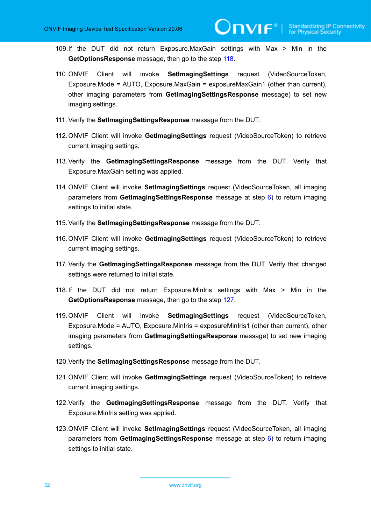- <span id="page-31-0"></span>109.If the DUT did not return Exposure.MaxGain settings with Max > Min in the **GetOptionsResponse** message, then go to the step [118.](#page-31-1)
- 110.ONVIF Client will invoke **SetImagingSettings** request (VideoSourceToken, Exposure.Mode = AUTO, Exposure.MaxGain = exposureMaxGain1 (other than current), other imaging parameters from **GetImagingSettingsResponse** message) to set new imaging settings.
- 111. Verify the **SetImagingSettingsResponse** message from the DUT.
- 112.ONVIF Client will invoke **GetImagingSettings** request (VideoSourceToken) to retrieve current imaging settings.
- 113.Verify the **GetImagingSettingsResponse** message from the DUT. Verify that Exposure.MaxGain setting was applied.
- 114.ONVIF Client will invoke **SetImagingSettings** request (VideoSourceToken, all imaging parameters from **GetImagingSettingsResponse** message at step [6](#page-24-0)) to return imaging settings to initial state.
- 115.Verify the **SetImagingSettingsResponse** message from the DUT.
- 116.ONVIF Client will invoke **GetImagingSettings** request (VideoSourceToken) to retrieve current imaging settings.
- 117.Verify the **GetImagingSettingsResponse** message from the DUT. Verify that changed settings were returned to initial state.
- <span id="page-31-1"></span>118.If the DUT did not return Exposure.MinIris settings with Max > Min in the **GetOptionsResponse** message, then go to the step [127.](#page-32-1)
- 119.ONVIF Client will invoke **SetImagingSettings** request (VideoSourceToken, Exposure.Mode = AUTO, Exposure.MinIris = exposureMinIris1 (other than current), other imaging parameters from **GetImagingSettingsResponse** message) to set new imaging settings.
- 120.Verify the **SetImagingSettingsResponse** message from the DUT.
- 121.ONVIF Client will invoke **GetImagingSettings** request (VideoSourceToken) to retrieve current imaging settings.
- 122.Verify the **GetImagingSettingsResponse** message from the DUT. Verify that Exposure.MinIris setting was applied.
- 123.ONVIF Client will invoke **SetImagingSettings** request (VideoSourceToken, all imaging parameters from **GetImagingSettingsResponse** message at step [6](#page-24-0)) to return imaging settings to initial state.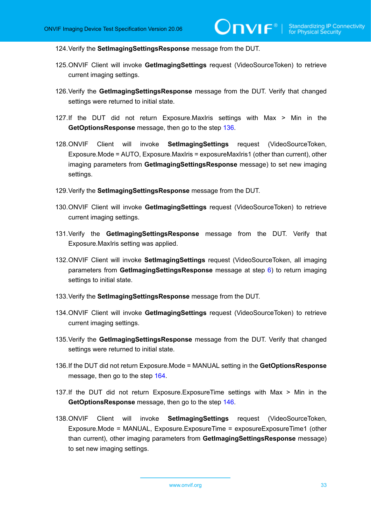124.Verify the **SetImagingSettingsResponse** message from the DUT.

- 125.ONVIF Client will invoke **GetImagingSettings** request (VideoSourceToken) to retrieve current imaging settings.
- 126.Verify the **GetImagingSettingsResponse** message from the DUT. Verify that changed settings were returned to initial state.
- <span id="page-32-1"></span>127.If the DUT did not return Exposure.MaxIris settings with Max > Min in the **GetOptionsResponse** message, then go to the step [136.](#page-32-0)
- 128.ONVIF Client will invoke **SetImagingSettings** request (VideoSourceToken, Exposure.Mode = AUTO, Exposure.MaxIris = exposureMaxIris1 (other than current), other imaging parameters from **GetImagingSettingsResponse** message) to set new imaging settings.
- 129.Verify the **SetImagingSettingsResponse** message from the DUT.
- 130.ONVIF Client will invoke **GetImagingSettings** request (VideoSourceToken) to retrieve current imaging settings.
- 131.Verify the **GetImagingSettingsResponse** message from the DUT. Verify that Exposure.MaxIris setting was applied.
- 132.ONVIF Client will invoke **SetImagingSettings** request (VideoSourceToken, all imaging parameters from **GetImagingSettingsResponse** message at step [6](#page-24-0)) to return imaging settings to initial state.
- 133.Verify the **SetImagingSettingsResponse** message from the DUT.
- 134.ONVIF Client will invoke **GetImagingSettings** request (VideoSourceToken) to retrieve current imaging settings.
- 135.Verify the **GetImagingSettingsResponse** message from the DUT. Verify that changed settings were returned to initial state.
- <span id="page-32-0"></span>136.If the DUT did not return Exposure.Mode = MANUAL setting in the **GetOptionsResponse** message, then go to the step [164](#page-34-0).
- 137.If the DUT did not return Exposure.ExposureTime settings with Max > Min in the **GetOptionsResponse** message, then go to the step [146.](#page-33-0)
- 138.ONVIF Client will invoke **SetImagingSettings** request (VideoSourceToken, Exposure.Mode = MANUAL, Exposure.ExposureTime = exposureExposureTime1 (other than current), other imaging parameters from **GetImagingSettingsResponse** message) to set new imaging settings.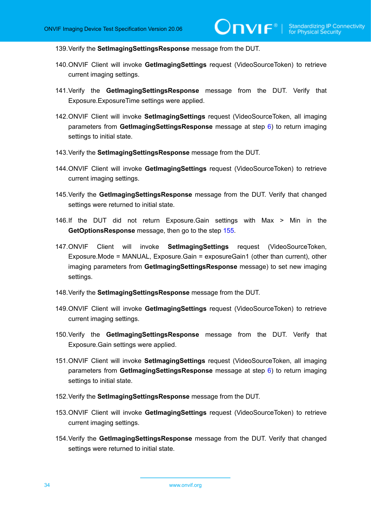139.Verify the **SetImagingSettingsResponse** message from the DUT.

- 140.ONVIF Client will invoke **GetImagingSettings** request (VideoSourceToken) to retrieve current imaging settings.
- 141.Verify the **GetImagingSettingsResponse** message from the DUT. Verify that Exposure.ExposureTime settings were applied.
- 142.ONVIF Client will invoke **SetImagingSettings** request (VideoSourceToken, all imaging parameters from **GetImagingSettingsResponse** message at step [6](#page-24-0)) to return imaging settings to initial state.
- 143.Verify the **SetImagingSettingsResponse** message from the DUT.
- 144.ONVIF Client will invoke **GetImagingSettings** request (VideoSourceToken) to retrieve current imaging settings.
- 145.Verify the **GetImagingSettingsResponse** message from the DUT. Verify that changed settings were returned to initial state.
- <span id="page-33-0"></span>146.If the DUT did not return Exposure.Gain settings with Max > Min in the **GetOptionsResponse** message, then go to the step [155.](#page-34-1)
- 147.ONVIF Client will invoke **SetImagingSettings** request (VideoSourceToken, Exposure.Mode = MANUAL, Exposure.Gain = exposureGain1 (other than current), other imaging parameters from **GetImagingSettingsResponse** message) to set new imaging settings.
- 148.Verify the **SetImagingSettingsResponse** message from the DUT.
- 149.ONVIF Client will invoke **GetImagingSettings** request (VideoSourceToken) to retrieve current imaging settings.
- 150.Verify the **GetImagingSettingsResponse** message from the DUT. Verify that Exposure.Gain settings were applied.
- 151.ONVIF Client will invoke **SetImagingSettings** request (VideoSourceToken, all imaging parameters from **GetImagingSettingsResponse** message at step [6](#page-24-0)) to return imaging settings to initial state.
- 152.Verify the **SetImagingSettingsResponse** message from the DUT.
- 153.ONVIF Client will invoke **GetImagingSettings** request (VideoSourceToken) to retrieve current imaging settings.
- 154.Verify the **GetImagingSettingsResponse** message from the DUT. Verify that changed settings were returned to initial state.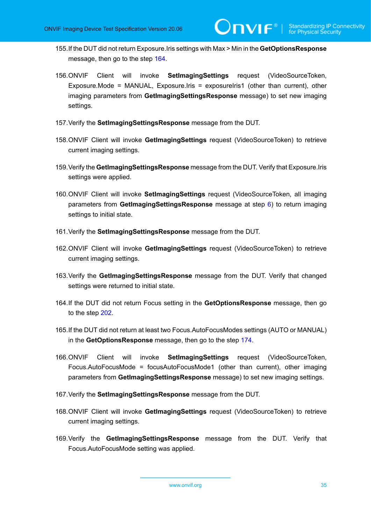- <span id="page-34-1"></span>155.If the DUT did not return Exposure.Iris settings with Max > Min in the **GetOptionsResponse** message, then go to the step [164](#page-34-0).
- 156.ONVIF Client will invoke **SetImagingSettings** request (VideoSourceToken, Exposure.Mode = MANUAL, Exposure.Iris = exposureIris1 (other than current), other imaging parameters from **GetImagingSettingsResponse** message) to set new imaging settings.
- 157.Verify the **SetImagingSettingsResponse** message from the DUT.
- 158.ONVIF Client will invoke **GetImagingSettings** request (VideoSourceToken) to retrieve current imaging settings.
- 159.Verify the **GetImagingSettingsResponse** message from the DUT. Verify that Exposure.Iris settings were applied.
- 160.ONVIF Client will invoke **SetImagingSettings** request (VideoSourceToken, all imaging parameters from **GetImagingSettingsResponse** message at step [6](#page-24-0)) to return imaging settings to initial state.
- 161.Verify the **SetImagingSettingsResponse** message from the DUT.
- 162.ONVIF Client will invoke **GetImagingSettings** request (VideoSourceToken) to retrieve current imaging settings.
- 163.Verify the **GetImagingSettingsResponse** message from the DUT. Verify that changed settings were returned to initial state.
- <span id="page-34-0"></span>164.If the DUT did not return Focus setting in the **GetOptionsResponse** message, then go to the step [202](#page-37-0).
- 165.If the DUT did not return at least two Focus.AutoFocusModes settings (AUTO or MANUAL) in the **GetOptionsResponse** message, then go to the step [174](#page-35-0).
- 166.ONVIF Client will invoke **SetImagingSettings** request (VideoSourceToken, Focus.AutoFocusMode = focusAutoFocusMode1 (other than current), other imaging parameters from **GetImagingSettingsResponse** message) to set new imaging settings.
- 167.Verify the **SetImagingSettingsResponse** message from the DUT.
- 168.ONVIF Client will invoke **GetImagingSettings** request (VideoSourceToken) to retrieve current imaging settings.
- 169.Verify the **GetImagingSettingsResponse** message from the DUT. Verify that Focus.AutoFocusMode setting was applied.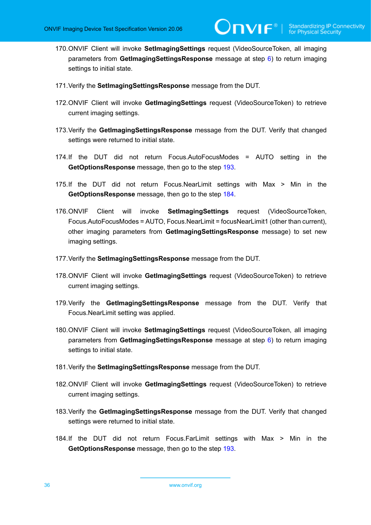- 170.ONVIF Client will invoke **SetImagingSettings** request (VideoSourceToken, all imaging parameters from **GetImagingSettingsResponse** message at step [6](#page-24-0)) to return imaging settings to initial state.
- 171.Verify the **SetImagingSettingsResponse** message from the DUT.
- 172.ONVIF Client will invoke **GetImagingSettings** request (VideoSourceToken) to retrieve current imaging settings.
- 173.Verify the **GetImagingSettingsResponse** message from the DUT. Verify that changed settings were returned to initial state.
- <span id="page-35-0"></span>174.If the DUT did not return Focus.AutoFocusModes = AUTO setting in the **GetOptionsResponse** message, then go to the step [193.](#page-36-0)
- 175.If the DUT did not return Focus.NearLimit settings with Max > Min in the **GetOptionsResponse** message, then go to the step [184.](#page-35-1)
- 176.ONVIF Client will invoke **SetImagingSettings** request (VideoSourceToken, Focus.AutoFocusModes = AUTO, Focus.NearLimit = focusNearLimit1 (other than current), other imaging parameters from **GetImagingSettingsResponse** message) to set new imaging settings.
- 177.Verify the **SetImagingSettingsResponse** message from the DUT.
- 178.ONVIF Client will invoke **GetImagingSettings** request (VideoSourceToken) to retrieve current imaging settings.
- 179.Verify the **GetImagingSettingsResponse** message from the DUT. Verify that Focus.NearLimit setting was applied.
- 180.ONVIF Client will invoke **SetImagingSettings** request (VideoSourceToken, all imaging parameters from **GetImagingSettingsResponse** message at step [6](#page-24-0)) to return imaging settings to initial state.
- 181.Verify the **SetImagingSettingsResponse** message from the DUT.
- 182.ONVIF Client will invoke **GetImagingSettings** request (VideoSourceToken) to retrieve current imaging settings.
- 183.Verify the **GetImagingSettingsResponse** message from the DUT. Verify that changed settings were returned to initial state.
- <span id="page-35-1"></span>184.If the DUT did not return Focus.FarLimit settings with Max > Min in the **GetOptionsResponse** message, then go to the step [193.](#page-36-0)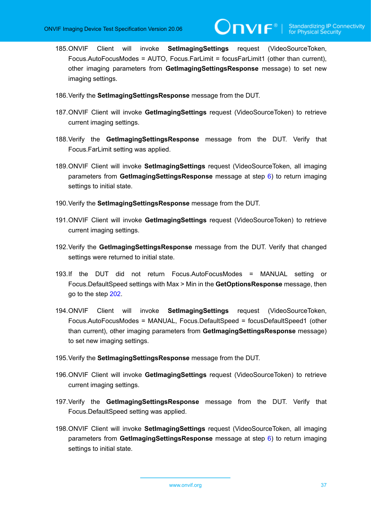**IVIF**®

- 185.ONVIF Client will invoke **SetImagingSettings** request (VideoSourceToken, Focus.AutoFocusModes = AUTO, Focus.FarLimit = focusFarLimit1 (other than current), other imaging parameters from **GetImagingSettingsResponse** message) to set new imaging settings.
- 186.Verify the **SetImagingSettingsResponse** message from the DUT.
- 187.ONVIF Client will invoke **GetImagingSettings** request (VideoSourceToken) to retrieve current imaging settings.
- 188.Verify the **GetImagingSettingsResponse** message from the DUT. Verify that Focus.FarLimit setting was applied.
- 189.ONVIF Client will invoke **SetImagingSettings** request (VideoSourceToken, all imaging parameters from **GetImagingSettingsResponse** message at step [6](#page-24-0)) to return imaging settings to initial state.
- 190.Verify the **SetImagingSettingsResponse** message from the DUT.
- 191.ONVIF Client will invoke **GetImagingSettings** request (VideoSourceToken) to retrieve current imaging settings.
- 192.Verify the **GetImagingSettingsResponse** message from the DUT. Verify that changed settings were returned to initial state.
- 193.If the DUT did not return Focus.AutoFocusModes = MANUAL setting or Focus.DefaultSpeed settings with Max > Min in the **GetOptionsResponse** message, then go to the step [202.](#page-37-0)
- 194.ONVIF Client will invoke **SetImagingSettings** request (VideoSourceToken, Focus.AutoFocusModes = MANUAL, Focus.DefaultSpeed = focusDefaultSpeed1 (other than current), other imaging parameters from **GetImagingSettingsResponse** message) to set new imaging settings.
- 195.Verify the **SetImagingSettingsResponse** message from the DUT.
- 196.ONVIF Client will invoke **GetImagingSettings** request (VideoSourceToken) to retrieve current imaging settings.
- 197.Verify the **GetImagingSettingsResponse** message from the DUT. Verify that Focus.DefaultSpeed setting was applied.
- 198.ONVIF Client will invoke **SetImagingSettings** request (VideoSourceToken, all imaging parameters from **GetImagingSettingsResponse** message at step [6](#page-24-0)) to return imaging settings to initial state.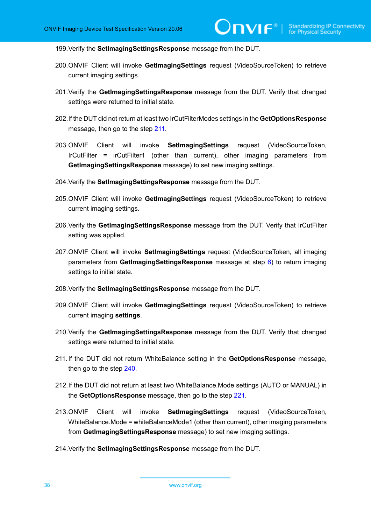199.Verify the **SetImagingSettingsResponse** message from the DUT.

- 200.ONVIF Client will invoke **GetImagingSettings** request (VideoSourceToken) to retrieve current imaging settings.
- 201.Verify the **GetImagingSettingsResponse** message from the DUT. Verify that changed settings were returned to initial state.
- <span id="page-37-0"></span>202.If the DUT did not return at least two IrCutFilterModes settings in the **GetOptionsResponse** message, then go to the step [211.](#page-37-1)
- <span id="page-37-2"></span>203.ONVIF Client will invoke **SetImagingSettings** request (VideoSourceToken, IrCutFilter = irCutFilter1 (other than current), other imaging parameters from **GetImagingSettingsResponse** message) to set new imaging settings.
- 204.Verify the **SetImagingSettingsResponse** message from the DUT.
- 205.ONVIF Client will invoke **GetImagingSettings** request (VideoSourceToken) to retrieve current imaging settings.
- 206.Verify the **GetImagingSettingsResponse** message from the DUT. Verify that IrCutFilter setting was applied.
- 207.ONVIF Client will invoke **SetImagingSettings** request (VideoSourceToken, all imaging parameters from **GetImagingSettingsResponse** message at step [6](#page-24-0)) to return imaging settings to initial state.
- 208.Verify the **SetImagingSettingsResponse** message from the DUT.
- 209.ONVIF Client will invoke **GetImagingSettings** request (VideoSourceToken) to retrieve current imaging **settings**.
- 210.Verify the **GetImagingSettingsResponse** message from the DUT. Verify that changed settings were returned to initial state.
- <span id="page-37-1"></span>211.If the DUT did not return WhiteBalance setting in the **GetOptionsResponse** message, then go to the step [240](#page-39-0).
- 212.If the DUT did not return at least two WhiteBalance.Mode settings (AUTO or MANUAL) in the **GetOptionsResponse** message, then go to the step [221](#page-38-0).
- 213.ONVIF Client will invoke **SetImagingSettings** request (VideoSourceToken, WhiteBalance.Mode = whiteBalanceMode1 (other than current), other imaging parameters from **GetImagingSettingsResponse** message) to set new imaging settings.
- 214.Verify the **SetImagingSettingsResponse** message from the DUT.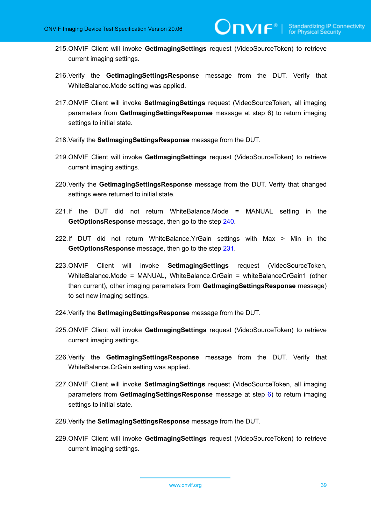- 215.ONVIF Client will invoke **GetImagingSettings** request (VideoSourceToken) to retrieve current imaging settings.
- 216.Verify the **GetImagingSettingsResponse** message from the DUT. Verify that WhiteBalance.Mode setting was applied.
- 217.ONVIF Client will invoke **SetImagingSettings** request (VideoSourceToken, all imaging parameters from **GetImagingSettingsResponse** message at step 6) to return imaging settings to initial state.
- 218.Verify the **SetImagingSettingsResponse** message from the DUT.
- 219.ONVIF Client will invoke **GetImagingSettings** request (VideoSourceToken) to retrieve current imaging settings.
- 220.Verify the **GetImagingSettingsResponse** message from the DUT. Verify that changed settings were returned to initial state.
- <span id="page-38-0"></span>221.If the DUT did not return WhiteBalance.Mode = MANUAL setting in the **GetOptionsResponse** message, then go to the step [240.](#page-39-0)
- 222.If DUT did not return WhiteBalance.YrGain settings with Max > Min in the **GetOptionsResponse** message, then go to the step [231.](#page-39-1)
- 223.ONVIF Client will invoke **SetImagingSettings** request (VideoSourceToken, WhiteBalance.Mode = MANUAL, WhiteBalance.CrGain = whiteBalanceCrGain1 (other than current), other imaging parameters from **GetImagingSettingsResponse** message) to set new imaging settings.
- 224.Verify the **SetImagingSettingsResponse** message from the DUT.
- 225.ONVIF Client will invoke **GetImagingSettings** request (VideoSourceToken) to retrieve current imaging settings.
- 226.Verify the **GetImagingSettingsResponse** message from the DUT. Verify that WhiteBalance.CrGain setting was applied.
- 227.ONVIF Client will invoke **SetImagingSettings** request (VideoSourceToken, all imaging parameters from **GetImagingSettingsResponse** message at step [6](#page-24-0)) to return imaging settings to initial state.
- 228.Verify the **SetImagingSettingsResponse** message from the DUT.
- 229.ONVIF Client will invoke **GetImagingSettings** request (VideoSourceToken) to retrieve current imaging settings.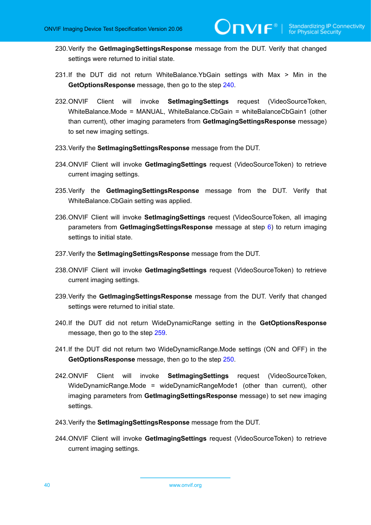- 230.Verify the **GetImagingSettingsResponse** message from the DUT. Verify that changed settings were returned to initial state.
- <span id="page-39-1"></span>231.If the DUT did not return WhiteBalance.YbGain settings with Max > Min in the **GetOptionsResponse** message, then go to the step [240.](#page-39-0)
- 232.ONVIF Client will invoke **SetImagingSettings** request (VideoSourceToken, WhiteBalance.Mode = MANUAL, WhiteBalance.CbGain = whiteBalanceCbGain1 (other than current), other imaging parameters from **GetImagingSettingsResponse** message) to set new imaging settings.
- 233.Verify the **SetImagingSettingsResponse** message from the DUT.
- 234.ONVIF Client will invoke **GetImagingSettings** request (VideoSourceToken) to retrieve current imaging settings.
- 235.Verify the **GetImagingSettingsResponse** message from the DUT. Verify that WhiteBalance.CbGain setting was applied.
- 236.ONVIF Client will invoke **SetImagingSettings** request (VideoSourceToken, all imaging parameters from **GetImagingSettingsResponse** message at step [6](#page-24-0)) to return imaging settings to initial state.
- 237.Verify the **SetImagingSettingsResponse** message from the DUT.
- 238.ONVIF Client will invoke **GetImagingSettings** request (VideoSourceToken) to retrieve current imaging settings.
- 239.Verify the **GetImagingSettingsResponse** message from the DUT. Verify that changed settings were returned to initial state.
- <span id="page-39-0"></span>240.If the DUT did not return WideDynamicRange setting in the **GetOptionsResponse** message, then go to the step [259](#page-40-0).
- 241.If the DUT did not return two WideDynamicRange.Mode settings (ON and OFF) in the **GetOptionsResponse** message, then go to the step [250.](#page-40-1)
- 242.ONVIF Client will invoke **SetImagingSettings** request (VideoSourceToken, WideDynamicRange.Mode = wideDynamicRangeMode1 (other than current), other imaging parameters from **GetImagingSettingsResponse** message) to set new imaging settings.
- 243.Verify the **SetImagingSettingsResponse** message from the DUT.
- 244.ONVIF Client will invoke **GetImagingSettings** request (VideoSourceToken) to retrieve current imaging settings.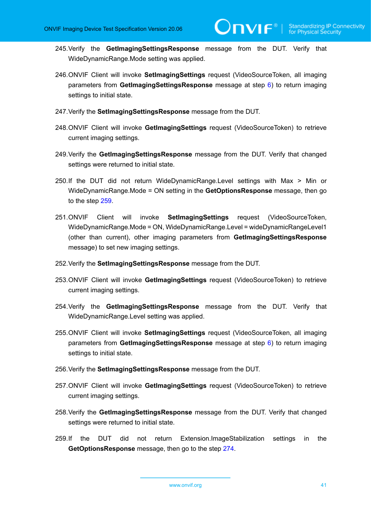- 245.Verify the **GetImagingSettingsResponse** message from the DUT. Verify that WideDynamicRange.Mode setting was applied.
- 246.ONVIF Client will invoke **SetImagingSettings** request (VideoSourceToken, all imaging parameters from **GetImagingSettingsResponse** message at step [6](#page-24-0)) to return imaging settings to initial state.
- 247.Verify the **SetImagingSettingsResponse** message from the DUT.
- 248.ONVIF Client will invoke **GetImagingSettings** request (VideoSourceToken) to retrieve current imaging settings.
- 249.Verify the **GetImagingSettingsResponse** message from the DUT. Verify that changed settings were returned to initial state.
- <span id="page-40-1"></span>250.If the DUT did not return WideDynamicRange.Level settings with Max > Min or WideDynamicRange.Mode = ON setting in the **GetOptionsResponse** message, then go to the step [259](#page-40-0).
- 251.ONVIF Client will invoke **SetImagingSettings** request (VideoSourceToken, WideDynamicRange.Mode = ON, WideDynamicRange.Level = wideDynamicRangeLevel1 (other than current), other imaging parameters from **GetImagingSettingsResponse** message) to set new imaging settings.
- 252.Verify the **SetImagingSettingsResponse** message from the DUT.
- 253.ONVIF Client will invoke **GetImagingSettings** request (VideoSourceToken) to retrieve current imaging settings.
- 254.Verify the **GetImagingSettingsResponse** message from the DUT. Verify that WideDynamicRange.Level setting was applied.
- 255.ONVIF Client will invoke **SetImagingSettings** request (VideoSourceToken, all imaging parameters from **GetImagingSettingsResponse** message at step [6](#page-24-0)) to return imaging settings to initial state.
- 256.Verify the **SetImagingSettingsResponse** message from the DUT.
- 257.ONVIF Client will invoke **GetImagingSettings** request (VideoSourceToken) to retrieve current imaging settings.
- 258.Verify the **GetImagingSettingsResponse** message from the DUT. Verify that changed settings were returned to initial state.
- <span id="page-40-0"></span>259.If the DUT did not return Extension.ImageStabilization settings in the **GetOptionsResponse** message, then go to the step [274.](#page-42-0)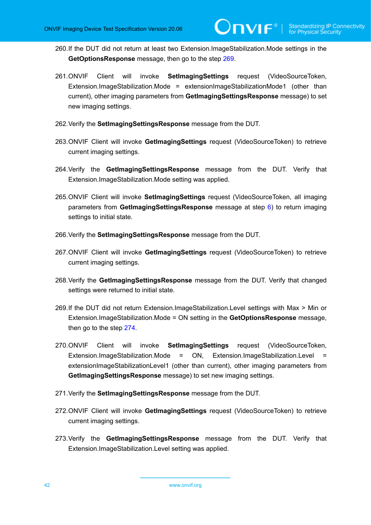- 260.If the DUT did not return at least two Extension.ImageStabilization.Mode settings in the **GetOptionsResponse** message, then go to the step [269.](#page-41-0)
- 261.ONVIF Client will invoke **SetImagingSettings** request (VideoSourceToken, Extension.ImageStabilization.Mode = extensionImageStabilizationMode1 (other than current), other imaging parameters from **GetImagingSettingsResponse** message) to set new imaging settings.
- 262.Verify the **SetImagingSettingsResponse** message from the DUT.
- 263.ONVIF Client will invoke **GetImagingSettings** request (VideoSourceToken) to retrieve current imaging settings.
- 264.Verify the **GetImagingSettingsResponse** message from the DUT. Verify that Extension.ImageStabilization.Mode setting was applied.
- 265.ONVIF Client will invoke **SetImagingSettings** request (VideoSourceToken, all imaging parameters from **GetImagingSettingsResponse** message at step [6](#page-24-0)) to return imaging settings to initial state.
- 266.Verify the **SetImagingSettingsResponse** message from the DUT.
- 267.ONVIF Client will invoke **GetImagingSettings** request (VideoSourceToken) to retrieve current imaging settings.
- 268.Verify the **GetImagingSettingsResponse** message from the DUT. Verify that changed settings were returned to initial state.
- <span id="page-41-0"></span>269.If the DUT did not return Extension.ImageStabilization.Level settings with Max > Min or Extension.ImageStabilization.Mode = ON setting in the **GetOptionsResponse** message, then go to the step [274](#page-42-0).
- 270.ONVIF Client will invoke **SetImagingSettings** request (VideoSourceToken, Extension.ImageStabilization.Mode = ON, Extension.ImageStabilization.Level extensionImageStabilizationLevel1 (other than current), other imaging parameters from **GetImagingSettingsResponse** message) to set new imaging settings.
- 271.Verify the **SetImagingSettingsResponse** message from the DUT.
- 272.ONVIF Client will invoke **GetImagingSettings** request (VideoSourceToken) to retrieve current imaging settings.
- 273.Verify the **GetImagingSettingsResponse** message from the DUT. Verify that Extension.ImageStabilization.Level setting was applied.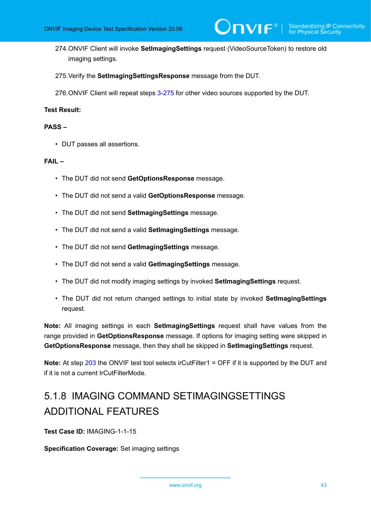- <span id="page-42-0"></span>274.ONVIF Client will invoke **SetImagingSettings** request (VideoSourceToken) to restore old imaging settings.
- <span id="page-42-1"></span>275.Verify the **SetImagingSettingsResponse** message from the DUT.

276.ONVIF Client will repeat steps [3](#page-24-1)-[275](#page-42-1) for other video sources supported by the DUT.

### **Test Result:**

## **PASS –**

• DUT passes all assertions.

### **FAIL –**

- The DUT did not send **GetOptionsResponse** message.
- The DUT did not send a valid **GetOptionsResponse** message.
- The DUT did not send **SetImagingSettings** message.
- The DUT did not send a valid **SetImagingSettings** message.
- The DUT did not send **GetImagingSettings** message.
- The DUT did not send a valid **GetImagingSettings** message.
- The DUT did not modify imaging settings by invoked **SetImagingSettings** request.
- The DUT did not return changed settings to initial state by invoked **SetImagingSettings** request.

**Note:** All imaging settings in each **SetImagingSettings** request shall have values from the range provided in **GetOptionsResponse** message. If options for imaging setting were skipped in **GetOptionsResponse** message, then they shall be skipped in **SetImagingSettings** request.

**Note:** At step [203](#page-37-2) the ONVIF test tool selects irCutFilter1 = OFF if it is supported by the DUT and if it is not a current IrCutFilterMode.

# 5.1.8 IMAGING COMMAND SETIMAGINGSETTINGS ADDITIONAL FEATURES

**Test Case ID:** IMAGING-1-1-15

**Specification Coverage:** Set imaging settings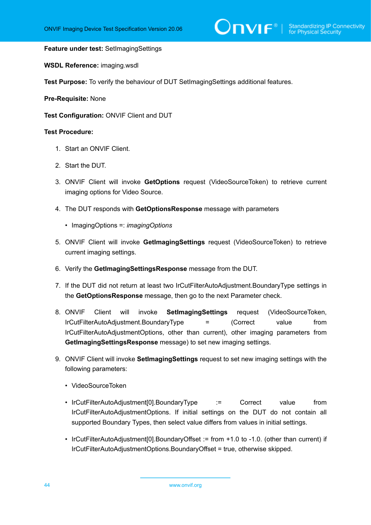### **Feature under test:** SetImagingSettings

**WSDL Reference:** imaging.wsdl

**Test Purpose:** To verify the behaviour of DUT SetImagingSettings additional features.

**Pre-Requisite:** None

**Test Configuration:** ONVIF Client and DUT

#### **Test Procedure:**

- 1. Start an ONVIF Client.
- 2. Start the DUT.
- 3. ONVIF Client will invoke **GetOptions** request (VideoSourceToken) to retrieve current imaging options for Video Source.
- 4. The DUT responds with **GetOptionsResponse** message with parameters
	- ImagingOptions =: *imagingOptions*
- 5. ONVIF Client will invoke **GetImagingSettings** request (VideoSourceToken) to retrieve current imaging settings.
- <span id="page-43-0"></span>6. Verify the **GetImagingSettingsResponse** message from the DUT.
- 7. If the DUT did not return at least two IrCutFilterAutoAdjustment.BoundaryType settings in the **GetOptionsResponse** message, then go to the next Parameter check.
- 8. ONVIF Client will invoke **SetImagingSettings** request (VideoSourceToken, IrCutFilterAutoAdjustment.BoundaryType = (Correct value from IrCutFilterAutoAdjustmentOptions, other than current), other imaging parameters from **GetImagingSettingsResponse** message) to set new imaging settings.
- 9. ONVIF Client will invoke **SetImagingSettings** request to set new imaging settings with the following parameters:
	- VideoSourceToken
	- IrCutFilterAutoAdjustment[0].BoundaryType := Correct value from IrCutFilterAutoAdjustmentOptions. If initial settings on the DUT do not contain all supported Boundary Types, then select value differs from values in initial settings.
	- IrCutFilterAutoAdjustment[0].BoundaryOffset := from +1.0 to -1.0. (other than current) if IrCutFilterAutoAdjustmentOptions.BoundaryOffset = true, otherwise skipped.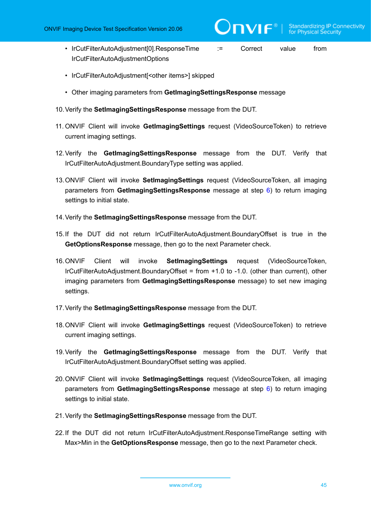- IrCutFilterAutoAdjustment[0].ResponseTime := Correct value from IrCutFilterAutoAdjustmentOptions
- IrCutFilterAutoAdjustment[<other items>] skipped
- Other imaging parameters from **GetImagingSettingsResponse** message
- 10.Verify the **SetImagingSettingsResponse** message from the DUT.
- 11. ONVIF Client will invoke **GetImagingSettings** request (VideoSourceToken) to retrieve current imaging settings.
- 12.Verify the **GetImagingSettingsResponse** message from the DUT. Verify that IrCutFilterAutoAdjustment.BoundaryType setting was applied.
- 13.ONVIF Client will invoke **SetImagingSettings** request (VideoSourceToken, all imaging parameters from **GetImagingSettingsResponse** message at step [6\)](#page-43-0) to return imaging settings to initial state.
- 14.Verify the **SetImagingSettingsResponse** message from the DUT.
- 15.If the DUT did not return IrCutFilterAutoAdjustment.BoundaryOffset is true in the **GetOptionsResponse** message, then go to the next Parameter check.
- 16.ONVIF Client will invoke **SetImagingSettings** request (VideoSourceToken, IrCutFilterAutoAdjustment.BoundaryOffset = from +1.0 to -1.0. (other than current), other imaging parameters from **GetImagingSettingsResponse** message) to set new imaging settings.
- 17.Verify the **SetImagingSettingsResponse** message from the DUT.
- 18.ONVIF Client will invoke **GetImagingSettings** request (VideoSourceToken) to retrieve current imaging settings.
- 19.Verify the **GetImagingSettingsResponse** message from the DUT. Verify that IrCutFilterAutoAdjustment.BoundaryOffset setting was applied.
- 20.ONVIF Client will invoke **SetImagingSettings** request (VideoSourceToken, all imaging parameters from **GetImagingSettingsResponse** message at step [6\)](#page-43-0) to return imaging settings to initial state.
- 21.Verify the **SetImagingSettingsResponse** message from the DUT.
- 22.If the DUT did not return IrCutFilterAutoAdjustment.ResponseTimeRange setting with Max>Min in the **GetOptionsResponse** message, then go to the next Parameter check.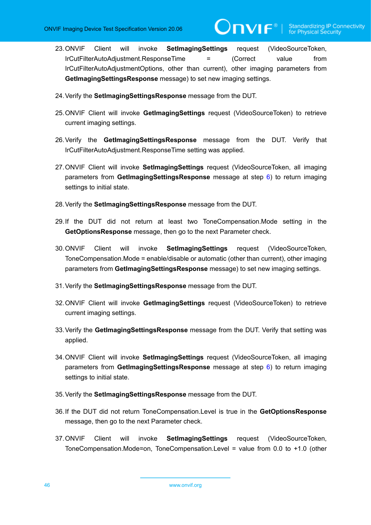23.ONVIF Client will invoke **SetImagingSettings** request (VideoSourceToken, IrCutFilterAutoAdjustment.ResponseTime = (Correct value from IrCutFilterAutoAdjustmentOptions, other than current), other imaging parameters from **GetImagingSettingsResponse** message) to set new imaging settings.

JNVIF®I

- 24.Verify the **SetImagingSettingsResponse** message from the DUT.
- 25.ONVIF Client will invoke **GetImagingSettings** request (VideoSourceToken) to retrieve current imaging settings.
- 26.Verify the **GetImagingSettingsResponse** message from the DUT. Verify that IrCutFilterAutoAdjustment.ResponseTime setting was applied.
- 27.ONVIF Client will invoke **SetImagingSettings** request (VideoSourceToken, all imaging parameters from **GetImagingSettingsResponse** message at step [6\)](#page-43-0) to return imaging settings to initial state.
- 28.Verify the **SetImagingSettingsResponse** message from the DUT.
- 29.If the DUT did not return at least two ToneCompensation.Mode setting in the **GetOptionsResponse** message, then go to the next Parameter check.
- 30.ONVIF Client will invoke **SetImagingSettings** request (VideoSourceToken, ToneCompensation.Mode = enable/disable or automatic (other than current), other imaging parameters from **GetImagingSettingsResponse** message) to set new imaging settings.
- 31.Verify the **SetImagingSettingsResponse** message from the DUT.
- 32.ONVIF Client will invoke **GetImagingSettings** request (VideoSourceToken) to retrieve current imaging settings.
- 33.Verify the **GetImagingSettingsResponse** message from the DUT. Verify that setting was applied.
- 34.ONVIF Client will invoke **SetImagingSettings** request (VideoSourceToken, all imaging parameters from **GetImagingSettingsResponse** message at step [6\)](#page-43-0) to return imaging settings to initial state.
- 35.Verify the **SetImagingSettingsResponse** message from the DUT.
- 36.If the DUT did not return ToneCompensation.Level is true in the **GetOptionsResponse** message, then go to the next Parameter check.
- 37.ONVIF Client will invoke **SetImagingSettings** request (VideoSourceToken, ToneCompensation.Mode=on, ToneCompensation.Level = value from 0.0 to +1.0 (other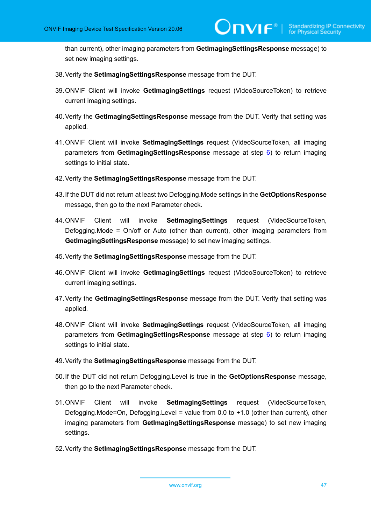than current), other imaging parameters from **GetImagingSettingsResponse** message) to set new imaging settings.

- 38.Verify the **SetImagingSettingsResponse** message from the DUT.
- 39.ONVIF Client will invoke **GetImagingSettings** request (VideoSourceToken) to retrieve current imaging settings.
- 40.Verify the **GetImagingSettingsResponse** message from the DUT. Verify that setting was applied.
- 41.ONVIF Client will invoke **SetImagingSettings** request (VideoSourceToken, all imaging parameters from **GetImagingSettingsResponse** message at step [6\)](#page-43-0) to return imaging settings to initial state.
- 42.Verify the **SetImagingSettingsResponse** message from the DUT.
- 43.If the DUT did not return at least two Defogging.Mode settings in the **GetOptionsResponse** message, then go to the next Parameter check.
- 44.ONVIF Client will invoke **SetImagingSettings** request (VideoSourceToken, Defogging.Mode = On/off or Auto (other than current), other imaging parameters from **GetImagingSettingsResponse** message) to set new imaging settings.
- 45.Verify the **SetImagingSettingsResponse** message from the DUT.
- 46.ONVIF Client will invoke **GetImagingSettings** request (VideoSourceToken) to retrieve current imaging settings.
- 47.Verify the **GetImagingSettingsResponse** message from the DUT. Verify that setting was applied.
- 48.ONVIF Client will invoke **SetImagingSettings** request (VideoSourceToken, all imaging parameters from **GetImagingSettingsResponse** message at step [6\)](#page-43-0) to return imaging settings to initial state.
- 49.Verify the **SetImagingSettingsResponse** message from the DUT.
- 50.If the DUT did not return Defogging.Level is true in the **GetOptionsResponse** message, then go to the next Parameter check.
- 51.ONVIF Client will invoke **SetImagingSettings** request (VideoSourceToken, Defogging.Mode=On, Defogging.Level = value from 0.0 to +1.0 (other than current), other imaging parameters from **GetImagingSettingsResponse** message) to set new imaging settings.
- 52.Verify the **SetImagingSettingsResponse** message from the DUT.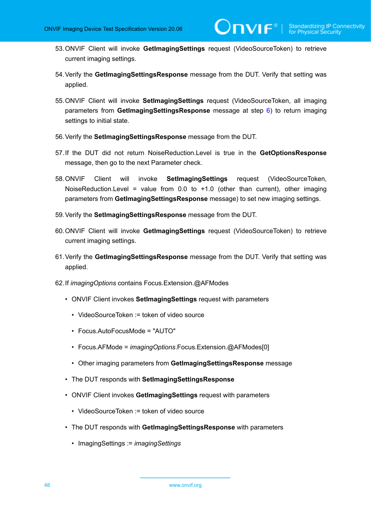- 53.ONVIF Client will invoke **GetImagingSettings** request (VideoSourceToken) to retrieve current imaging settings.
- 54.Verify the **GetImagingSettingsResponse** message from the DUT. Verify that setting was applied.
- 55.ONVIF Client will invoke **SetImagingSettings** request (VideoSourceToken, all imaging parameters from **GetImagingSettingsResponse** message at step [6\)](#page-43-0) to return imaging settings to initial state.
- 56.Verify the **SetImagingSettingsResponse** message from the DUT.
- 57.If the DUT did not return NoiseReduction.Level is true in the **GetOptionsResponse** message, then go to the next Parameter check.
- 58.ONVIF Client will invoke **SetImagingSettings** request (VideoSourceToken, NoiseReduction.Level = value from  $0.0$  to  $+1.0$  (other than current), other imaging parameters from **GetImagingSettingsResponse** message) to set new imaging settings.
- 59.Verify the **SetImagingSettingsResponse** message from the DUT.
- 60.ONVIF Client will invoke **GetImagingSettings** request (VideoSourceToken) to retrieve current imaging settings.
- 61.Verify the **GetImagingSettingsResponse** message from the DUT. Verify that setting was applied.
- 62.If *imagingOptions* contains Focus.Extension.@AFModes
	- ONVIF Client invokes **SetImagingSettings** request with parameters
		- VideoSourceToken := token of video source
		- Focus.AutoFocusMode = "AUTO"
		- Focus.AFMode = *imagingOptions*.Focus.Extension.@AFModes[0]
		- Other imaging parameters from **GetImagingSettingsResponse** message
	- The DUT responds with **SetImagingSettingsResponse**
	- ONVIF Client invokes **GetImagingSettings** request with parameters
		- VideoSourceToken := token of video source
	- The DUT responds with **GetImagingSettingsResponse** with parameters
		- ImagingSettings := *imagingSettings*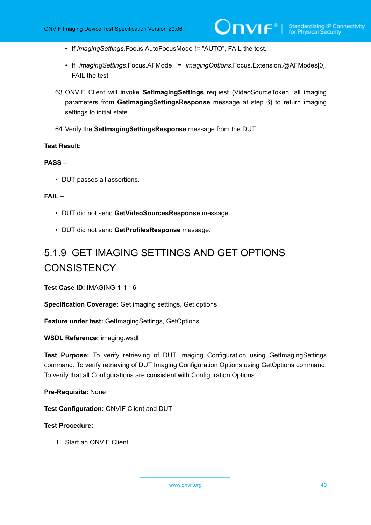- If *imagingSettings*.Focus.AutoFocusMode != "AUTO", FAIL the test.
- If *imagingSettings*.Focus.AFMode != *imagingOptions*.Focus.Extension.@AFModes[0], FAIL the test.
- 63.ONVIF Client will invoke **SetImagingSettings** request (VideoSourceToken, all imaging parameters from **GetImagingSettingsResponse** message at step 6) to return imaging settings to initial state.
- 64.Verify the **SetImagingSettingsResponse** message from the DUT.

## **Test Result:**

## **PASS –**

• DUT passes all assertions.

## **FAIL –**

- DUT did not send **GetVideoSourcesResponse** message.
- DUT did not send **GetProfilesResponse** message.

# 5.1.9 GET IMAGING SETTINGS AND GET OPTIONS **CONSISTENCY**

**Test Case ID:** IMAGING-1-1-16

**Specification Coverage:** Get imaging settings, Get options

**Feature under test:** GetImagingSettings, GetOptions

**WSDL Reference:** imaging.wsdl

**Test Purpose:** To verify retrieving of DUT Imaging Configuration using GetImagingSettings command. To verify retrieving of DUT Imaging Configuration Options using GetOptions command. To verify that all Configurations are consistent with Configuration Options.

**Pre-Requisite:** None

**Test Configuration:** ONVIF Client and DUT

#### **Test Procedure:**

1. Start an ONVIF Client.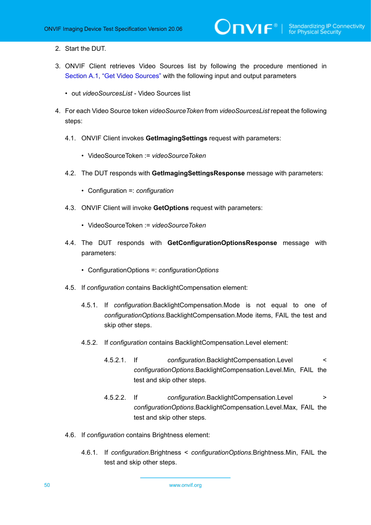- 2. Start the DUT.
- 3. ONVIF Client retrieves Video Sources list by following the procedure mentioned in Section A.1, "Get Video [Sources"](#page-93-0) with the following input and output parameters
	- out *videoSourcesList* Video Sources list
- 4. For each Video Source token *videoSourceToken* from *videoSourcesList* repeat the following steps:
	- 4.1. ONVIF Client invokes **GetImagingSettings** request with parameters:
		- VideoSourceToken := *videoSourceToken*
	- 4.2. The DUT responds with **GetImagingSettingsResponse** message with parameters:
		- Configuration =: *configuration*
	- 4.3. ONVIF Client will invoke **GetOptions** request with parameters:
		- VideoSourceToken := *videoSourceToken*
	- 4.4. The DUT responds with **GetConfigurationOptionsResponse** message with parameters:
		- ConfigurationOptions =: *configurationOptions*
	- 4.5. If *configuration* contains BacklightCompensation element:
		- 4.5.1. If *configuration*.BacklightCompensation.Mode is not equal to one of *configurationOptions*.BacklightCompensation.Mode items, FAIL the test and skip other steps.
		- 4.5.2. If *configuration* contains BacklightCompensation.Level element:
			- 4.5.2.1. If *configuration*.BacklightCompensation.Level < *configurationOptions*.BacklightCompensation.Level.Min, FAIL the test and skip other steps.
			- 4.5.2.2. If *configuration*.BacklightCompensation.Level > *configurationOptions*.BacklightCompensation.Level.Max, FAIL the test and skip other steps.
	- 4.6. If *configuration* contains Brightness element:
		- 4.6.1. If *configuration*.Brightness < *configurationOptions*.Brightness.Min, FAIL the test and skip other steps.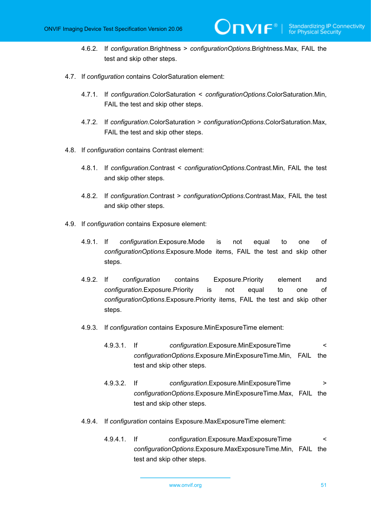4.6.2. If *configuration*.Brightness > *configurationOptions*.Brightness.Max, FAIL the test and skip other steps.

**TVIF**®

- 4.7. If *configuration* contains ColorSaturation element:
	- 4.7.1. If *configuration*.ColorSaturation < *configurationOptions*.ColorSaturation.Min, FAIL the test and skip other steps.
	- 4.7.2. If *configuration*.ColorSaturation > *configurationOptions*.ColorSaturation.Max, FAIL the test and skip other steps.
- 4.8. If *configuration* contains Contrast element:
	- 4.8.1. If *configuration*.Contrast < *configurationOptions*.Contrast.Min, FAIL the test and skip other steps.
	- 4.8.2. If *configuration*.Contrast > *configurationOptions*.Contrast.Max, FAIL the test and skip other steps.
- 4.9. If *configuration* contains Exposure element:
	- 4.9.1. If *configuration*.Exposure.Mode is not equal to one of *configurationOptions*.Exposure.Mode items, FAIL the test and skip other steps.
	- 4.9.2. If *configuration* contains Exposure.Priority element and *configuration*.Exposure.Priority is not equal to one of *configurationOptions*.Exposure.Priority items, FAIL the test and skip other steps.
	- 4.9.3. If *configuration* contains Exposure.MinExposureTime element:
		- 4.9.3.1. If *configuration*.Exposure.MinExposureTime < *configurationOptions*.Exposure.MinExposureTime.Min, FAIL the test and skip other steps.
		- 4.9.3.2. If *configuration*.Exposure.MinExposureTime > *configurationOptions*.Exposure.MinExposureTime.Max, FAIL the test and skip other steps.
	- 4.9.4. If *configuration* contains Exposure.MaxExposureTime element:
		- 4.9.4.1. If *configuration*.Exposure.MaxExposureTime < *configurationOptions*.Exposure.MaxExposureTime.Min, FAIL the test and skip other steps.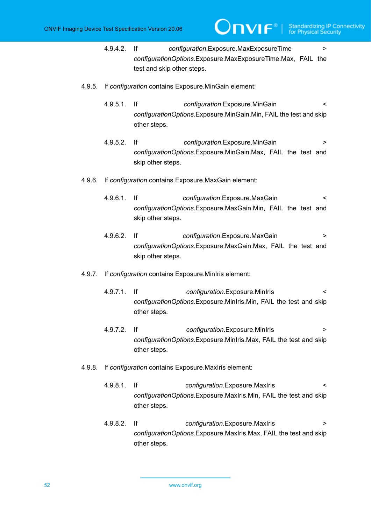4.9.4.2. If *configuration*.Exposure.MaxExposureTime > *configurationOptions*.Exposure.MaxExposureTime.Max, FAIL the test and skip other steps.

**IVIF**®

- 4.9.5. If *configuration* contains Exposure.MinGain element:
	- 4.9.5.1. If *configuration*.Exposure.MinGain < *configurationOptions*.Exposure.MinGain.Min, FAIL the test and skip other steps.
	- 4.9.5.2. If *configuration*.Exposure.MinGain > *configurationOptions*.Exposure.MinGain.Max, FAIL the test and skip other steps.
- 4.9.6. If *configuration* contains Exposure.MaxGain element:
	- 4.9.6.1. If *configuration*.Exposure.MaxGain < *configurationOptions*.Exposure.MaxGain.Min, FAIL the test and skip other steps.
	- 4.9.6.2. If *configuration*.Exposure.MaxGain > *configurationOptions*.Exposure.MaxGain.Max, FAIL the test and skip other steps.
- 4.9.7. If *configuration* contains Exposure.MinIris element:
	- 4.9.7.1. If *configuration*.Exposure.MinIris < *configurationOptions*.Exposure.MinIris.Min, FAIL the test and skip other steps.
	- 4.9.7.2. If *configuration*.Exposure.MinIris > *configurationOptions*.Exposure.MinIris.Max, FAIL the test and skip other steps.
- 4.9.8. If *configuration* contains Exposure.MaxIris element:
	- 4.9.8.1. If *configuration*.Exposure.MaxIris < *configurationOptions*.Exposure.MaxIris.Min, FAIL the test and skip other steps.
	- 4.9.8.2. If *configuration*.Exposure.MaxIris > *configurationOptions*.Exposure.MaxIris.Max, FAIL the test and skip other steps.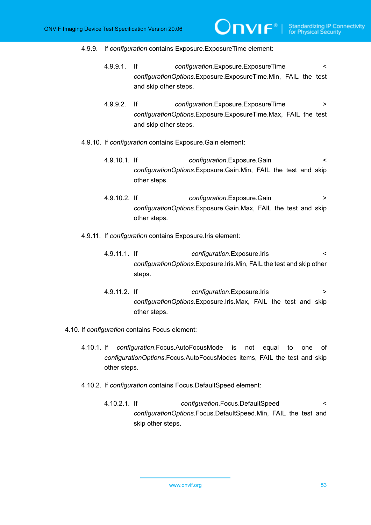#### 4.9.9. If *configuration* contains Exposure.ExposureTime element:

4.9.9.1. If *configuration*.Exposure.ExposureTime < *configurationOptions*.Exposure.ExposureTime.Min, FAIL the test and skip other steps.

 $IVIF^{\circ}$ 

4.9.9.2. If *configuration*.Exposure.ExposureTime > *configurationOptions*.Exposure.ExposureTime.Max, FAIL the test and skip other steps.

### 4.9.10. If *configuration* contains Exposure.Gain element:

- 4.9.10.1. If *configuration*.Exposure.Gain < *configurationOptions*.Exposure.Gain.Min, FAIL the test and skip other steps.
- 4.9.10.2. If *configuration*.Exposure.Gain > *configurationOptions*.Exposure.Gain.Max, FAIL the test and skip other steps.

## 4.9.11. If *configuration* contains Exposure.Iris element:

- 4.9.11.1. If *configuration*.Exposure.Iris < *configurationOptions*.Exposure.Iris.Min, FAIL the test and skip other steps.
- 4.9.11.2. If *configuration*.Exposure.Iris > *configurationOptions*.Exposure.Iris.Max, FAIL the test and skip other steps.
- 4.10. If *configuration* contains Focus element:
	- 4.10.1. If *configuration*.Focus.AutoFocusMode is not equal to one of *configurationOptions*.Focus.AutoFocusModes items, FAIL the test and skip other steps.
	- 4.10.2. If *configuration* contains Focus.DefaultSpeed element:
		- 4.10.2.1. If *configuration*.Focus.DefaultSpeed < *configurationOptions*.Focus.DefaultSpeed.Min, FAIL the test and skip other steps.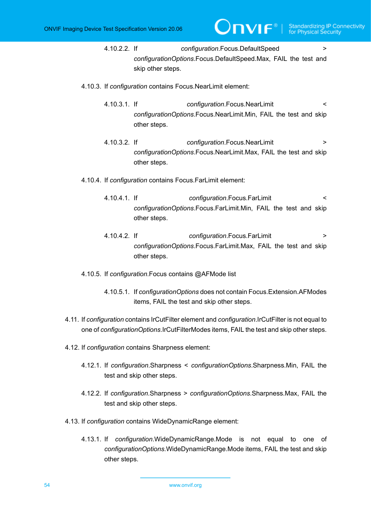4.10.2.2. If *configuration*.Focus.DefaultSpeed > *configurationOptions*.Focus.DefaultSpeed.Max, FAIL the test and skip other steps.

TVIF®I

- 4.10.3. If *configuration* contains Focus.NearLimit element:
	- 4.10.3.1. If *configuration*.Focus.NearLimit < *configurationOptions*.Focus.NearLimit.Min, FAIL the test and skip other steps.
	- 4.10.3.2. If *configuration*.Focus.NearLimit > *configurationOptions*.Focus.NearLimit.Max, FAIL the test and skip other steps.
- 4.10.4. If *configuration* contains Focus.FarLimit element:
	- 4.10.4.1. If *configuration*.Focus.FarLimit < *configurationOptions*.Focus.FarLimit.Min, FAIL the test and skip other steps.
	- 4.10.4.2. If *configuration*.Focus.FarLimit > *configurationOptions*.Focus.FarLimit.Max, FAIL the test and skip other steps.
- 4.10.5. If *configuration*.Focus contains @AFMode list
	- 4.10.5.1. If *configurationOptions* does not contain Focus.Extension.AFModes items, FAIL the test and skip other steps.
- 4.11. If *configuration* contains IrCutFilter element and *configuration*.IrCutFilter is not equal to one of *configurationOptions*.IrCutFilterModes items, FAIL the test and skip other steps.
- 4.12. If *configuration* contains Sharpness element:
	- 4.12.1. If *configuration*.Sharpness < *configurationOptions*.Sharpness.Min, FAIL the test and skip other steps.
	- 4.12.2. If *configuration*.Sharpness > *configurationOptions*.Sharpness.Max, FAIL the test and skip other steps.
- 4.13. If *configuration* contains WideDynamicRange element:
	- 4.13.1. If *configuration*.WideDynamicRange.Mode is not equal to one of *configurationOptions*.WideDynamicRange.Mode items, FAIL the test and skip other steps.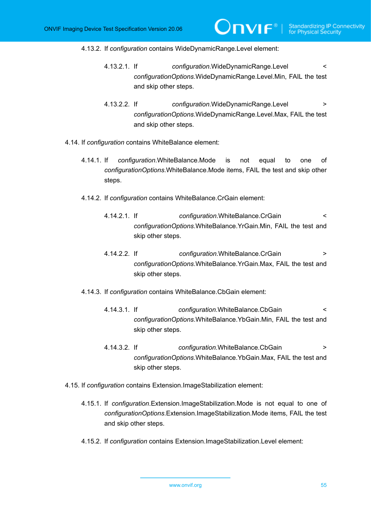#### 4.13.2. If *configuration* contains WideDynamicRange.Level element:

4.13.2.1. If *configuration*.WideDynamicRange.Level < *configurationOptions*.WideDynamicRange.Level.Min, FAIL the test and skip other steps.

 $\overline{C}$ NIF $^{\circ}$  |

- 4.13.2.2. If *configuration*.WideDynamicRange.Level > *configurationOptions*.WideDynamicRange.Level.Max, FAIL the test and skip other steps.
- 4.14. If *configuration* contains WhiteBalance element:
	- 4.14.1. If *configuration*.WhiteBalance.Mode is not equal to one of *configurationOptions*.WhiteBalance.Mode items, FAIL the test and skip other steps.
	- 4.14.2. If *configuration* contains WhiteBalance.CrGain element:
		- 4.14.2.1. If *configuration*.WhiteBalance.CrGain < *configurationOptions*.WhiteBalance.YrGain.Min, FAIL the test and skip other steps.
		- 4.14.2.2. If *configuration*.WhiteBalance.CrGain > *configurationOptions*.WhiteBalance.YrGain.Max, FAIL the test and skip other steps.
	- 4.14.3. If *configuration* contains WhiteBalance.CbGain element:
		- 4.14.3.1. If *configuration*.WhiteBalance.CbGain < *configurationOptions*.WhiteBalance.YbGain.Min, FAIL the test and skip other steps.
		- 4.14.3.2. If *configuration*.WhiteBalance.CbGain > *configurationOptions*.WhiteBalance.YbGain.Max, FAIL the test and skip other steps.
- 4.15. If *configuration* contains Extension.ImageStabilization element:
	- 4.15.1. If *configuration*.Extension.ImageStabilization.Mode is not equal to one of *configurationOptions*.Extension.ImageStabilization.Mode items, FAIL the test and skip other steps.
	- 4.15.2. If *configuration* contains Extension.ImageStabilization.Level element: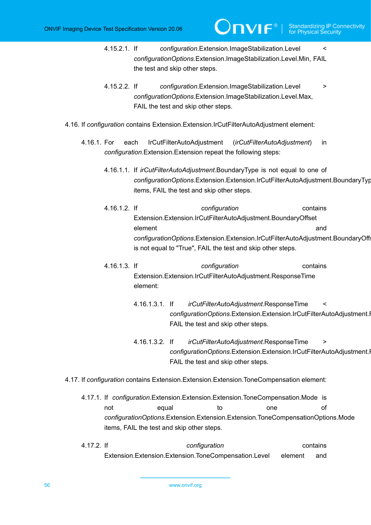4.15.2.1. If *configuration*.Extension.ImageStabilization.Level < *configurationOptions*.Extension.ImageStabilization.Level.Min, FAIL the test and skip other steps.

**JNVIF®I** 

- 4.15.2.2. If *configuration*.Extension.ImageStabilization.Level > *configurationOptions*.Extension.ImageStabilization.Level.Max, FAIL the test and skip other steps.
- 4.16. If *configuration* contains Extension.Extension.IrCutFilterAutoAdjustment element:
	- 4.16.1. For each IrCutFilterAutoAdjustment (*irCutFilterAutoAdjustment*) in *configuration*.Extension.Extension repeat the following steps:
		- 4.16.1.1. If *irCutFilterAutoAdjustment*.BoundaryType is not equal to one of *configurationOptions*.Extension.Extension.IrCutFilterAutoAdjustment.BoundaryType items, FAIL the test and skip other steps.
		- 4.16.1.2. If *configuration* contains Extension.Extension.IrCutFilterAutoAdjustment.BoundaryOffset element and *configurationOptions*.Extension.Extension.IrCutFilterAutoAdjustment.BoundaryOffset is not equal to "True", FAIL the test and skip other steps.
		- 4.16.1.3. If *configuration* contains Extension.Extension.IrCutFilterAutoAdjustment.ResponseTime element:
			- 4.16.1.3.1. If *irCutFilterAutoAdjustment*.ResponseTime < configurationOptions.Extension.Extension.IrCutFilterAutoAdjustment.I FAIL the test and skip other steps.
			- 4.16.1.3.2. If *irCutFilterAutoAdjustment*.ResponseTime > *configurationOptions*.Extension.Extension.IrCutFilterAutoAdjustment.I FAIL the test and skip other steps.
- 4.17. If *configuration* contains Extension.Extension.Extension.ToneCompensation element:
	- 4.17.1. If *configuration*.Extension.Extension.Extension.ToneCompensation.Mode is not equal to one of *configurationOptions*.Extension.Extension.Extension.ToneCompensationOptions.Mode items, FAIL the test and skip other steps.
	- 4.17.2. If *configuration* contains Extension.Extension.Extension.ToneCompensation.Level element and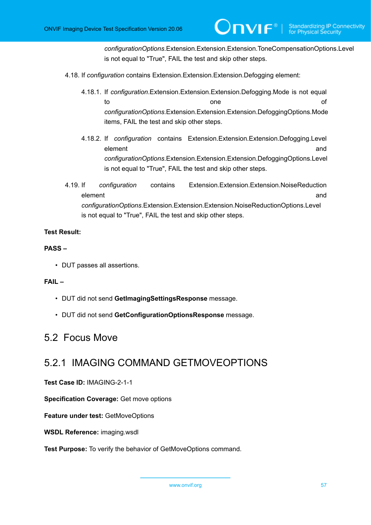*configurationOptions*.Extension.Extension.Extension.ToneCompensationOptions.Level is not equal to "True", FAIL the test and skip other steps.

- 4.18. If *configuration* contains Extension.Extension.Extension.Defogging element:
	- 4.18.1. If *configuration*.Extension.Extension.Extension.Defogging.Mode is not equal to the one of the original cone of the original cone of  $\alpha$ *configurationOptions*.Extension.Extension.Extension.DefoggingOptions.Mode items, FAIL the test and skip other steps.
	- 4.18.2. If *configuration* contains Extension.Extension.Extension.Defogging.Level element and and a series of the series of the series of the series of the series of the series of the series of the series of the series of the series of the series of the series of the series of the series of the series o *configurationOptions*.Extension.Extension.Extension.DefoggingOptions.Level is not equal to "True", FAIL the test and skip other steps.
- 4.19. If *configuration* contains Extension.Extension.Extension.NoiseReduction element and a set of the set of the set of the set of the set of the set of the set of the set of the set of t *configurationOptions*.Extension.Extension.Extension.NoiseReductionOptions.Level is not equal to "True", FAIL the test and skip other steps.

## **Test Result:**

## **PASS –**

• DUT passes all assertions.

#### **FAIL –**

- DUT did not send **GetImagingSettingsResponse** message.
- DUT did not send **GetConfigurationOptionsResponse** message.

## 5.2 Focus Move

## 5.2.1 IMAGING COMMAND GETMOVEOPTIONS

**Test Case ID:** IMAGING-2-1-1

**Specification Coverage:** Get move options

**Feature under test:** GetMoveOptions

**WSDL Reference:** imaging.wsdl

**Test Purpose:** To verify the behavior of GetMoveOptions command.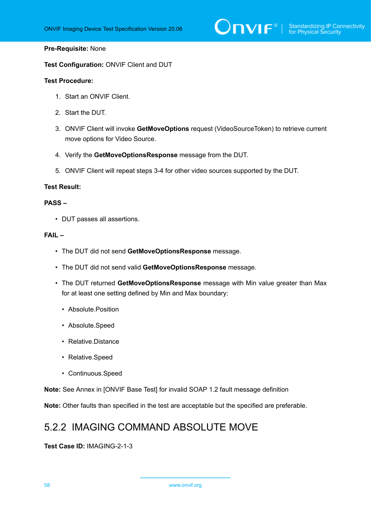# $\bigcirc$   $\bigcap$   $\bigvee$   $\bigcirc$   $\bigcirc$   $\bigcirc$   $\bigcirc$   $\bigcirc$   $\bigcirc$   $\bigcirc$   $\bigcirc$   $\bigcirc$   $\bigcirc$   $\bigcirc$   $\bigcirc$   $\bigcirc$   $\bigcirc$   $\bigcirc$   $\bigcirc$   $\bigcirc$   $\bigcirc$   $\bigcirc$   $\bigcirc$   $\bigcirc$   $\bigcirc$   $\bigcirc$   $\bigcirc$   $\bigcirc$   $\bigcirc$   $\bigcirc$   $\bigcirc$   $\bigcirc$   $\bigcirc$   $\bigcirc$   $\bigcirc$   $\bigcirc$   $\bigcirc$

### **Pre-Requisite:** None

**Test Configuration:** ONVIF Client and DUT

#### **Test Procedure:**

- 1. Start an ONVIF Client.
- 2. Start the DUT.
- 3. ONVIF Client will invoke **GetMoveOptions** request (VideoSourceToken) to retrieve current move options for Video Source.
- 4. Verify the **GetMoveOptionsResponse** message from the DUT.
- 5. ONVIF Client will repeat steps 3-4 for other video sources supported by the DUT.

### **Test Result:**

### **PASS –**

• DUT passes all assertions.

### **FAIL –**

- The DUT did not send **GetMoveOptionsResponse** message.
- The DUT did not send valid **GetMoveOptionsResponse** message.
- The DUT returned **GetMoveOptionsResponse** message with Min value greater than Max for at least one setting defined by Min and Max boundary:
	- Absolute.Position
	- Absolute.Speed
	- Relative.Distance
	- Relative.Speed
	- Continuous.Speed

**Note:** See Annex in [ONVIF Base Test] for invalid SOAP 1.2 fault message definition

**Note:** Other faults than specified in the test are acceptable but the specified are preferable.

## 5.2.2 IMAGING COMMAND ABSOLUTE MOVE

#### **Test Case ID:** IMAGING-2-1-3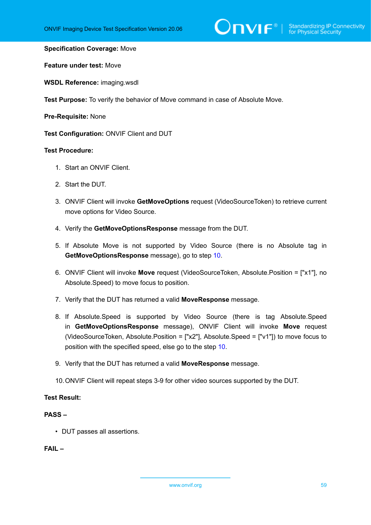# $\sum_{\text{IVIF}^{\circ} | \text{Standardizing IP Connectivity}}$

#### **Specification Coverage:** Move

**Feature under test:** Move

**WSDL Reference:** imaging.wsdl

**Test Purpose:** To verify the behavior of Move command in case of Absolute Move.

**Pre-Requisite:** None

**Test Configuration:** ONVIF Client and DUT

#### **Test Procedure:**

- 1. Start an ONVIF Client.
- 2. Start the DUT.
- 3. ONVIF Client will invoke **GetMoveOptions** request (VideoSourceToken) to retrieve current move options for Video Source.
- 4. Verify the **GetMoveOptionsResponse** message from the DUT.
- 5. If Absolute Move is not supported by Video Source (there is no Absolute tag in **GetMoveOptionsResponse** message), go to step [10](#page-58-0).
- 6. ONVIF Client will invoke **Move** request (VideoSourceToken, Absolute.Position = ["x1"], no Absolute.Speed) to move focus to position.
- 7. Verify that the DUT has returned a valid **MoveResponse** message.
- 8. If Absolute.Speed is supported by Video Source (there is tag Absolute.Speed in **GetMoveOptionsResponse** message), ONVIF Client will invoke **Move** request (VideoSourceToken, Absolute.Position = ["x2"], Absolute.Speed = ["v1"]) to move focus to position with the specified speed, else go to the step [10.](#page-58-0)
- 9. Verify that the DUT has returned a valid **MoveResponse** message.
- <span id="page-58-0"></span>10.ONVIF Client will repeat steps 3-9 for other video sources supported by the DUT.

## **Test Result:**

## **PASS –**

• DUT passes all assertions.

**FAIL –**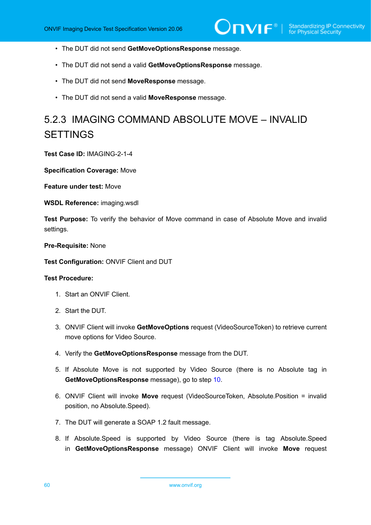- The DUT did not send **GetMoveOptionsResponse** message.
- The DUT did not send a valid **GetMoveOptionsResponse** message.
- The DUT did not send **MoveResponse** message.
- The DUT did not send a valid **MoveResponse** message.

# 5.2.3 IMAGING COMMAND ABSOLUTE MOVE – INVALID **SETTINGS**

**Test Case ID:** IMAGING-2-1-4

**Specification Coverage:** Move

**Feature under test:** Move

**WSDL Reference:** imaging.wsdl

**Test Purpose:** To verify the behavior of Move command in case of Absolute Move and invalid settings.

**Pre-Requisite:** None

**Test Configuration:** ONVIF Client and DUT

#### **Test Procedure:**

- 1. Start an ONVIF Client.
- 2. Start the DUT.
- 3. ONVIF Client will invoke **GetMoveOptions** request (VideoSourceToken) to retrieve current move options for Video Source.
- 4. Verify the **GetMoveOptionsResponse** message from the DUT.
- 5. If Absolute Move is not supported by Video Source (there is no Absolute tag in **GetMoveOptionsResponse** message), go to step [10](#page-60-0).
- 6. ONVIF Client will invoke **Move** request (VideoSourceToken, Absolute.Position = invalid position, no Absolute.Speed).
- 7. The DUT will generate a SOAP 1.2 fault message.
- 8. If Absolute.Speed is supported by Video Source (there is tag Absolute.Speed in **GetMoveOptionsResponse** message) ONVIF Client will invoke **Move** request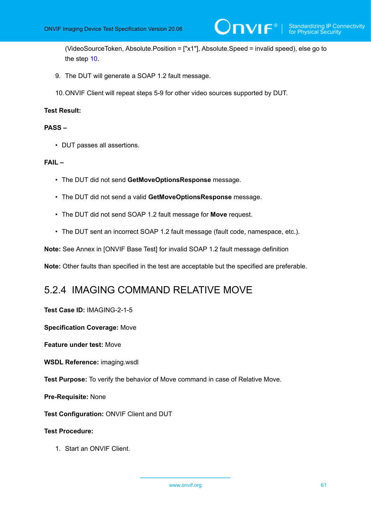(VideoSourceToken, Absolute.Position = ["x1"], Absolute.Speed = invalid speed), else go to the step [10](#page-60-0).

)nvıғ®ı

- 9. The DUT will generate a SOAP 1.2 fault message.
- <span id="page-60-0"></span>10.ONVIF Client will repeat steps 5-9 for other video sources supported by DUT.

#### **Test Result:**

### **PASS –**

• DUT passes all assertions.

## **FAIL –**

- The DUT did not send **GetMoveOptionsResponse** message.
- The DUT did not send a valid **GetMoveOptionsResponse** message.
- The DUT did not send SOAP 1.2 fault message for **Move** request.
- The DUT sent an incorrect SOAP 1.2 fault message (fault code, namespace, etc.).

**Note:** See Annex in [ONVIF Base Test] for invalid SOAP 1.2 fault message definition

**Note:** Other faults than specified in the test are acceptable but the specified are preferable.

## 5.2.4 IMAGING COMMAND RELATIVE MOVE

## **Test Case ID:** IMAGING-2-1-5

**Specification Coverage:** Move

**Feature under test:** Move

**WSDL Reference:** imaging.wsdl

**Test Purpose:** To verify the behavior of Move command in case of Relative Move.

**Pre-Requisite:** None

**Test Configuration:** ONVIF Client and DUT

#### **Test Procedure:**

1. Start an ONVIF Client.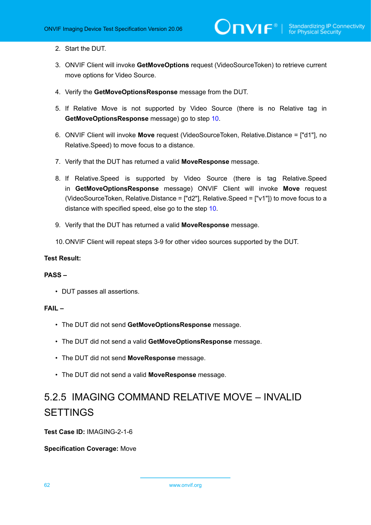- 2. Start the DUT.
- 3. ONVIF Client will invoke **GetMoveOptions** request (VideoSourceToken) to retrieve current move options for Video Source.
- 4. Verify the **GetMoveOptionsResponse** message from the DUT.
- 5. If Relative Move is not supported by Video Source (there is no Relative tag in **GetMoveOptionsResponse** message) go to step [10](#page-61-0).
- 6. ONVIF Client will invoke **Move** request (VideoSourceToken, Relative.Distance = ["d1"], no Relative.Speed) to move focus to a distance.
- 7. Verify that the DUT has returned a valid **MoveResponse** message.
- 8. If Relative.Speed is supported by Video Source (there is tag Relative.Speed in **GetMoveOptionsResponse** message) ONVIF Client will invoke **Move** request (VideoSourceToken, Relative.Distance = ["d2"], Relative.Speed = ["v1"]) to move focus to a distance with specified speed, else go to the step [10](#page-61-0).
- 9. Verify that the DUT has returned a valid **MoveResponse** message.
- <span id="page-61-0"></span>10.ONVIF Client will repeat steps 3-9 for other video sources supported by the DUT.

## **Test Result:**

## **PASS –**

• DUT passes all assertions.

## **FAIL –**

- The DUT did not send **GetMoveOptionsResponse** message.
- The DUT did not send a valid **GetMoveOptionsResponse** message.
- The DUT did not send **MoveResponse** message.
- The DUT did not send a valid **MoveResponse** message.

# 5.2.5 IMAGING COMMAND RELATIVE MOVE – INVALID **SETTINGS**

**Test Case ID:** IMAGING-2-1-6

## **Specification Coverage:** Move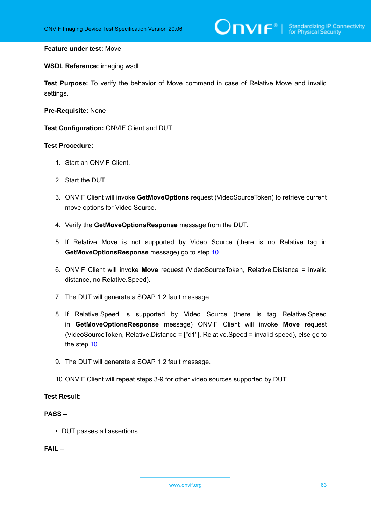#### **Feature under test:** Move

#### **WSDL Reference:** imaging.wsdl

**Test Purpose:** To verify the behavior of Move command in case of Relative Move and invalid settings.

**Pre-Requisite:** None

**Test Configuration:** ONVIF Client and DUT

#### **Test Procedure:**

- 1. Start an ONVIF Client.
- 2. Start the DUT.
- 3. ONVIF Client will invoke **GetMoveOptions** request (VideoSourceToken) to retrieve current move options for Video Source.
- 4. Verify the **GetMoveOptionsResponse** message from the DUT.
- 5. If Relative Move is not supported by Video Source (there is no Relative tag in **GetMoveOptionsResponse** message) go to step [10](#page-62-0).
- 6. ONVIF Client will invoke **Move** request (VideoSourceToken, Relative.Distance = invalid distance, no Relative.Speed).
- 7. The DUT will generate a SOAP 1.2 fault message.
- 8. If Relative.Speed is supported by Video Source (there is tag Relative.Speed in **GetMoveOptionsResponse** message) ONVIF Client will invoke **Move** request (VideoSourceToken, Relative.Distance = ["d1"], Relative.Speed = invalid speed), else go to the step [10](#page-62-0).
- 9. The DUT will generate a SOAP 1.2 fault message.
- <span id="page-62-0"></span>10.ONVIF Client will repeat steps 3-9 for other video sources supported by DUT.

## **Test Result:**

## **PASS –**

• DUT passes all assertions.

**FAIL –**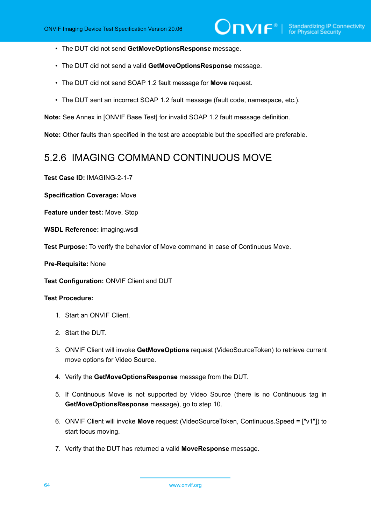- The DUT did not send **GetMoveOptionsResponse** message.
- The DUT did not send a valid **GetMoveOptionsResponse** message.
- The DUT did not send SOAP 1.2 fault message for **Move** request.
- The DUT sent an incorrect SOAP 1.2 fault message (fault code, namespace, etc.).

**Note:** See Annex in [ONVIF Base Test] for invalid SOAP 1.2 fault message definition.

**Note:** Other faults than specified in the test are acceptable but the specified are preferable.

## 5.2.6 IMAGING COMMAND CONTINUOUS MOVE

**Test Case ID:** IMAGING-2-1-7

**Specification Coverage:** Move

**Feature under test:** Move, Stop

**WSDL Reference:** imaging.wsdl

**Test Purpose:** To verify the behavior of Move command in case of Continuous Move.

**Pre-Requisite:** None

**Test Configuration:** ONVIF Client and DUT

## **Test Procedure:**

- 1. Start an ONVIF Client.
- 2. Start the DUT.
- 3. ONVIF Client will invoke **GetMoveOptions** request (VideoSourceToken) to retrieve current move options for Video Source.
- 4. Verify the **GetMoveOptionsResponse** message from the DUT.
- 5. If Continuous Move is not supported by Video Source (there is no Continuous tag in **GetMoveOptionsResponse** message), go to step 10.
- 6. ONVIF Client will invoke **Move** request (VideoSourceToken, Continuous.Speed = ["v1"]) to start focus moving.
- 7. Verify that the DUT has returned a valid **MoveResponse** message.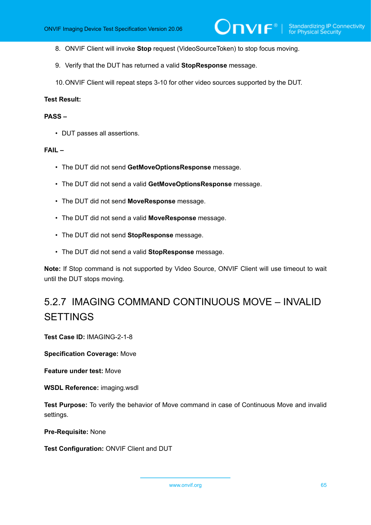- 8. ONVIF Client will invoke **Stop** request (VideoSourceToken) to stop focus moving.
- 9. Verify that the DUT has returned a valid **StopResponse** message.
- 10.ONVIF Client will repeat steps 3-10 for other video sources supported by the DUT.

### **Test Result:**

#### **PASS –**

• DUT passes all assertions.

### **FAIL –**

- The DUT did not send **GetMoveOptionsResponse** message.
- The DUT did not send a valid **GetMoveOptionsResponse** message.
- The DUT did not send **MoveResponse** message.
- The DUT did not send a valid **MoveResponse** message.
- The DUT did not send **StopResponse** message.
- The DUT did not send a valid **StopResponse** message.

**Note:** If Stop command is not supported by Video Source, ONVIF Client will use timeout to wait until the DUT stops moving.

# 5.2.7 IMAGING COMMAND CONTINUOUS MOVE – INVALID **SETTINGS**

**Test Case ID:** IMAGING-2-1-8

**Specification Coverage:** Move

**Feature under test:** Move

**WSDL Reference:** imaging.wsdl

**Test Purpose:** To verify the behavior of Move command in case of Continuous Move and invalid settings.

**Pre-Requisite:** None

**Test Configuration:** ONVIF Client and DUT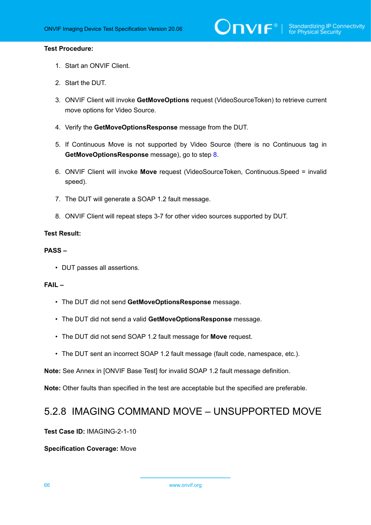## **Test Procedure:**

- 1. Start an ONVIF Client.
- 2. Start the DUT.
- 3. ONVIF Client will invoke **GetMoveOptions** request (VideoSourceToken) to retrieve current move options for Video Source.
- 4. Verify the **GetMoveOptionsResponse** message from the DUT.
- 5. If Continuous Move is not supported by Video Source (there is no Continuous tag in **GetMoveOptionsResponse** message), go to step [8](#page-65-0).
- 6. ONVIF Client will invoke **Move** request (VideoSourceToken, Continuous.Speed = invalid speed).
- 7. The DUT will generate a SOAP 1.2 fault message.
- <span id="page-65-0"></span>8. ONVIF Client will repeat steps 3-7 for other video sources supported by DUT.

## **Test Result:**

## **PASS –**

• DUT passes all assertions.

## **FAIL –**

- The DUT did not send **GetMoveOptionsResponse** message.
- The DUT did not send a valid **GetMoveOptionsResponse** message.
- The DUT did not send SOAP 1.2 fault message for **Move** request.
- The DUT sent an incorrect SOAP 1.2 fault message (fault code, namespace, etc.).

**Note:** See Annex in [ONVIF Base Test] for invalid SOAP 1.2 fault message definition.

**Note:** Other faults than specified in the test are acceptable but the specified are preferable.

## 5.2.8 IMAGING COMMAND MOVE – UNSUPPORTED MOVE

**Test Case ID:** IMAGING-2-1-10

## **Specification Coverage:** Move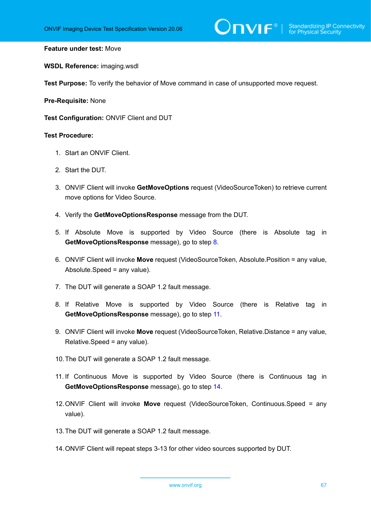#### **Feature under test:** Move

**WSDL Reference:** imaging.wsdl

**Test Purpose:** To verify the behavior of Move command in case of unsupported move request.

**Pre-Requisite:** None

**Test Configuration:** ONVIF Client and DUT

## **Test Procedure:**

- 1. Start an ONVIF Client.
- 2. Start the DUT.
- 3. ONVIF Client will invoke **GetMoveOptions** request (VideoSourceToken) to retrieve current move options for Video Source.
- 4. Verify the **GetMoveOptionsResponse** message from the DUT.
- 5. If Absolute Move is supported by Video Source (there is Absolute tag in **GetMoveOptionsResponse** message), go to step [8](#page-66-0).
- 6. ONVIF Client will invoke **Move** request (VideoSourceToken, Absolute.Position = any value, Absolute.Speed = any value).
- 7. The DUT will generate a SOAP 1.2 fault message.
- <span id="page-66-0"></span>8. If Relative Move is supported by Video Source (there is Relative tag in **GetMoveOptionsResponse** message), go to step [11](#page-66-1).
- 9. ONVIF Client will invoke **Move** request (VideoSourceToken, Relative.Distance = any value, Relative.Speed = any value).
- 10.The DUT will generate a SOAP 1.2 fault message.
- <span id="page-66-1"></span>11. If Continuous Move is supported by Video Source (there is Continuous tag in **GetMoveOptionsResponse** message), go to step [14](#page-66-2).
- 12.ONVIF Client will invoke **Move** request (VideoSourceToken, Continuous.Speed = any value).
- 13.The DUT will generate a SOAP 1.2 fault message.
- <span id="page-66-2"></span>14.ONVIF Client will repeat steps 3-13 for other video sources supported by DUT.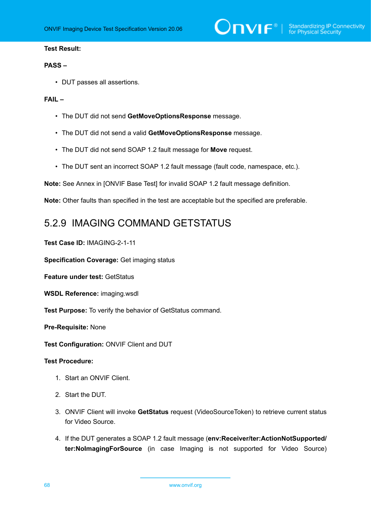## **Test Result:**

### **PASS –**

• DUT passes all assertions.

#### **FAIL –**

- The DUT did not send **GetMoveOptionsResponse** message.
- The DUT did not send a valid **GetMoveOptionsResponse** message.
- The DUT did not send SOAP 1.2 fault message for **Move** request.
- The DUT sent an incorrect SOAP 1.2 fault message (fault code, namespace, etc.).

**Note:** See Annex in [ONVIF Base Test] for invalid SOAP 1.2 fault message definition.

**Note:** Other faults than specified in the test are acceptable but the specified are preferable.

## 5.2.9 IMAGING COMMAND GETSTATUS

**Test Case ID:** IMAGING-2-1-11

**Specification Coverage:** Get imaging status

**Feature under test:** GetStatus

**WSDL Reference:** imaging.wsdl

**Test Purpose:** To verify the behavior of GetStatus command.

**Pre-Requisite:** None

**Test Configuration:** ONVIF Client and DUT

## **Test Procedure:**

- 1. Start an ONVIF Client.
- 2. Start the DUT.
- 3. ONVIF Client will invoke **GetStatus** request (VideoSourceToken) to retrieve current status for Video Source.
- 4. If the DUT generates a SOAP 1.2 fault message (**env:Receiver/ter:ActionNotSupported/ ter:NoImagingForSource** (in case Imaging is not supported for Video Source)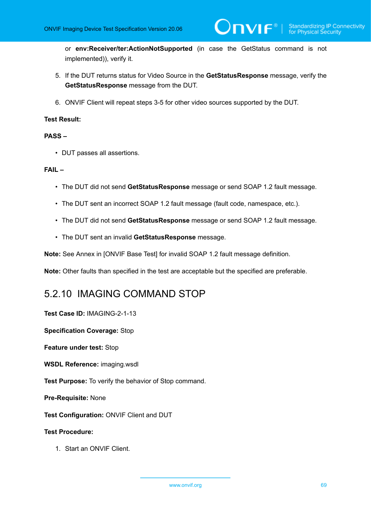or **env:Receiver/ter:ActionNotSupported** (in case the GetStatus command is not implemented)), verify it.

 $\mathsf{D}\mathbf{n}\mathsf{V}\mathsf{I}\mathsf{F}^\circ$  :

- 5. If the DUT returns status for Video Source in the **GetStatusResponse** message, verify the **GetStatusResponse** message from the DUT.
- 6. ONVIF Client will repeat steps 3-5 for other video sources supported by the DUT.

## **Test Result:**

## **PASS –**

• DUT passes all assertions.

## **FAIL –**

- The DUT did not send **GetStatusResponse** message or send SOAP 1.2 fault message.
- The DUT sent an incorrect SOAP 1.2 fault message (fault code, namespace, etc.).
- The DUT did not send **GetStatusResponse** message or send SOAP 1.2 fault message.
- The DUT sent an invalid **GetStatusResponse** message.

**Note:** See Annex in [ONVIF Base Test] for invalid SOAP 1.2 fault message definition.

**Note:** Other faults than specified in the test are acceptable but the specified are preferable.

## 5.2.10 IMAGING COMMAND STOP

**Test Case ID:** IMAGING-2-1-13

**Specification Coverage:** Stop

**Feature under test:** Stop

**WSDL Reference:** imaging.wsdl

**Test Purpose:** To verify the behavior of Stop command.

**Pre-Requisite:** None

**Test Configuration:** ONVIF Client and DUT

## **Test Procedure:**

1. Start an ONVIF Client.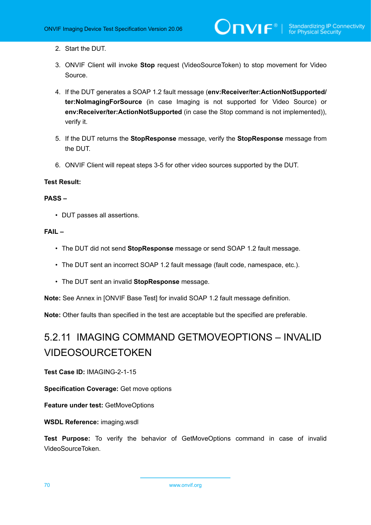- 2. Start the DUT.
- 3. ONVIF Client will invoke **Stop** request (VideoSourceToken) to stop movement for Video Source.
- 4. If the DUT generates a SOAP 1.2 fault message (**env:Receiver/ter:ActionNotSupported/ ter:NoImagingForSource** (in case Imaging is not supported for Video Source) or **env:Receiver/ter:ActionNotSupported** (in case the Stop command is not implemented)), verify it.
- 5. If the DUT returns the **StopResponse** message, verify the **StopResponse** message from the DUT.
- 6. ONVIF Client will repeat steps 3-5 for other video sources supported by the DUT.

### **Test Result:**

#### **PASS –**

• DUT passes all assertions.

## **FAIL –**

- The DUT did not send **StopResponse** message or send SOAP 1.2 fault message.
- The DUT sent an incorrect SOAP 1.2 fault message (fault code, namespace, etc.).
- The DUT sent an invalid **StopResponse** message.

**Note:** See Annex in [ONVIF Base Test] for invalid SOAP 1.2 fault message definition.

**Note:** Other faults than specified in the test are acceptable but the specified are preferable.

# 5.2.11 IMAGING COMMAND GETMOVEOPTIONS – INVALID VIDEOSOURCETOKEN

**Test Case ID:** IMAGING-2-1-15

**Specification Coverage:** Get move options

**Feature under test:** GetMoveOptions

**WSDL Reference:** imaging.wsdl

**Test Purpose:** To verify the behavior of GetMoveOptions command in case of invalid VideoSourceToken.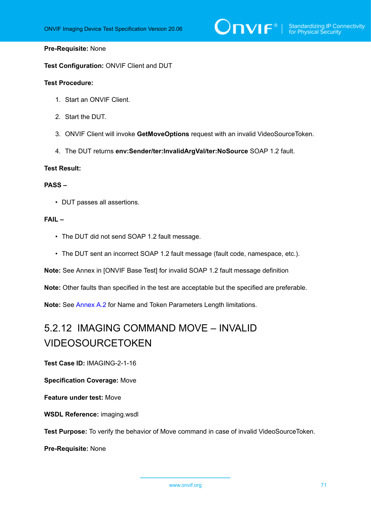# $\bigcirc$   $\bigcap$   $\bigvee$   $\bigcirc$   $\bigcirc$   $\bigcirc$  Standardizing IP Connectivity

### **Pre-Requisite:** None

**Test Configuration:** ONVIF Client and DUT

#### **Test Procedure:**

- 1. Start an ONVIF Client.
- 2. Start the DUT.
- 3. ONVIF Client will invoke **GetMoveOptions** request with an invalid VideoSourceToken.
- 4. The DUT returns **env:Sender/ter:InvalidArgVal/ter:NoSource** SOAP 1.2 fault.

## **Test Result:**

## **PASS –**

• DUT passes all assertions.

#### **FAIL –**

- The DUT did not send SOAP 1.2 fault message.
- The DUT sent an incorrect SOAP 1.2 fault message (fault code, namespace, etc.).

**Note:** See Annex in [ONVIF Base Test] for invalid SOAP 1.2 fault message definition

**Note:** Other faults than specified in the test are acceptable but the specified are preferable.

**Note:** See [Annex A.2](#page-94-0) for Name and Token Parameters Length limitations.

## 5.2.12 IMAGING COMMAND MOVE – INVALID VIDEOSOURCETOKEN

**Test Case ID:** IMAGING-2-1-16

**Specification Coverage:** Move

**Feature under test:** Move

**WSDL Reference:** imaging.wsdl

**Test Purpose:** To verify the behavior of Move command in case of invalid VideoSourceToken.

**Pre-Requisite:** None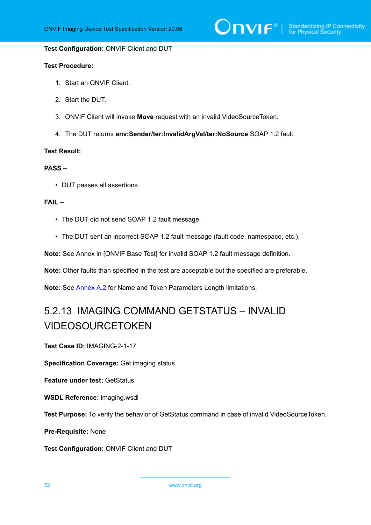#### **Test Configuration:** ONVIF Client and DUT

#### **Test Procedure:**

- 1. Start an ONVIF Client.
- 2. Start the DUT.
- 3. ONVIF Client will invoke **Move** request with an invalid VideoSourceToken.
- 4. The DUT returns **env:Sender/ter:InvalidArgVal/ter:NoSource** SOAP 1.2 fault.

#### **Test Result:**

#### **PASS –**

• DUT passes all assertions.

## **FAIL –**

- The DUT did not send SOAP 1.2 fault message.
- The DUT sent an incorrect SOAP 1.2 fault message (fault code, namespace, etc.).

**Note:** See Annex in [ONVIF Base Test] for invalid SOAP 1.2 fault message definition.

**Note:** Other faults than specified in the test are acceptable but the specified are preferable.

**Note:** See [Annex A.2](#page-94-0) for Name and Token Parameters Length limitations.

## 5.2.13 IMAGING COMMAND GETSTATUS – INVALID VIDEOSOURCETOKEN

**Test Case ID:** IMAGING-2-1-17

**Specification Coverage:** Get imaging status

**Feature under test:** GetStatus

**WSDL Reference:** imaging.wsdl

**Test Purpose:** To verify the behavior of GetStatus command in case of invalid VideoSourceToken.

**Pre-Requisite:** None

**Test Configuration:** ONVIF Client and DUT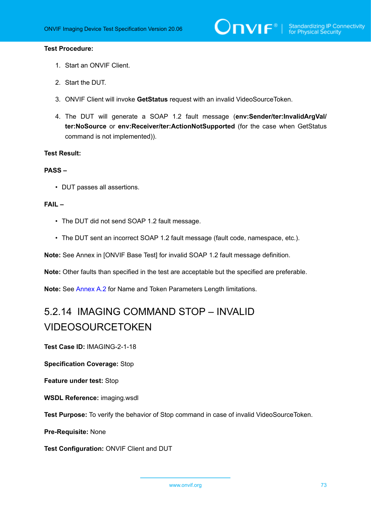### **Test Procedure:**

- 1. Start an ONVIF Client.
- 2. Start the DUT.
- 3. ONVIF Client will invoke **GetStatus** request with an invalid VideoSourceToken.
- 4. The DUT will generate a SOAP 1.2 fault message (**env:Sender/ter:InvalidArgVal/ ter:NoSource** or **env:Receiver/ter:ActionNotSupported** (for the case when GetStatus command is not implemented)).

### **Test Result:**

#### **PASS –**

• DUT passes all assertions.

### **FAIL –**

- The DUT did not send SOAP 1.2 fault message.
- The DUT sent an incorrect SOAP 1.2 fault message (fault code, namespace, etc.).

**Note:** See Annex in [ONVIF Base Test] for invalid SOAP 1.2 fault message definition.

**Note:** Other faults than specified in the test are acceptable but the specified are preferable.

**Note:** See [Annex A.2](#page-94-0) for Name and Token Parameters Length limitations.

# 5.2.14 IMAGING COMMAND STOP – INVALID VIDEOSOURCETOKEN

**Test Case ID:** IMAGING-2-1-18

**Specification Coverage:** Stop

**Feature under test:** Stop

**WSDL Reference:** imaging.wsdl

**Test Purpose:** To verify the behavior of Stop command in case of invalid VideoSourceToken.

**Pre-Requisite:** None

**Test Configuration:** ONVIF Client and DUT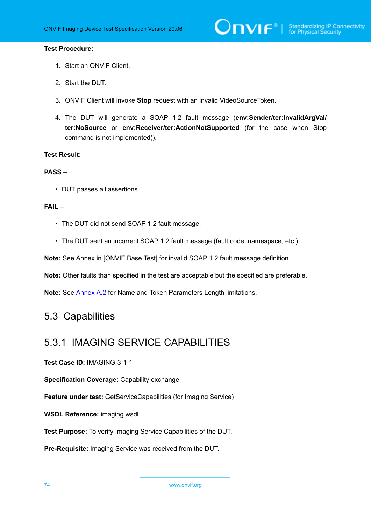### **Test Procedure:**

- 1. Start an ONVIF Client.
- 2. Start the DUT.
- 3. ONVIF Client will invoke **Stop** request with an invalid VideoSourceToken.
- 4. The DUT will generate a SOAP 1.2 fault message (**env:Sender/ter:InvalidArgVal/ ter:NoSource** or **env:Receiver/ter:ActionNotSupported** (for the case when Stop command is not implemented)).

### **Test Result:**

#### **PASS –**

• DUT passes all assertions.

#### **FAIL –**

- The DUT did not send SOAP 1.2 fault message.
- The DUT sent an incorrect SOAP 1.2 fault message (fault code, namespace, etc.).

**Note:** See Annex in [ONVIF Base Test] for invalid SOAP 1.2 fault message definition.

**Note:** Other faults than specified in the test are acceptable but the specified are preferable.

**Note:** See [Annex A.2](#page-94-0) for Name and Token Parameters Length limitations.

# 5.3 Capabilities

# 5.3.1 IMAGING SERVICE CAPABILITIES

**Test Case ID:** IMAGING-3-1-1

**Specification Coverage:** Capability exchange

**Feature under test:** GetServiceCapabilities (for Imaging Service)

**WSDL Reference:** imaging.wsdl

**Test Purpose:** To verify Imaging Service Capabilities of the DUT.

**Pre-Requisite:** Imaging Service was received from the DUT.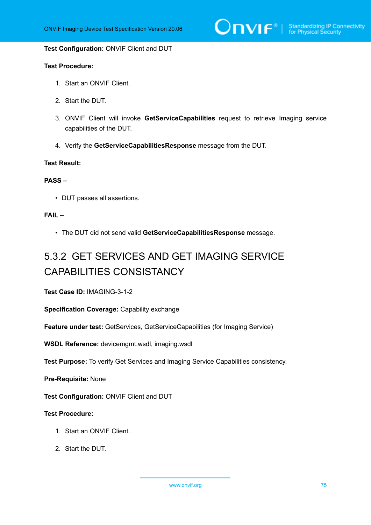$\bigcirc$   $\bigcap$   $\bigvee$   $\bigcirc$   $\bigcirc$   $\bigcirc$  Standardizing IP Connectivity

#### **Test Configuration:** ONVIF Client and DUT

### **Test Procedure:**

- 1. Start an ONVIF Client.
- 2. Start the DUT.
- 3. ONVIF Client will invoke **GetServiceCapabilities** request to retrieve Imaging service capabilities of the DUT.
- 4. Verify the **GetServiceCapabilitiesResponse** message from the DUT.

### **Test Result:**

#### **PASS –**

• DUT passes all assertions.

## **FAIL –**

• The DUT did not send valid **GetServiceCapabilitiesResponse** message.

# 5.3.2 GET SERVICES AND GET IMAGING SERVICE CAPABILITIES CONSISTANCY

**Test Case ID:** IMAGING-3-1-2

**Specification Coverage:** Capability exchange

**Feature under test:** GetServices, GetServiceCapabilities (for Imaging Service)

**WSDL Reference:** devicemgmt.wsdl, imaging.wsdl

**Test Purpose:** To verify Get Services and Imaging Service Capabilities consistency.

**Pre-Requisite:** None

**Test Configuration:** ONVIF Client and DUT

- 1. Start an ONVIF Client.
- 2. Start the DUT.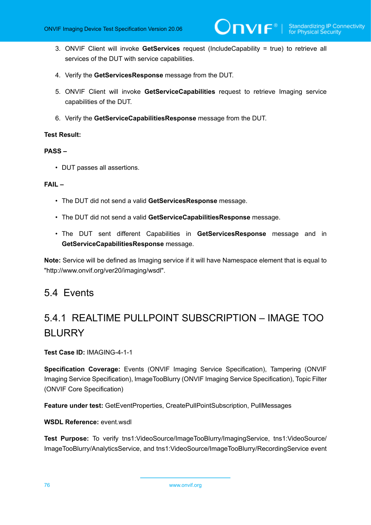- 3. ONVIF Client will invoke **GetServices** request (IncludeCapability = true) to retrieve all services of the DUT with service capabilities.
- 4. Verify the **GetServicesResponse** message from the DUT.
- 5. ONVIF Client will invoke **GetServiceCapabilities** request to retrieve Imaging service capabilities of the DUT.
- 6. Verify the **GetServiceCapabilitiesResponse** message from the DUT.

## **Test Result:**

## **PASS –**

• DUT passes all assertions.

## **FAIL –**

- The DUT did not send a valid **GetServicesResponse** message.
- The DUT did not send a valid **GetServiceCapabilitiesResponse** message.
- The DUT sent different Capabilities in **GetServicesResponse** message and in **GetServiceCapabilitiesResponse** message.

**Note:** Service will be defined as Imaging service if it will have Namespace element that is equal to "http://www.onvif.org/ver20/imaging/wsdl".

# 5.4 Events

# 5.4.1 REALTIME PULLPOINT SUBSCRIPTION – IMAGE TOO BLURRY

**Test Case ID:** IMAGING-4-1-1

**Specification Coverage:** Events (ONVIF Imaging Service Specification), Tampering (ONVIF Imaging Service Specification), ImageTooBlurry (ONVIF Imaging Service Specification), Topic Filter (ONVIF Core Specification)

**Feature under test:** GetEventProperties, CreatePullPointSubscription, PullMessages

## **WSDL Reference:** event wsdl

**Test Purpose:** To verify tns1:VideoSource/ImageTooBlurry/ImagingService, tns1:VideoSource/ ImageTooBlurry/AnalyticsService, and tns1:VideoSource/ImageTooBlurry/RecordingService event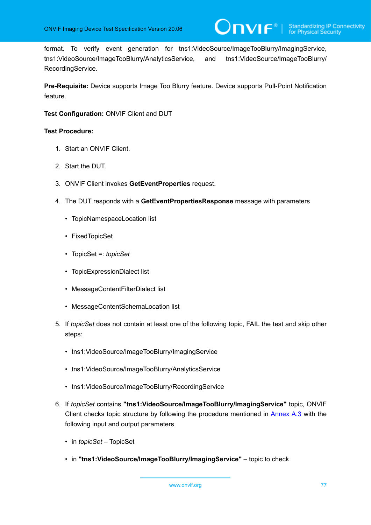format. To verify event generation for tns1:VideoSource/ImageTooBlurry/ImagingService, tns1:VideoSource/ImageTooBlurry/AnalyticsService, and tns1:VideoSource/ImageTooBlurry/ RecordingService.

**Pre-Requisite:** Device supports Image Too Blurry feature. Device supports Pull-Point Notification feature.

**Test Configuration:** ONVIF Client and DUT

- 1. Start an ONVIF Client.
- 2. Start the DUT.
- 3. ONVIF Client invokes **GetEventProperties** request.
- 4. The DUT responds with a **GetEventPropertiesResponse** message with parameters
	- TopicNamespaceLocation list
	- FixedTopicSet
	- TopicSet =: *topicSet*
	- TopicExpressionDialect list
	- MessageContentFilterDialect list
	- MessageContentSchemaLocation list
- 5. If *topicSet* does not contain at least one of the following topic, FAIL the test and skip other steps:
	- tns1:VideoSource/ImageTooBlurry/ImagingService
	- tns1:VideoSource/ImageTooBlurry/AnalyticsService
	- tns1:VideoSource/ImageTooBlurry/RecordingService
- 6. If *topicSet* contains **"tns1:VideoSource/ImageTooBlurry/ImagingService"** topic, ONVIF Client checks topic structure by following the procedure mentioned in [Annex A.3](#page-94-1) with the following input and output parameters
	- in *topicSet* TopicSet
	- in **"tns1:VideoSource/ImageTooBlurry/ImagingService"** topic to check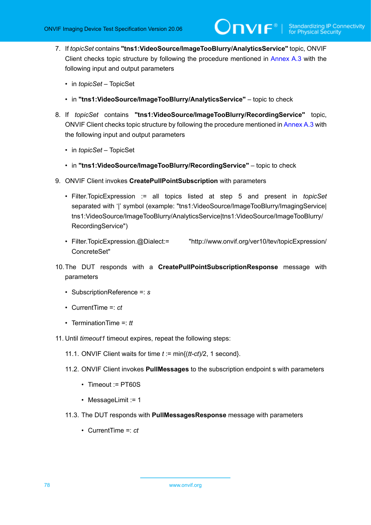- 7. If *topicSet* contains **"tns1:VideoSource/ImageTooBlurry/AnalyticsService"** topic, ONVIF Client checks topic structure by following the procedure mentioned in [Annex A.3](#page-94-1) with the following input and output parameters
	- in *topicSet* TopicSet
	- in **"tns1:VideoSource/ImageTooBlurry/AnalyticsService"** topic to check
- 8. If *topicSet* contains **"tns1:VideoSource/ImageTooBlurry/RecordingService"** topic, ONVIF Client checks topic structure by following the procedure mentioned in [Annex A.3](#page-94-1) with the following input and output parameters
	- in *topicSet* TopicSet
	- in **"tns1:VideoSource/ImageTooBlurry/RecordingService"** topic to check
- 9. ONVIF Client invokes **CreatePullPointSubscription** with parameters
	- Filter.TopicExpression := all topics listed at step 5 and present in *topicSet* separated with '|' symbol (example: "tns1:VideoSource/ImageTooBlurry/ImagingService| tns1:VideoSource/ImageTooBlurry/AnalyticsService|tns1:VideoSource/ImageTooBlurry/ RecordingService")
	- Filter.TopicExpression.@Dialect:= "http://www.onvif.org/ver10/tev/topicExpression/ ConcreteSet"
- 10.The DUT responds with a **CreatePullPointSubscriptionResponse** message with parameters
	- SubscriptionReference =: *s*
	- CurrentTime =: *ct*
	- TerminationTime =: *tt*
- 11. Until *timeout1* timeout expires, repeat the following steps:
	- 11.1. ONVIF Client waits for time *t* := min{(*tt-ct*)/2, 1 second}.
	- 11.2. ONVIF Client invokes **PullMessages** to the subscription endpoint s with parameters
		- Timeout := PT60S
		- MessageLimit := 1
	- 11.3. The DUT responds with **PullMessagesResponse** message with parameters
		- CurrentTime =: *ct*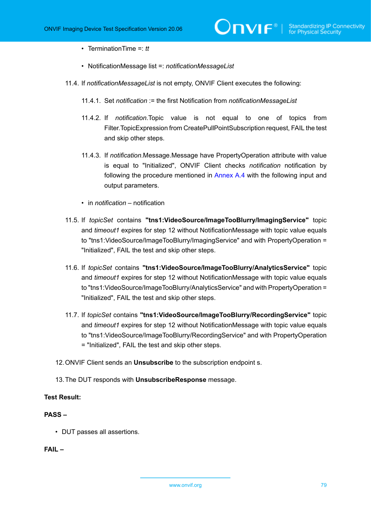- TerminationTime =: *tt*
- NotificationMessage list =: *notificationMessageList*
- 11.4. If *notificationMessageList* is not empty, ONVIF Client executes the following:
	- 11.4.1. Set *notification* := the first Notification from *notificationMessageList*
	- 11.4.2. If *notification*.Topic value is not equal to one of topics from Filter.TopicExpression from CreatePullPointSubscription request, FAIL the test and skip other steps.
	- 11.4.3. If *notification*.Message.Message have PropertyOperation attribute with value is equal to "Initialized", ONVIF Client checks *notification* notification by following the procedure mentioned in [Annex A.4](#page-95-0) with the following input and output parameters.
	- in *notification* notification
- 11.5. If *topicSet* contains **"tns1:VideoSource/ImageTooBlurry/ImagingService"** topic and *timeout1* expires for step 12 without NotificationMessage with topic value equals to "tns1:VideoSource/ImageTooBlurry/ImagingService" and with PropertyOperation = "Initialized", FAIL the test and skip other steps.
- 11.6. If *topicSet* contains **"tns1:VideoSource/ImageTooBlurry/AnalyticsService"** topic and *timeout1* expires for step 12 without NotificationMessage with topic value equals to "tns1:VideoSource/ImageTooBlurry/AnalyticsService" and with PropertyOperation = "Initialized", FAIL the test and skip other steps.
- 11.7. If *topicSet* contains **"tns1:VideoSource/ImageTooBlurry/RecordingService"** topic and *timeout1* expires for step 12 without NotificationMessage with topic value equals to "tns1:VideoSource/ImageTooBlurry/RecordingService" and with PropertyOperation = "Initialized", FAIL the test and skip other steps.
- 12.ONVIF Client sends an **Unsubscribe** to the subscription endpoint s.
- 13.The DUT responds with **UnsubscribeResponse** message.

### **Test Result:**

# **PASS –**

• DUT passes all assertions.

# **FAIL –**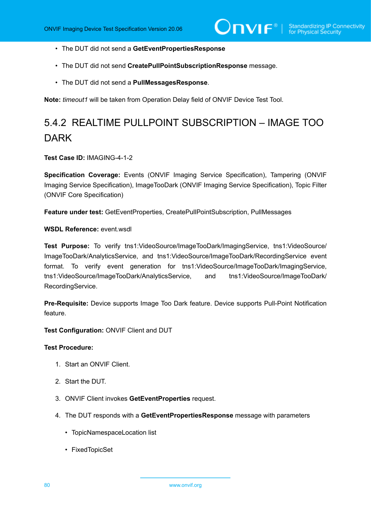- The DUT did not send a **GetEventPropertiesResponse**
- The DUT did not send **CreatePullPointSubscriptionResponse** message.
- The DUT did not send a **PullMessagesResponse**.

**Note:** *timeout1* will be taken from Operation Delay field of ONVIF Device Test Tool.

# 5.4.2 REALTIME PULLPOINT SUBSCRIPTION – IMAGE TOO **DARK**

**Test Case ID:** IMAGING-4-1-2

**Specification Coverage:** Events (ONVIF Imaging Service Specification), Tampering (ONVIF Imaging Service Specification), ImageTooDark (ONVIF Imaging Service Specification), Topic Filter (ONVIF Core Specification)

**Feature under test:** GetEventProperties, CreatePullPointSubscription, PullMessages

**WSDL Reference:** event.wsdl

**Test Purpose:** To verify tns1:VideoSource/ImageTooDark/ImagingService, tns1:VideoSource/ ImageTooDark/AnalyticsService, and tns1:VideoSource/ImageTooDark/RecordingService event format. To verify event generation for tns1:VideoSource/ImageTooDark/ImagingService, tns1:VideoSource/ImageTooDark/AnalyticsService, and tns1:VideoSource/ImageTooDark/ RecordingService.

**Pre-Requisite:** Device supports Image Too Dark feature. Device supports Pull-Point Notification feature.

**Test Configuration:** ONVIF Client and DUT

- 1. Start an ONVIF Client.
- 2. Start the DUT.
- 3. ONVIF Client invokes **GetEventProperties** request.
- 4. The DUT responds with a **GetEventPropertiesResponse** message with parameters
	- TopicNamespaceLocation list
	- FixedTopicSet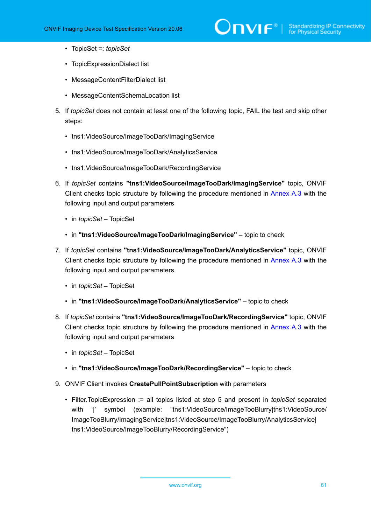# $\sum_{i} \prod_{j} \big\{ \big\}^{\mathbb{R}} \big| \sum_{i}^{\mathbb{S}}$  Standardizing IP Connectivity

- TopicSet =: *topicSet*
- TopicExpressionDialect list
- MessageContentFilterDialect list
- MessageContentSchemaLocation list
- 5. If *topicSet* does not contain at least one of the following topic, FAIL the test and skip other steps:
	- tns1:VideoSource/ImageTooDark/ImagingService
	- tns1:VideoSource/ImageTooDark/AnalyticsService
	- tns1:VideoSource/ImageTooDark/RecordingService
- 6. If *topicSet* contains **"tns1:VideoSource/ImageTooDark/ImagingService"** topic, ONVIF Client checks topic structure by following the procedure mentioned in [Annex A.3](#page-94-1) with the following input and output parameters
	- in *topicSet* TopicSet
	- in **"tns1:VideoSource/ImageTooDark/ImagingService"** topic to check
- 7. If *topicSet* contains **"tns1:VideoSource/ImageTooDark/AnalyticsService"** topic, ONVIF Client checks topic structure by following the procedure mentioned in [Annex A.3](#page-94-1) with the following input and output parameters
	- in *topicSet* TopicSet
	- in **"tns1:VideoSource/ImageTooDark/AnalyticsService"** topic to check
- 8. If *topicSet* contains **"tns1:VideoSource/ImageTooDark/RecordingService"** topic, ONVIF Client checks topic structure by following the procedure mentioned in [Annex A.3](#page-94-1) with the following input and output parameters
	- in *topicSet* TopicSet
	- in **"tns1:VideoSource/ImageTooDark/RecordingService"** topic to check
- 9. ONVIF Client invokes **CreatePullPointSubscription** with parameters
	- Filter.TopicExpression := all topics listed at step 5 and present in *topicSet* separated with '|' symbol (example: "tns1:VideoSource/ImageTooBlurry|tns1:VideoSource/ ImageTooBlurry/ImagingService|tns1:VideoSource/ImageTooBlurry/AnalyticsService| tns1:VideoSource/ImageTooBlurry/RecordingService")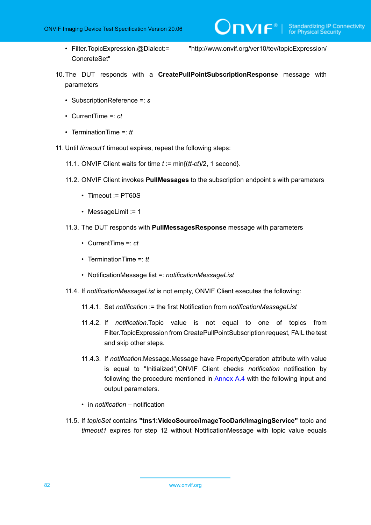ConcreteSet"

• Filter.TopicExpression.@Dialect:= "http://www.onvif.org/ver10/tev/topicExpression/

 $\bigcirc$   $\bigcap$   $\bigvee$   $\bigcirc$   $\bigcirc$   $\bigcirc$  Standardizing IP Connectivity

- 10.The DUT responds with a **CreatePullPointSubscriptionResponse** message with parameters
	- SubscriptionReference =: *s*
	- CurrentTime =: *ct*
	- TerminationTime =: *tt*
- 11. Until *timeout1* timeout expires, repeat the following steps:
	- 11.1. ONVIF Client waits for time *t* := min{(*tt-ct*)/2, 1 second}.
	- 11.2. ONVIF Client invokes **PullMessages** to the subscription endpoint s with parameters
		- Timeout := PT60S
		- MessageLimit := 1
	- 11.3. The DUT responds with **PullMessagesResponse** message with parameters
		- CurrentTime =: *ct*
		- TerminationTime =: *tt*
		- NotificationMessage list =: *notificationMessageList*
	- 11.4. If *notificationMessageList* is not empty, ONVIF Client executes the following:
		- 11.4.1. Set *notification* := the first Notification from *notificationMessageList*
		- 11.4.2. If *notification*.Topic value is not equal to one of topics from Filter.TopicExpression from CreatePullPointSubscription request, FAIL the test and skip other steps.
		- 11.4.3. If *notification*.Message.Message have PropertyOperation attribute with value is equal to "Initialized",ONVIF Client checks *notification* notification by following the procedure mentioned in [Annex A.4](#page-95-0) with the following input and output parameters.
		- in *notification* notification
	- 11.5. If *topicSet* contains **"tns1:VideoSource/ImageTooDark/ImagingService"** topic and *timeout1* expires for step 12 without NotificationMessage with topic value equals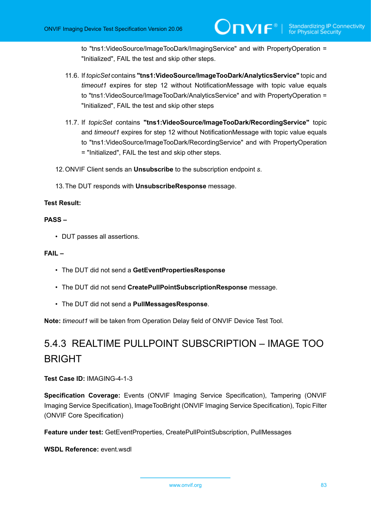to "tns1:VideoSource/ImageTooDark/ImagingService" and with PropertyOperation = "Initialized", FAIL the test and skip other steps.

- 11.6. If *topicSet* contains **"tns1:VideoSource/ImageTooDark/AnalyticsService"** topic and *timeout1* expires for step 12 without NotificationMessage with topic value equals to "tns1:VideoSource/ImageTooDark/AnalyticsService" and with PropertyOperation = "Initialized", FAIL the test and skip other steps
- 11.7. If *topicSet* contains **"tns1:VideoSource/ImageTooDark/RecordingService"** topic and *timeout1* expires for step 12 without NotificationMessage with topic value equals to "tns1:VideoSource/ImageTooDark/RecordingService" and with PropertyOperation = "Initialized", FAIL the test and skip other steps.
- 12.ONVIF Client sends an **Unsubscribe** to the subscription endpoint *s*.
- 13.The DUT responds with **UnsubscribeResponse** message.

## **Test Result:**

### **PASS –**

• DUT passes all assertions.

### **FAIL –**

- The DUT did not send a **GetEventPropertiesResponse**
- The DUT did not send **CreatePullPointSubscriptionResponse** message.
- The DUT did not send a **PullMessagesResponse**.

**Note:** *timeout1* will be taken from Operation Delay field of ONVIF Device Test Tool.

# 5.4.3 REALTIME PULLPOINT SUBSCRIPTION – IMAGE TOO BRIGHT

**Test Case ID:** IMAGING-4-1-3

**Specification Coverage:** Events (ONVIF Imaging Service Specification), Tampering (ONVIF Imaging Service Specification), ImageTooBright (ONVIF Imaging Service Specification), Topic Filter (ONVIF Core Specification)

**Feature under test:** GetEventProperties, CreatePullPointSubscription, PullMessages

**WSDL Reference:** event.wsdl

www.onvif.org 83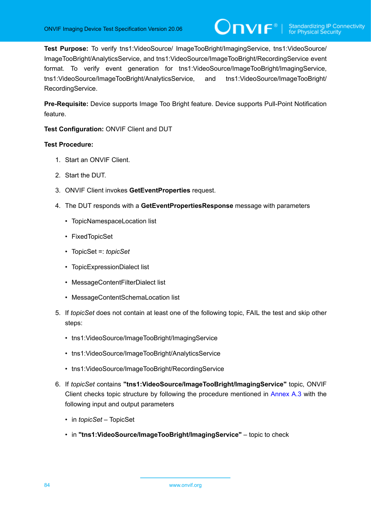**Test Purpose:** To verify tns1:VideoSource/ ImageTooBright/ImagingService, tns1:VideoSource/ ImageTooBright/AnalyticsService, and tns1:VideoSource/ImageTooBright/RecordingService event format. To verify event generation for tns1:VideoSource/ImageTooBright/ImagingService, tns1:VideoSource/ImageTooBright/AnalyticsService, and tns1:VideoSource/ImageTooBright/ RecordingService.

**Pre-Requisite:** Device supports Image Too Bright feature. Device supports Pull-Point Notification feature.

**Test Configuration:** ONVIF Client and DUT

- 1. Start an ONVIF Client.
- 2. Start the DUT.
- 3. ONVIF Client invokes **GetEventProperties** request.
- 4. The DUT responds with a **GetEventPropertiesResponse** message with parameters
	- TopicNamespaceLocation list
	- FixedTopicSet
	- TopicSet =: *topicSet*
	- TopicExpressionDialect list
	- MessageContentFilterDialect list
	- MessageContentSchemaLocation list
- 5. If *topicSet* does not contain at least one of the following topic, FAIL the test and skip other steps:
	- tns1:VideoSource/ImageTooBright/ImagingService
	- tns1:VideoSource/ImageTooBright/AnalyticsService
	- tns1:VideoSource/ImageTooBright/RecordingService
- 6. If *topicSet* contains **"tns1:VideoSource/ImageTooBright/ImagingService"** topic, ONVIF Client checks topic structure by following the procedure mentioned in [Annex A.3](#page-94-1) with the following input and output parameters
	- in *topicSet* TopicSet
	- in **"tns1:VideoSource/ImageTooBright/ImagingService"** topic to check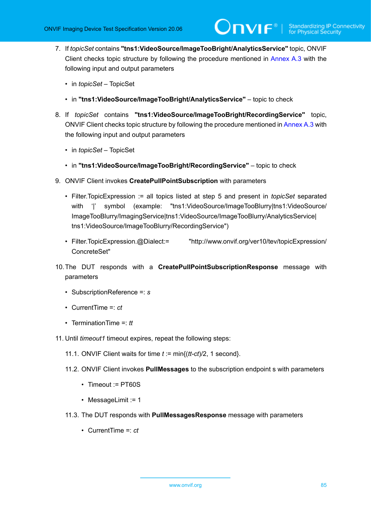- 7. If *topicSet* contains **"tns1:VideoSource/ImageTooBright/AnalyticsService"** topic, ONVIF Client checks topic structure by following the procedure mentioned in [Annex A.3](#page-94-1) with the following input and output parameters
	- in *topicSet* TopicSet
	- in **"tns1:VideoSource/ImageTooBright/AnalyticsService"** topic to check
- 8. If *topicSet* contains **"tns1:VideoSource/ImageTooBright/RecordingService"** topic, ONVIF Client checks topic structure by following the procedure mentioned in [Annex A.3](#page-94-1) with the following input and output parameters
	- in *topicSet* TopicSet
	- in **"tns1:VideoSource/ImageTooBright/RecordingService"** topic to check
- 9. ONVIF Client invokes **CreatePullPointSubscription** with parameters
	- Filter.TopicExpression := all topics listed at step 5 and present in *topicSet* separated with '|' symbol (example: "tns1:VideoSource/ImageTooBlurry|tns1:VideoSource/ ImageTooBlurry/ImagingService|tns1:VideoSource/ImageTooBlurry/AnalyticsService| tns1:VideoSource/ImageTooBlurry/RecordingService")
	- Filter.TopicExpression.@Dialect:= "http://www.onvif.org/ver10/tev/topicExpression/ ConcreteSet"
- 10.The DUT responds with a **CreatePullPointSubscriptionResponse** message with parameters
	- SubscriptionReference =: *s*
	- CurrentTime =: *ct*
	- TerminationTime =: *tt*
- 11. Until *timeout1* timeout expires, repeat the following steps:
	- 11.1. ONVIF Client waits for time *t* := min{(*tt-ct*)/2, 1 second}.
	- 11.2. ONVIF Client invokes **PullMessages** to the subscription endpoint s with parameters
		- Timeout := PT60S
		- MessageLimit := 1
	- 11.3. The DUT responds with **PullMessagesResponse** message with parameters
		- CurrentTime =: *ct*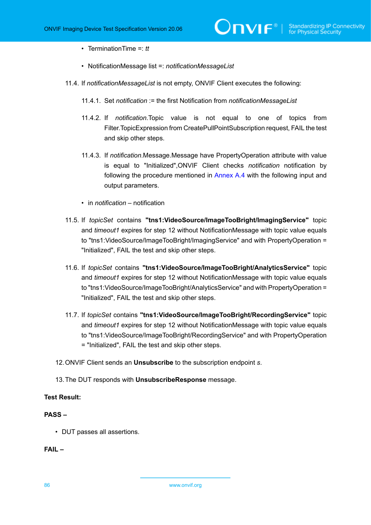- TerminationTime =: *tt*
- NotificationMessage list =: *notificationMessageList*
- 11.4. If *notificationMessageList* is not empty, ONVIF Client executes the following:
	- 11.4.1. Set *notification* := the first Notification from *notificationMessageList*
	- 11.4.2. If *notification*.Topic value is not equal to one of topics from Filter.TopicExpression from CreatePullPointSubscription request, FAIL the test and skip other steps.
	- 11.4.3. If *notification*.Message.Message have PropertyOperation attribute with value is equal to "Initialized",ONVIF Client checks *notification* notification by following the procedure mentioned in [Annex A.4](#page-95-0) with the following input and output parameters.
	- in *notification* notification
- 11.5. If *topicSet* contains **"tns1:VideoSource/ImageTooBright/ImagingService"** topic and *timeout1* expires for step 12 without NotificationMessage with topic value equals to "tns1:VideoSource/ImageTooBright/ImagingService" and with PropertyOperation = "Initialized", FAIL the test and skip other steps.
- 11.6. If *topicSet* contains **"tns1:VideoSource/ImageTooBright/AnalyticsService"** topic and *timeout1* expires for step 12 without NotificationMessage with topic value equals to "tns1:VideoSource/ImageTooBright/AnalyticsService" and with PropertyOperation = "Initialized", FAIL the test and skip other steps.
- 11.7. If *topicSet* contains **"tns1:VideoSource/ImageTooBright/RecordingService"** topic and *timeout1* expires for step 12 without NotificationMessage with topic value equals to "tns1:VideoSource/ImageTooBright/RecordingService" and with PropertyOperation = "Initialized", FAIL the test and skip other steps.
- 12.ONVIF Client sends an **Unsubscribe** to the subscription endpoint *s*.
- 13.The DUT responds with **UnsubscribeResponse** message.

### **Test Result:**

# **PASS –**

• DUT passes all assertions.

**FAIL –**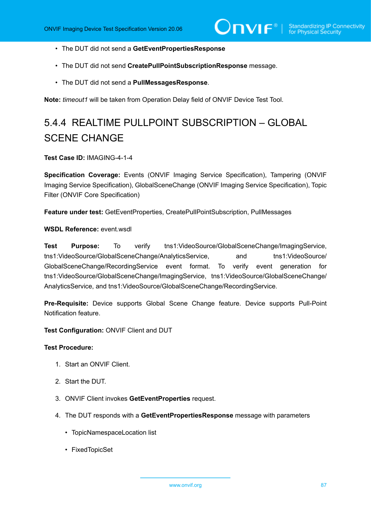- The DUT did not send a **GetEventPropertiesResponse**
- The DUT did not send **CreatePullPointSubscriptionResponse** message.
- The DUT did not send a **PullMessagesResponse**.

**Note:** *timeout1* will be taken from Operation Delay field of ONVIF Device Test Tool.

# 5.4.4 REALTIME PULLPOINT SUBSCRIPTION – GLOBAL SCENE CHANGE

### **Test Case ID:** IMAGING-4-1-4

**Specification Coverage:** Events (ONVIF Imaging Service Specification), Tampering (ONVIF Imaging Service Specification), GlobalSceneChange (ONVIF Imaging Service Specification), Topic Filter (ONVIF Core Specification)

**Feature under test:** GetEventProperties, CreatePullPointSubscription, PullMessages

**WSDL Reference:** event.wsdl

**Test Purpose:** To verify tns1:VideoSource/GlobalSceneChange/ImagingService, tns1:VideoSource/GlobalSceneChange/AnalyticsService, and tns1:VideoSource/ GlobalSceneChange/RecordingService event format. To verify event generation for tns1:VideoSource/GlobalSceneChange/ImagingService, tns1:VideoSource/GlobalSceneChange/ AnalyticsService, and tns1:VideoSource/GlobalSceneChange/RecordingService.

**Pre-Requisite:** Device supports Global Scene Change feature. Device supports Pull-Point Notification feature.

**Test Configuration:** ONVIF Client and DUT

- 1. Start an ONVIF Client.
- 2. Start the DUT.
- 3. ONVIF Client invokes **GetEventProperties** request.
- 4. The DUT responds with a **GetEventPropertiesResponse** message with parameters
	- TopicNamespaceLocation list
	- FixedTopicSet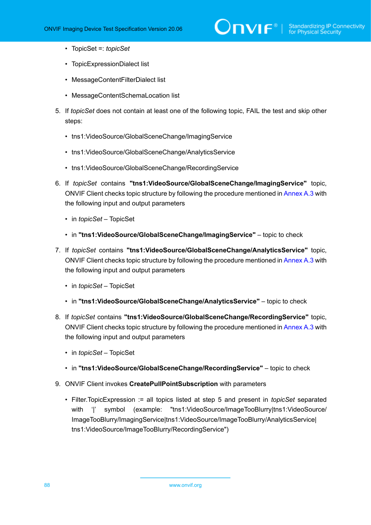# $\sum_{i} \prod_{j} \big\{ \big\}^{\mathbb{R}} \big| \sum_{i}^{\mathbb{S}}$  Standardizing IP Connectivity

- TopicSet =: *topicSet*
- TopicExpressionDialect list
- MessageContentFilterDialect list
- MessageContentSchemaLocation list
- 5. If *topicSet* does not contain at least one of the following topic, FAIL the test and skip other steps:
	- tns1:VideoSource/GlobalSceneChange/ImagingService
	- tns1:VideoSource/GlobalSceneChange/AnalyticsService
	- tns1:VideoSource/GlobalSceneChange/RecordingService
- 6. If *topicSet* contains **"tns1:VideoSource/GlobalSceneChange/ImagingService"** topic, ONVIF Client checks topic structure by following the procedure mentioned in [Annex A.3](#page-94-1) with the following input and output parameters
	- in *topicSet* TopicSet
	- in **"tns1:VideoSource/GlobalSceneChange/ImagingService"** topic to check
- 7. If *topicSet* contains **"tns1:VideoSource/GlobalSceneChange/AnalyticsService"** topic, ONVIF Client checks topic structure by following the procedure mentioned in [Annex A.3](#page-94-1) with the following input and output parameters
	- in *topicSet* TopicSet
	- in **"tns1:VideoSource/GlobalSceneChange/AnalyticsService"** topic to check
- 8. If *topicSet* contains **"tns1:VideoSource/GlobalSceneChange/RecordingService"** topic, ONVIF Client checks topic structure by following the procedure mentioned in [Annex A.3](#page-94-1) with the following input and output parameters
	- in *topicSet* TopicSet
	- in **"tns1:VideoSource/GlobalSceneChange/RecordingService"** topic to check
- 9. ONVIF Client invokes **CreatePullPointSubscription** with parameters
	- Filter.TopicExpression := all topics listed at step 5 and present in *topicSet* separated with '|' symbol (example: "tns1:VideoSource/ImageTooBlurry|tns1:VideoSource/ ImageTooBlurry/ImagingService|tns1:VideoSource/ImageTooBlurry/AnalyticsService| tns1:VideoSource/ImageTooBlurry/RecordingService")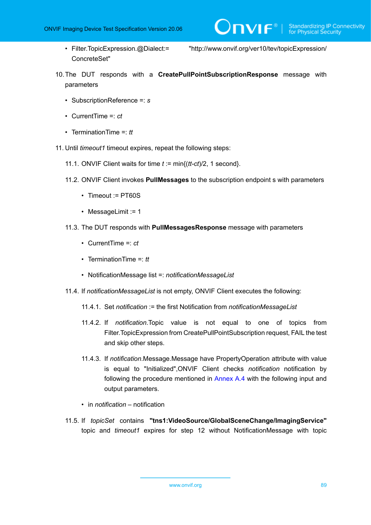ConcreteSet"

• Filter.TopicExpression.@Dialect:= "http://www.onvif.org/ver10/tev/topicExpression/

 $\bigcirc$   $\bigcap$   $\bigvee$   $\bigcirc$   $\bigcirc$   $\bigcirc$  Standardizing IP Connectivity

- 10.The DUT responds with a **CreatePullPointSubscriptionResponse** message with parameters
	- SubscriptionReference =: *s*
	- CurrentTime =: *ct*
	- TerminationTime =: *tt*
- 11. Until *timeout1* timeout expires, repeat the following steps:
	- 11.1. ONVIF Client waits for time *t* := min{(*tt-ct*)/2, 1 second}.
	- 11.2. ONVIF Client invokes **PullMessages** to the subscription endpoint s with parameters
		- Timeout := PT60S
		- MessageLimit := 1
	- 11.3. The DUT responds with **PullMessagesResponse** message with parameters
		- CurrentTime =: *ct*
		- TerminationTime =: *tt*
		- NotificationMessage list =: *notificationMessageList*
	- 11.4. If *notificationMessageList* is not empty, ONVIF Client executes the following:
		- 11.4.1. Set *notification* := the first Notification from *notificationMessageList*
		- 11.4.2. If *notification*.Topic value is not equal to one of topics from Filter.TopicExpression from CreatePullPointSubscription request, FAIL the test and skip other steps.
		- 11.4.3. If *notification*.Message.Message have PropertyOperation attribute with value is equal to "Initialized",ONVIF Client checks *notification* notification by following the procedure mentioned in [Annex A.4](#page-95-0) with the following input and output parameters.
		- in *notification* notification
	- 11.5. If *topicSet* contains **"tns1:VideoSource/GlobalSceneChange/ImagingService"** topic and *timeout1* expires for step 12 without NotificationMessage with topic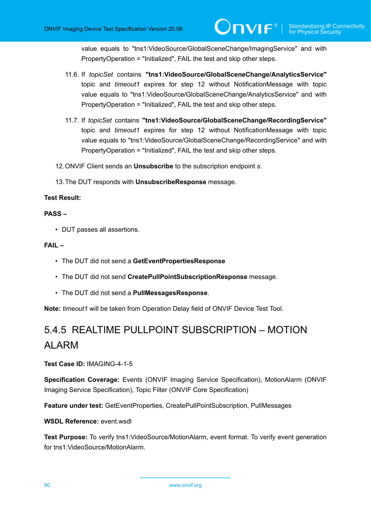value equals to "tns1:VideoSource/GlobalSceneChange/ImagingService" and with PropertyOperation = "Initialized", FAIL the test and skip other steps.

- 11.6. If *topicSet* contains **"tns1:VideoSource/GlobalSceneChange/AnalyticsService"** topic and *timeout1* expires for step 12 without NotificationMessage with topic value equals to "tns1:VideoSource/GlobalSceneChange/AnalyticsService" and with PropertyOperation = "Initialized", FAIL the test and skip other steps.
- 11.7. If *topicSet* contains **"tns1:VideoSource/GlobalSceneChange/RecordingService"** topic and *timeout1* expires for step 12 without NotificationMessage with topic value equals to "tns1:VideoSource/GlobalSceneChange/RecordingService" and with PropertyOperation = "Initialized", FAIL the test and skip other steps.
- 12.ONVIF Client sends an **Unsubscribe** to the subscription endpoint *s*.
- 13.The DUT responds with **UnsubscribeResponse** message.

#### **Test Result:**

#### **PASS –**

• DUT passes all assertions.

### **FAIL –**

- The DUT did not send a **GetEventPropertiesResponse**
- The DUT did not send **CreatePullPointSubscriptionResponse** message.
- The DUT did not send a **PullMessagesResponse**.

**Note:** *timeout1* will be taken from Operation Delay field of ONVIF Device Test Tool.

# 5.4.5 REALTIME PULLPOINT SUBSCRIPTION – MOTION ALARM

**Test Case ID:** IMAGING-4-1-5

**Specification Coverage:** Events (ONVIF Imaging Service Specification), MotionAlarm (ONVIF Imaging Service Specification), Topic Filter (ONVIF Core Specification)

**Feature under test:** GetEventProperties, CreatePullPointSubscription, PullMessages

**WSDL Reference:** event.wsdl

**Test Purpose:** To verify tns1:VideoSource/MotionAlarm, event format. To verify event generation for tns1:VideoSource/MotionAlarm.

90 www.onvif.org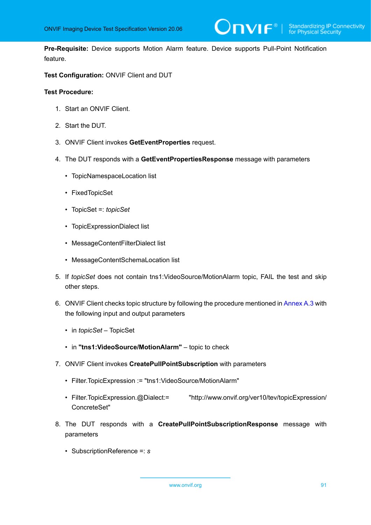

**Pre-Requisite:** Device supports Motion Alarm feature. Device supports Pull-Point Notification feature.

## **Test Configuration:** ONVIF Client and DUT

## **Test Procedure:**

- 1. Start an ONVIF Client.
- 2. Start the DUT.
- 3. ONVIF Client invokes **GetEventProperties** request.
- 4. The DUT responds with a **GetEventPropertiesResponse** message with parameters
	- TopicNamespaceLocation list
	- FixedTopicSet
	- TopicSet =: *topicSet*
	- TopicExpressionDialect list
	- MessageContentFilterDialect list
	- MessageContentSchemaLocation list
- 5. If *topicSet* does not contain tns1:VideoSource/MotionAlarm topic, FAIL the test and skip other steps.
- 6. ONVIF Client checks topic structure by following the procedure mentioned in [Annex A.3](#page-94-1) with the following input and output parameters
	- in *topicSet* TopicSet
	- in **"tns1:VideoSource/MotionAlarm"** topic to check
- 7. ONVIF Client invokes **CreatePullPointSubscription** with parameters
	- Filter.TopicExpression := "tns1:VideoSource/MotionAlarm"
	- Filter.TopicExpression.@Dialect:= "http://www.onvif.org/ver10/tev/topicExpression/ ConcreteSet"
- 8. The DUT responds with a **CreatePullPointSubscriptionResponse** message with parameters
	- SubscriptionReference =: *s*

www.onvif.org 31 and 32 and 32 and 32 and 32 and 32 and 32 and 33 and 34 and 35 and 36 and 36 and 37 and 37 and 37 and 37 and 37 and 37 and 37 and 37 and 37 and 37 and 37 and 37 and 37 and 37 and 37 and 37 and 37 and 37 an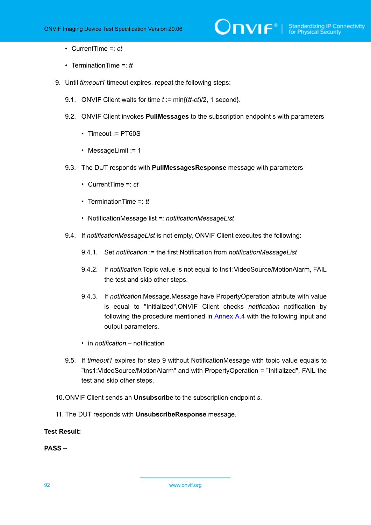- CurrentTime =: *ct*
- TerminationTime =: *tt*
- 9. Until *timeout1* timeout expires, repeat the following steps:
	- 9.1. ONVIF Client waits for time *t* := min{(*tt-ct*)/2, 1 second}.
	- 9.2. ONVIF Client invokes **PullMessages** to the subscription endpoint s with parameters
		- Timeout := PT60S
		- MessageLimit := 1
	- 9.3. The DUT responds with **PullMessagesResponse** message with parameters
		- CurrentTime =: *ct*
		- TerminationTime =: *tt*
		- NotificationMessage list =: *notificationMessageList*
	- 9.4. If *notificationMessageList* is not empty, ONVIF Client executes the following:
		- 9.4.1. Set *notification* := the first Notification from *notificationMessageList*
		- 9.4.2. If *notification*.Topic value is not equal to tns1:VideoSource/MotionAlarm, FAIL the test and skip other steps.
		- 9.4.3. If *notification*.Message.Message have PropertyOperation attribute with value is equal to "Initialized",ONVIF Client checks *notification* notification by following the procedure mentioned in [Annex A.4](#page-95-0) with the following input and output parameters.
		- in *notification* notification
	- 9.5. If *timeout1* expires for step 9 without NotificationMessage with topic value equals to "tns1:VideoSource/MotionAlarm" and with PropertyOperation = "Initialized", FAIL the test and skip other steps.
- 10.ONVIF Client sends an **Unsubscribe** to the subscription endpoint *s*.
- 11. The DUT responds with **UnsubscribeResponse** message.

### **Test Result:**

**PASS –**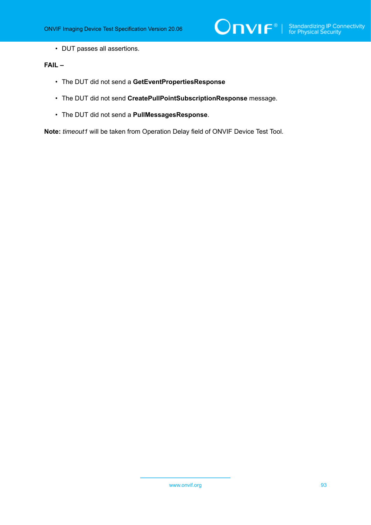

• DUT passes all assertions.

# **FAIL –**

- The DUT did not send a **GetEventPropertiesResponse**
- The DUT did not send **CreatePullPointSubscriptionResponse** message.
- The DUT did not send a **PullMessagesResponse**.

**Note:** *timeout1* will be taken from Operation Delay field of ONVIF Device Test Tool.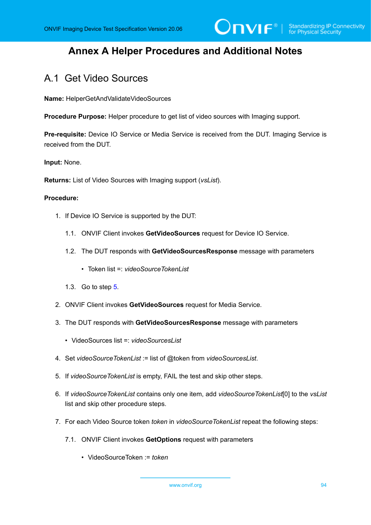# **Annex A Helper Procedures and Additional Notes**

# A.1 Get Video Sources

**Name:** HelperGetAndValidateVideoSources

**Procedure Purpose:** Helper procedure to get list of video sources with Imaging support.

**Pre-requisite:** Device IO Service or Media Service is received from the DUT. Imaging Service is received from the DUT.

**Input:** None.

**Returns:** List of Video Sources with Imaging support (*vsList*).

#### **Procedure:**

- 1. If Device IO Service is supported by the DUT:
	- 1.1. ONVIF Client invokes **GetVideoSources** request for Device IO Service.
	- 1.2. The DUT responds with **GetVideoSourcesResponse** message with parameters
		- Token list =: *videoSourceTokenList*
	- 1.3. Go to step [5.](#page-93-0)
- 2. ONVIF Client invokes **GetVideoSources** request for Media Service.
- 3. The DUT responds with **GetVideoSourcesResponse** message with parameters
	- VideoSources list =: *videoSourcesList*
- 4. Set *videoSourceTokenList* := list of @token from *videoSourcesList*.
- <span id="page-93-0"></span>5. If *videoSourceTokenList* is empty, FAIL the test and skip other steps.
- 6. If *videoSourceTokenList* contains only one item, add *videoSourceTokenList*[0] to the *vsList* list and skip other procedure steps.
- 7. For each Video Source token *token* in *videoSourceTokenList* repeat the following steps:
	- 7.1. ONVIF Client invokes **GetOptions** request with parameters
		- VideoSourceToken := *token*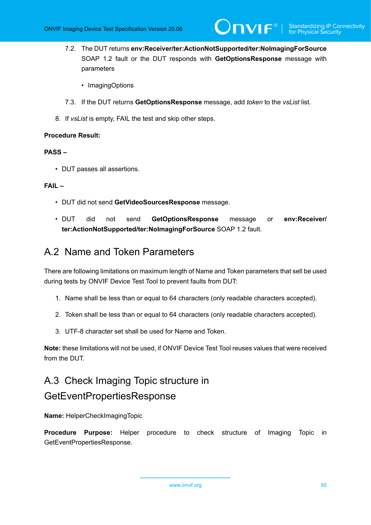- 7.2. The DUT returns **env:Receiver/ter:ActionNotSupported/ter:NoImagingForSource** SOAP 1.2 fault or the DUT responds with **GetOptionsResponse** message with parameters
	- ImagingOptions
- 7.3. If the DUT returns **GetOptionsResponse** message, add *token* to the *vsList* list.
- 8. If *vsList* is empty, FAIL the test and skip other steps.

## **Procedure Result:**

## **PASS –**

• DUT passes all assertions.

# **FAIL –**

- DUT did not send **GetVideoSourcesResponse** message.
- DUT did not send **GetOptionsResponse** message or **env:Receiver/ ter:ActionNotSupported/ter:NoImagingForSource** SOAP 1.2 fault.

# <span id="page-94-0"></span>A.2 Name and Token Parameters

There are following limitations on maximum length of Name and Token parameters that sell be used during tests by ONVIF Device Test Tool to prevent faults from DUT:

- 1. Name shall be less than or equal to 64 characters (only readable characters accepted).
- 2. Token shall be less than or equal to 64 characters (only readable characters accepted).
- 3. UTF-8 character set shall be used for Name and Token.

**Note:** these limitations will not be used, if ONVIF Device Test Tool reuses values that were received from the DUT.

# <span id="page-94-1"></span>A.3 Check Imaging Topic structure in GetEventPropertiesResponse

**Name:** HelperCheckImagingTopic

**Procedure Purpose:** Helper procedure to check structure of Imaging Topic in GetEventPropertiesResponse.

www.onvif.org 35